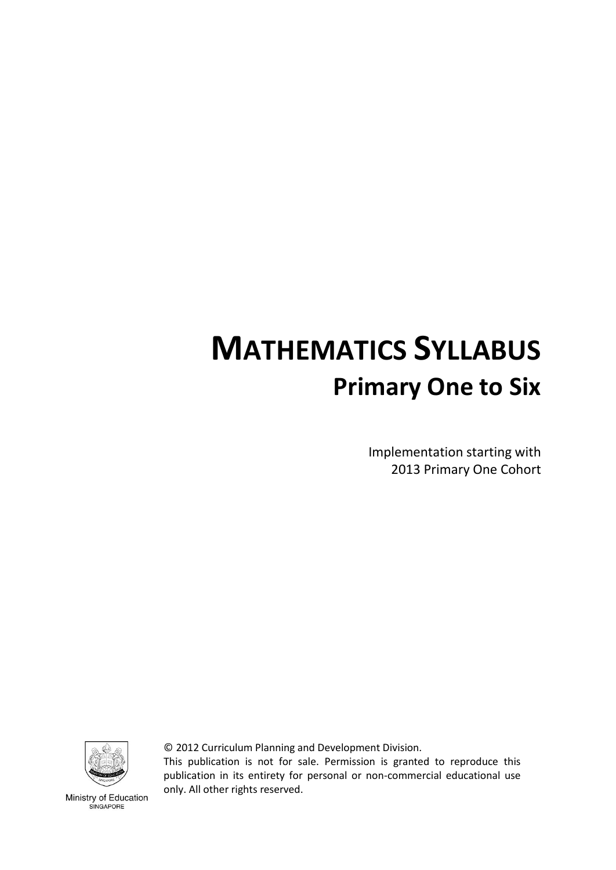# **MATHEMATICS SYLLABUS Primary One to Six**

Implementation starting with 2013 Primary One Cohort



© 2012 Curriculum Planning and Development Division.

This publication is not for sale. Permission is granted to reproduce this publication in its entirety for personal or non-commercial educational use only. All other rights reserved.

Ministry of Education SINGAPORE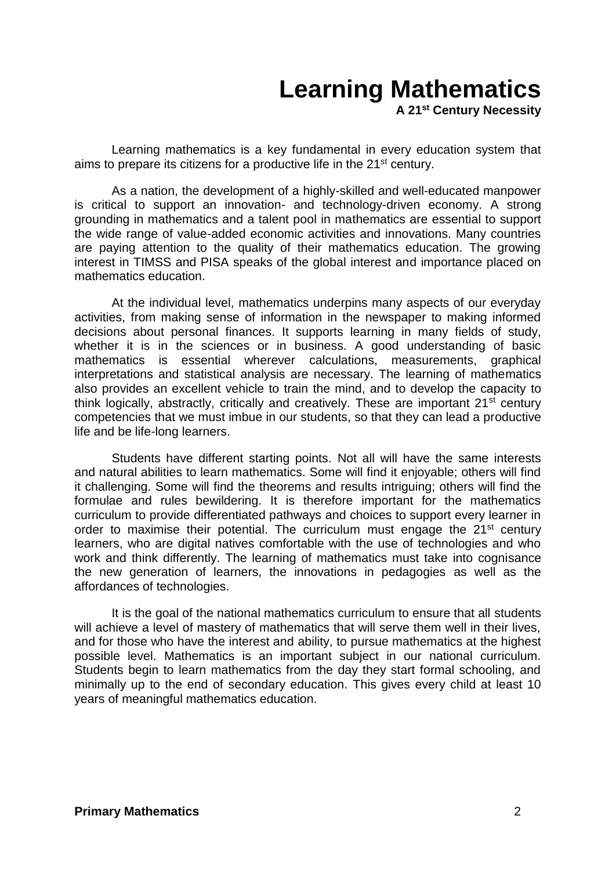# **Learning Mathematics**

**A 21st Century Necessity**

Learning mathematics is a key fundamental in every education system that aims to prepare its citizens for a productive life in the 21st century.

As a nation, the development of a highly-skilled and well-educated manpower is critical to support an innovation- and technology-driven economy. A strong grounding in mathematics and a talent pool in mathematics are essential to support the wide range of value-added economic activities and innovations. Many countries are paying attention to the quality of their mathematics education. The growing interest in TIMSS and PISA speaks of the global interest and importance placed on mathematics education.

At the individual level, mathematics underpins many aspects of our everyday activities, from making sense of information in the newspaper to making informed decisions about personal finances. It supports learning in many fields of study, whether it is in the sciences or in business. A good understanding of basic mathematics is essential wherever calculations, measurements, graphical interpretations and statistical analysis are necessary. The learning of mathematics also provides an excellent vehicle to train the mind, and to develop the capacity to think logically, abstractly, critically and creatively. These are important 21<sup>st</sup> century competencies that we must imbue in our students, so that they can lead a productive life and be life-long learners.

Students have different starting points. Not all will have the same interests and natural abilities to learn mathematics. Some will find it enjoyable; others will find it challenging. Some will find the theorems and results intriguing; others will find the formulae and rules bewildering. It is therefore important for the mathematics curriculum to provide differentiated pathways and choices to support every learner in order to maximise their potential. The curriculum must engage the 21<sup>st</sup> century learners, who are digital natives comfortable with the use of technologies and who work and think differently. The learning of mathematics must take into cognisance the new generation of learners, the innovations in pedagogies as well as the affordances of technologies.

It is the goal of the national mathematics curriculum to ensure that all students will achieve a level of mastery of mathematics that will serve them well in their lives, and for those who have the interest and ability, to pursue mathematics at the highest possible level. Mathematics is an important subject in our national curriculum. Students begin to learn mathematics from the day they start formal schooling, and minimally up to the end of secondary education. This gives every child at least 10 years of meaningful mathematics education.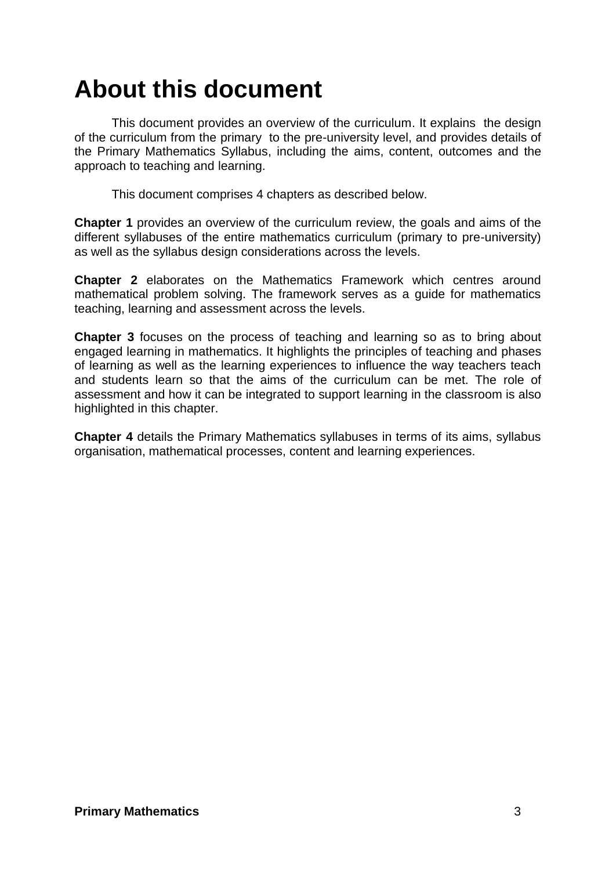# **About this document**

This document provides an overview of the curriculum. It explains the design of the curriculum from the primary to the pre-university level, and provides details of the Primary Mathematics Syllabus, including the aims, content, outcomes and the approach to teaching and learning.

This document comprises 4 chapters as described below.

**Chapter 1** provides an overview of the curriculum review, the goals and aims of the different syllabuses of the entire mathematics curriculum (primary to pre-university) as well as the syllabus design considerations across the levels.

**Chapter 2** elaborates on the Mathematics Framework which centres around mathematical problem solving. The framework serves as a guide for mathematics teaching, learning and assessment across the levels.

**Chapter 3** focuses on the process of teaching and learning so as to bring about engaged learning in mathematics. It highlights the principles of teaching and phases of learning as well as the learning experiences to influence the way teachers teach and students learn so that the aims of the curriculum can be met. The role of assessment and how it can be integrated to support learning in the classroom is also highlighted in this chapter.

**Chapter 4** details the Primary Mathematics syllabuses in terms of its aims, syllabus organisation, mathematical processes, content and learning experiences.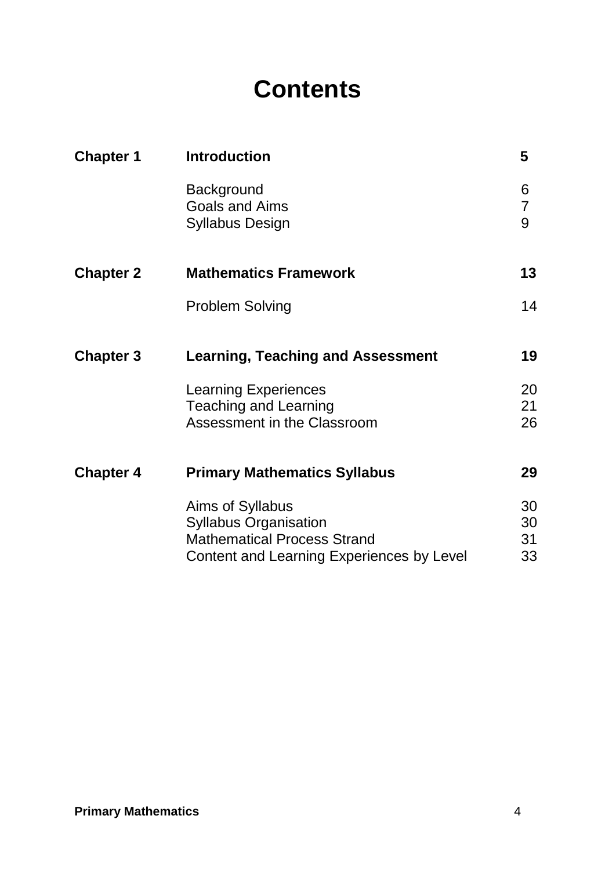# **Contents**

| <b>Chapter 1</b> | <b>Introduction</b>                                                                                                                 | 5                        |
|------------------|-------------------------------------------------------------------------------------------------------------------------------------|--------------------------|
|                  | <b>Background</b><br><b>Goals and Aims</b><br><b>Syllabus Design</b>                                                                | 6<br>$\overline{7}$<br>9 |
| <b>Chapter 2</b> | <b>Mathematics Framework</b>                                                                                                        | 13                       |
|                  | <b>Problem Solving</b>                                                                                                              | 14                       |
| <b>Chapter 3</b> | <b>Learning, Teaching and Assessment</b>                                                                                            | 19                       |
|                  | <b>Learning Experiences</b><br><b>Teaching and Learning</b><br>Assessment in the Classroom                                          | 20<br>21<br>26           |
| <b>Chapter 4</b> | <b>Primary Mathematics Syllabus</b>                                                                                                 | 29                       |
|                  | Aims of Syllabus<br><b>Syllabus Organisation</b><br><b>Mathematical Process Strand</b><br>Content and Learning Experiences by Level | 30<br>30<br>31<br>33     |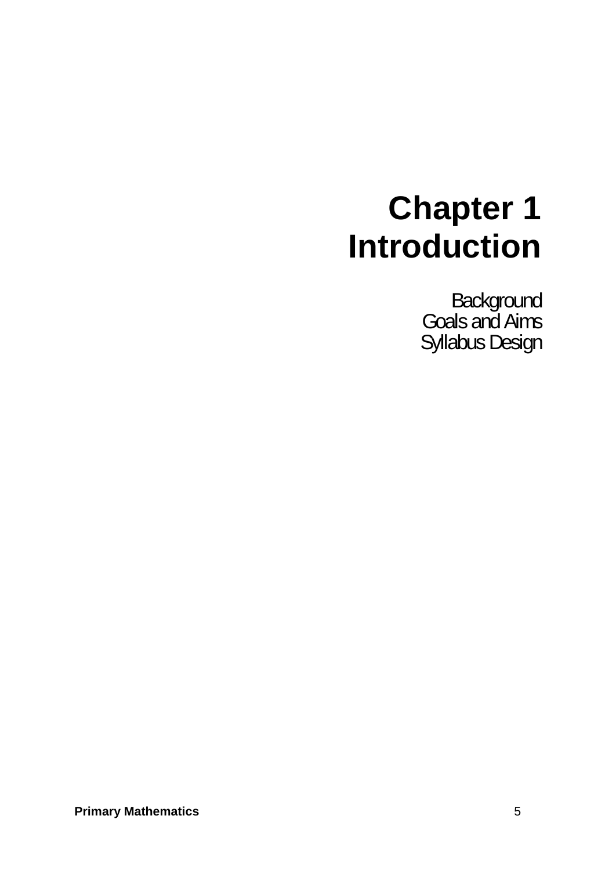# **Chapter 1 Introduction**

**Background** Goals and Aims Syllabus Design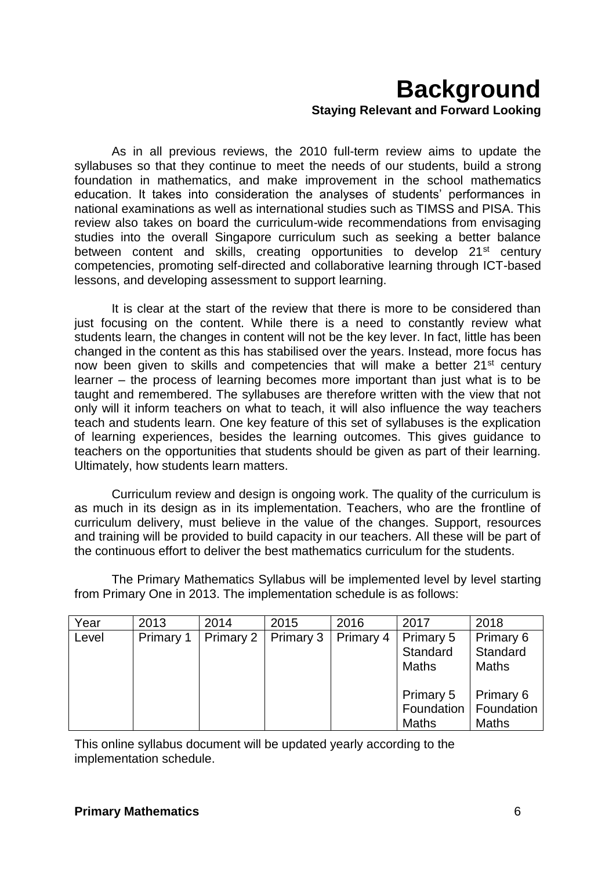# **Background Staying Relevant and Forward Looking**

As in all previous reviews, the 2010 full-term review aims to update the syllabuses so that they continue to meet the needs of our students, build a strong foundation in mathematics, and make improvement in the school mathematics education. It takes into consideration the analyses of students' performances in national examinations as well as international studies such as TIMSS and PISA. This review also takes on board the curriculum-wide recommendations from envisaging studies into the overall Singapore curriculum such as seeking a better balance between content and skills, creating opportunities to develop 21<sup>st</sup> century competencies, promoting self-directed and collaborative learning through ICT-based lessons, and developing assessment to support learning.

It is clear at the start of the review that there is more to be considered than just focusing on the content. While there is a need to constantly review what students learn, the changes in content will not be the key lever. In fact, little has been changed in the content as this has stabilised over the years. Instead, more focus has now been given to skills and competencies that will make a better 21<sup>st</sup> century learner – the process of learning becomes more important than just what is to be taught and remembered. The syllabuses are therefore written with the view that not only will it inform teachers on what to teach, it will also influence the way teachers teach and students learn. One key feature of this set of syllabuses is the explication of learning experiences, besides the learning outcomes. This gives guidance to teachers on the opportunities that students should be given as part of their learning. Ultimately, how students learn matters.

Curriculum review and design is ongoing work. The quality of the curriculum is as much in its design as in its implementation. Teachers, who are the frontline of curriculum delivery, must believe in the value of the changes. Support, resources and training will be provided to build capacity in our teachers. All these will be part of the continuous effort to deliver the best mathematics curriculum for the students.

The Primary Mathematics Syllabus will be implemented level by level starting from Primary One in 2013. The implementation schedule is as follows:

| Year  | 2013      | 2014      | 2015      | 2016      | 2017                                  | 2018                                                 |
|-------|-----------|-----------|-----------|-----------|---------------------------------------|------------------------------------------------------|
| Level | Primary 1 | Primary 2 | Primary 3 | Primary 4 | Primary 5<br>Standard<br><b>Maths</b> | Primary 6<br>Standard<br><b>Maths</b>                |
|       |           |           |           |           | Primary 5<br><b>Maths</b>             | Primary 6<br>Foundation   Foundation<br><b>Maths</b> |

This online syllabus document will be updated yearly according to the implementation schedule.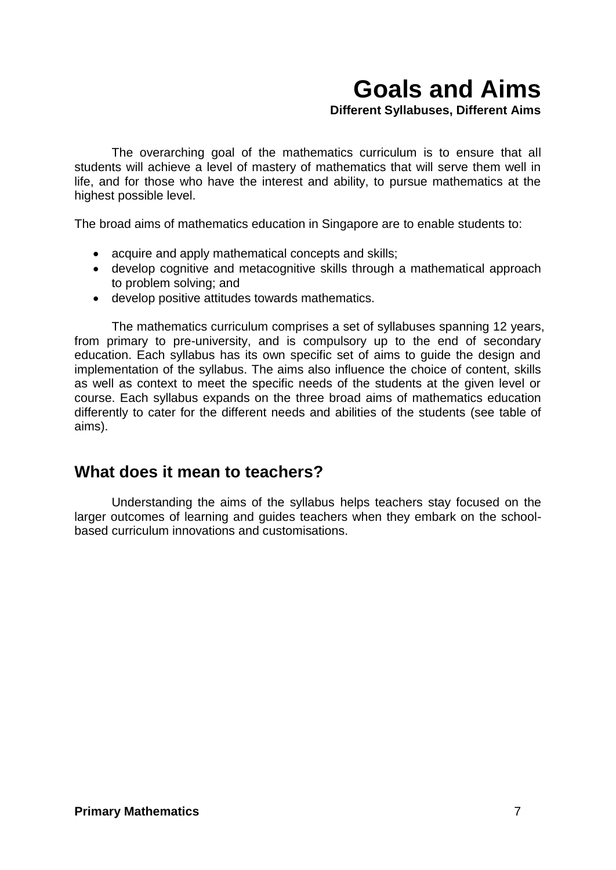# **Goals and Aims**

**Different Syllabuses, Different Aims**

The overarching goal of the mathematics curriculum is to ensure that all students will achieve a level of mastery of mathematics that will serve them well in life, and for those who have the interest and ability, to pursue mathematics at the highest possible level.

The broad aims of mathematics education in Singapore are to enable students to:

- acquire and apply mathematical concepts and skills;
- develop cognitive and metacognitive skills through a mathematical approach to problem solving; and
- develop positive attitudes towards mathematics.

The mathematics curriculum comprises a set of syllabuses spanning 12 years, from primary to pre-university, and is compulsory up to the end of secondary education. Each syllabus has its own specific set of aims to guide the design and implementation of the syllabus. The aims also influence the choice of content, skills as well as context to meet the specific needs of the students at the given level or course. Each syllabus expands on the three broad aims of mathematics education differently to cater for the different needs and abilities of the students (see table of aims).

## **What does it mean to teachers?**

Understanding the aims of the syllabus helps teachers stay focused on the larger outcomes of learning and guides teachers when they embark on the schoolbased curriculum innovations and customisations.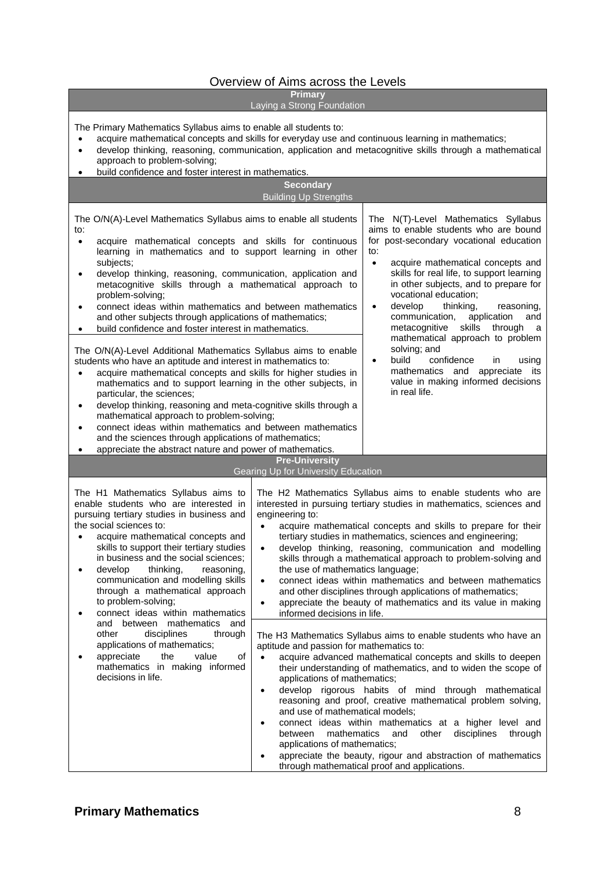#### Overview of Aims across the Levels

#### **Primary**

#### Laying a Strong Foundation

The Primary Mathematics Syllabus aims to enable all students to:

- acquire mathematical concepts and skills for everyday use and continuous learning in mathematics;
- develop thinking, reasoning, communication, application and metacognitive skills through a mathematical approach to problem-solving;
- 

| build confidence and foster interest in mathematics.                                                                                                                                                                                                                                                                                                                                                                                                                                                                                                                                                                                                                               |                                                                                                                                                                                                 |                                                                                                                                                                                                                                                                                                                                                                                                                                                                                                                                                                                           |
|------------------------------------------------------------------------------------------------------------------------------------------------------------------------------------------------------------------------------------------------------------------------------------------------------------------------------------------------------------------------------------------------------------------------------------------------------------------------------------------------------------------------------------------------------------------------------------------------------------------------------------------------------------------------------------|-------------------------------------------------------------------------------------------------------------------------------------------------------------------------------------------------|-------------------------------------------------------------------------------------------------------------------------------------------------------------------------------------------------------------------------------------------------------------------------------------------------------------------------------------------------------------------------------------------------------------------------------------------------------------------------------------------------------------------------------------------------------------------------------------------|
|                                                                                                                                                                                                                                                                                                                                                                                                                                                                                                                                                                                                                                                                                    | <b>Secondary</b><br><b>Building Up Strengths</b>                                                                                                                                                |                                                                                                                                                                                                                                                                                                                                                                                                                                                                                                                                                                                           |
| The O/N(A)-Level Mathematics Syllabus aims to enable all students<br>to:<br>acquire mathematical concepts and skills for continuous<br>$\bullet$<br>learning in mathematics and to support learning in other<br>subjects;<br>develop thinking, reasoning, communication, application and<br>٠<br>metacognitive skills through a mathematical approach to<br>problem-solving;<br>connect ideas within mathematics and between mathematics<br>$\bullet$<br>and other subjects through applications of mathematics;<br>build confidence and foster interest in mathematics.                                                                                                           |                                                                                                                                                                                                 | The N(T)-Level Mathematics Syllabus<br>aims to enable students who are bound<br>for post-secondary vocational education<br>to:<br>$\bullet$<br>acquire mathematical concepts and<br>skills for real life, to support learning<br>in other subjects, and to prepare for<br>vocational education;<br>develop<br>thinking,<br>reasoning,<br>$\bullet$<br>communication,<br>application<br>and<br>metacognitive skills<br>through<br>- a                                                                                                                                                      |
| The O/N(A)-Level Additional Mathematics Syllabus aims to enable<br>students who have an aptitude and interest in mathematics to:<br>acquire mathematical concepts and skills for higher studies in<br>mathematics and to support learning in the other subjects, in<br>particular, the sciences;<br>develop thinking, reasoning and meta-cognitive skills through a<br>٠<br>mathematical approach to problem-solving;<br>connect ideas within mathematics and between mathematics<br>and the sciences through applications of mathematics;<br>appreciate the abstract nature and power of mathematics.                                                                             |                                                                                                                                                                                                 | mathematical approach to problem<br>solving; and<br>build<br>confidence<br>using<br>in.<br>$\bullet$<br>mathematics and appreciate<br>its<br>value in making informed decisions<br>in real life.                                                                                                                                                                                                                                                                                                                                                                                          |
|                                                                                                                                                                                                                                                                                                                                                                                                                                                                                                                                                                                                                                                                                    | <b>Pre-University</b><br><b>Gearing Up for University Education</b>                                                                                                                             |                                                                                                                                                                                                                                                                                                                                                                                                                                                                                                                                                                                           |
| The H1 Mathematics Syllabus aims to<br>enable students who are interested in<br>pursuing tertiary studies in business and<br>the social sciences to:<br>acquire mathematical concepts and<br>$\bullet$<br>skills to support their tertiary studies<br>in business and the social sciences;<br>develop<br>thinking,<br>reasoning,<br>$\bullet$<br>communication and modelling skills<br>through a mathematical approach<br>to problem-solving;<br>connect ideas within mathematics<br>and between mathematics<br>and<br>other<br>disciplines<br>through<br>applications of mathematics;<br>the<br>of<br>appreciate<br>value<br>mathematics in making informed<br>decisions in life. | engineering to:<br>$\bullet$<br>$\bullet$<br>the use of mathematics language;<br>$\bullet$<br>$\bullet$<br>informed decisions in life.                                                          | The H2 Mathematics Syllabus aims to enable students who are<br>interested in pursuing tertiary studies in mathematics, sciences and<br>acquire mathematical concepts and skills to prepare for their<br>tertiary studies in mathematics, sciences and engineering;<br>develop thinking, reasoning, communication and modelling<br>skills through a mathematical approach to problem-solving and<br>connect ideas within mathematics and between mathematics<br>and other disciplines through applications of mathematics;<br>appreciate the beauty of mathematics and its value in making |
|                                                                                                                                                                                                                                                                                                                                                                                                                                                                                                                                                                                                                                                                                    | aptitude and passion for mathematics to:<br>$\bullet$<br>applications of mathematics;<br>$\bullet$<br>and use of mathematical models;<br>mathematics<br>between<br>applications of mathematics; | The H3 Mathematics Syllabus aims to enable students who have an<br>acquire advanced mathematical concepts and skills to deepen<br>their understanding of mathematics, and to widen the scope of<br>develop rigorous habits of mind through mathematical<br>reasoning and proof, creative mathematical problem solving,<br>connect ideas within mathematics at a higher level and<br>other<br>disciplines<br>and<br>through<br>appreciate the beauty, rigour and abstraction of mathematics<br>through mathematical proof and applications.                                                |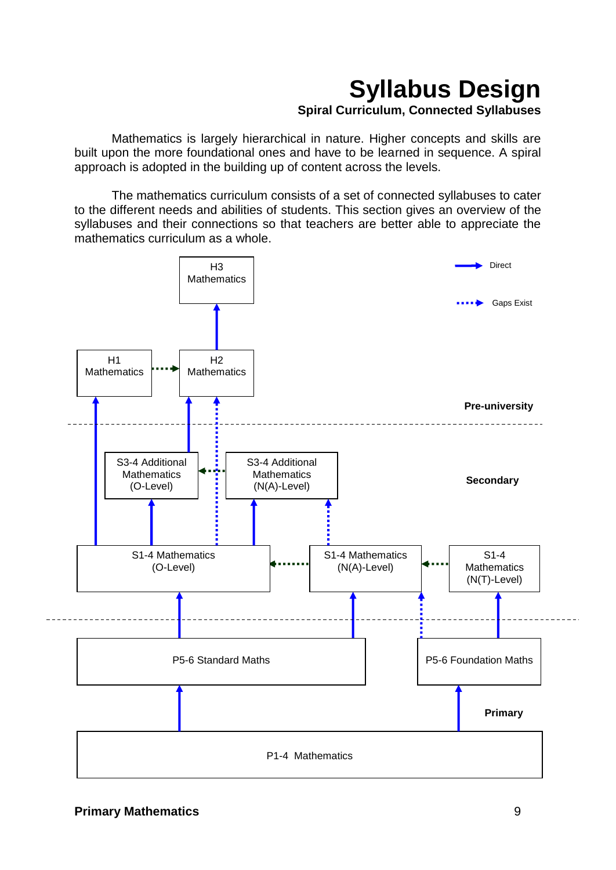# **Syllabus Design**

### **Spiral Curriculum, Connected Syllabuses**

Mathematics is largely hierarchical in nature. Higher concepts and skills are built upon the more foundational ones and have to be learned in sequence. A spiral approach is adopted in the building up of content across the levels.

The mathematics curriculum consists of a set of connected syllabuses to cater to the different needs and abilities of students. This section gives an overview of the syllabuses and their connections so that teachers are better able to appreciate the mathematics curriculum as a whole.

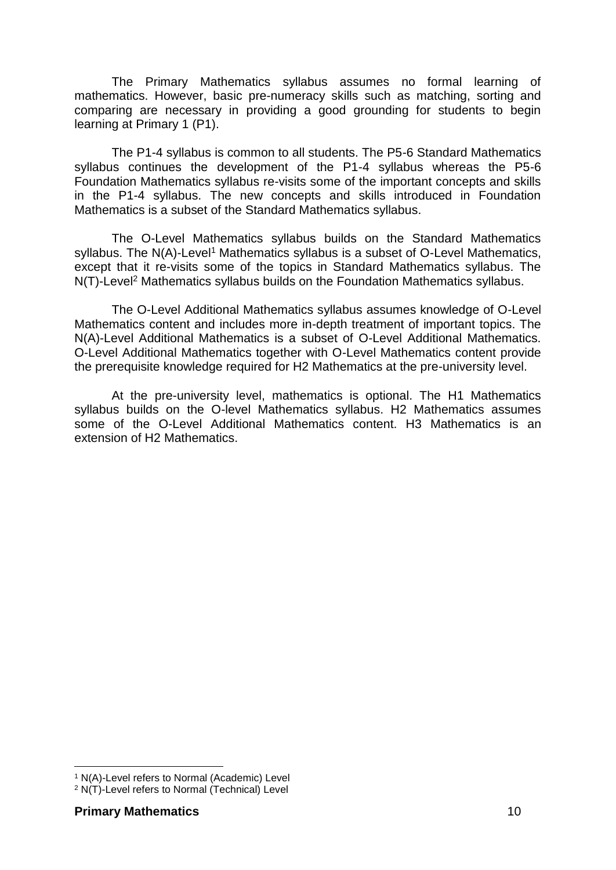The Primary Mathematics syllabus assumes no formal learning of mathematics. However, basic pre-numeracy skills such as matching, sorting and comparing are necessary in providing a good grounding for students to begin learning at Primary 1 (P1).

The P1-4 syllabus is common to all students. The P5-6 Standard Mathematics syllabus continues the development of the P1-4 syllabus whereas the P5-6 Foundation Mathematics syllabus re-visits some of the important concepts and skills in the P1-4 syllabus. The new concepts and skills introduced in Foundation Mathematics is a subset of the Standard Mathematics syllabus.

The O-Level Mathematics syllabus builds on the Standard Mathematics syllabus. The N(A)-Level<sup>1</sup> Mathematics syllabus is a subset of O-Level Mathematics, except that it re-visits some of the topics in Standard Mathematics syllabus. The N(T)-Level<sup>2</sup> Mathematics syllabus builds on the Foundation Mathematics syllabus.

The O-Level Additional Mathematics syllabus assumes knowledge of O-Level Mathematics content and includes more in-depth treatment of important topics. The N(A)-Level Additional Mathematics is a subset of O-Level Additional Mathematics. O-Level Additional Mathematics together with O-Level Mathematics content provide the prerequisite knowledge required for H2 Mathematics at the pre-university level.

At the pre-university level, mathematics is optional. The H1 Mathematics syllabus builds on the O-level Mathematics syllabus. H2 Mathematics assumes some of the O-Level Additional Mathematics content. H3 Mathematics is an extension of H2 Mathematics.

1

<sup>1</sup> N(A)-Level refers to Normal (Academic) Level

<sup>2</sup> N(T)-Level refers to Normal (Technical) Level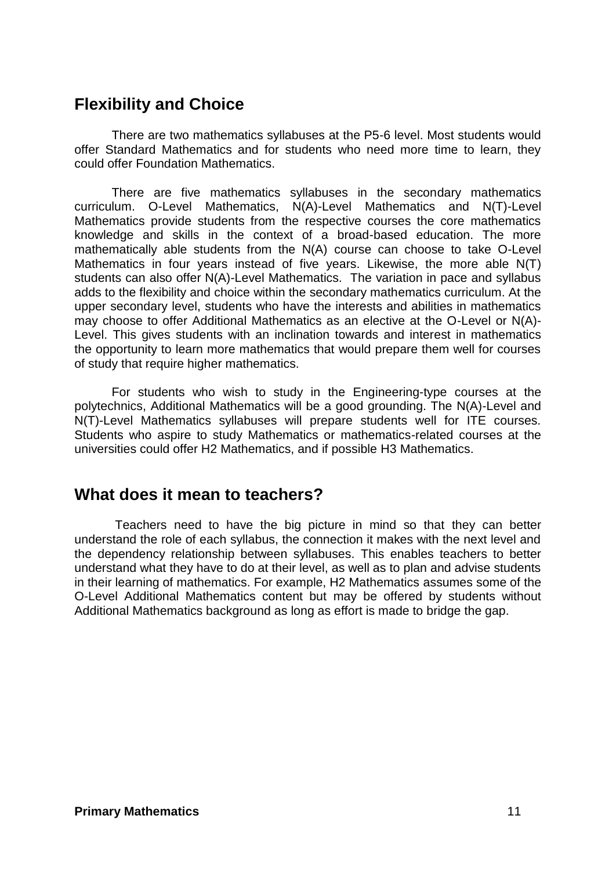## **Flexibility and Choice**

There are two mathematics syllabuses at the P5-6 level. Most students would offer Standard Mathematics and for students who need more time to learn, they could offer Foundation Mathematics.

There are five mathematics syllabuses in the secondary mathematics curriculum. O-Level Mathematics, N(A)-Level Mathematics and N(T)-Level Mathematics provide students from the respective courses the core mathematics knowledge and skills in the context of a broad-based education. The more mathematically able students from the N(A) course can choose to take O-Level Mathematics in four years instead of five years. Likewise, the more able N(T) students can also offer N(A)-Level Mathematics. The variation in pace and syllabus adds to the flexibility and choice within the secondary mathematics curriculum. At the upper secondary level, students who have the interests and abilities in mathematics may choose to offer Additional Mathematics as an elective at the O-Level or N(A)- Level. This gives students with an inclination towards and interest in mathematics the opportunity to learn more mathematics that would prepare them well for courses of study that require higher mathematics.

For students who wish to study in the Engineering-type courses at the polytechnics, Additional Mathematics will be a good grounding. The N(A)-Level and N(T)-Level Mathematics syllabuses will prepare students well for ITE courses. Students who aspire to study Mathematics or mathematics-related courses at the universities could offer H2 Mathematics, and if possible H3 Mathematics.

## **What does it mean to teachers?**

Teachers need to have the big picture in mind so that they can better understand the role of each syllabus, the connection it makes with the next level and the dependency relationship between syllabuses. This enables teachers to better understand what they have to do at their level, as well as to plan and advise students in their learning of mathematics. For example, H2 Mathematics assumes some of the O-Level Additional Mathematics content but may be offered by students without Additional Mathematics background as long as effort is made to bridge the gap.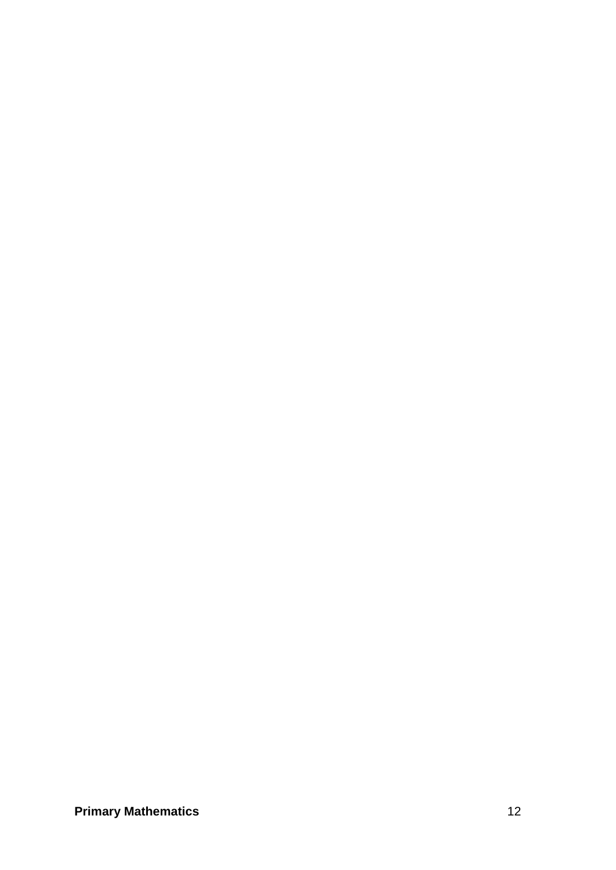**Primary Mathematics** 12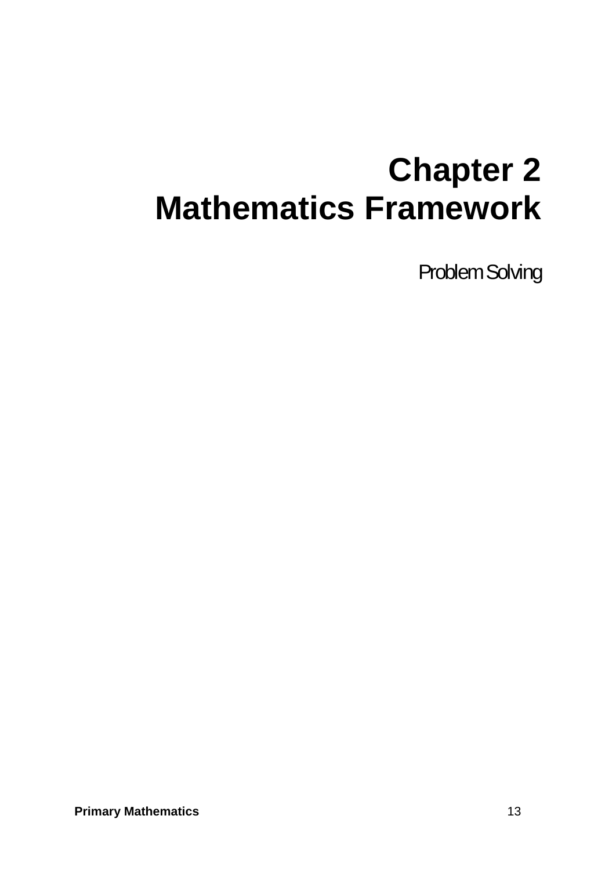# **Chapter 2 Mathematics Framework**

Problem Solving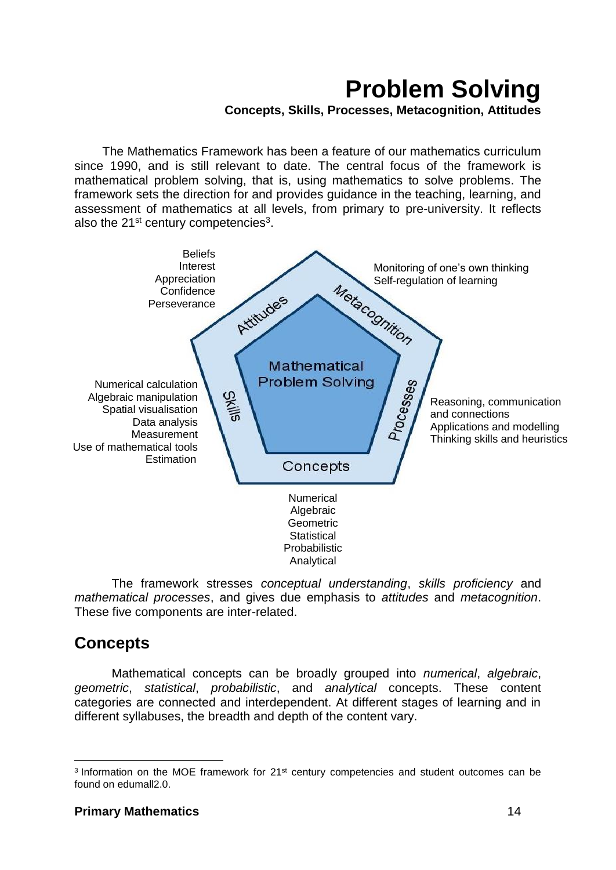# **Problem Solving**

#### **Concepts, Skills, Processes, Metacognition, Attitudes**

The Mathematics Framework has been a feature of our mathematics curriculum since 1990, and is still relevant to date. The central focus of the framework is mathematical problem solving, that is, using mathematics to solve problems. The framework sets the direction for and provides guidance in the teaching, learning, and assessment of mathematics at all levels, from primary to pre-university. It reflects also the  $21^{st}$  century competencies<sup>3</sup>.



The framework stresses *conceptual understanding*, *skills proficiency* and *mathematical processes*, and gives due emphasis to *attitudes* and *metacognition*. These five components are inter-related.

# **Concepts**

1

Mathematical concepts can be broadly grouped into *numerical*, *algebraic*, *geometric*, *statistical*, *probabilistic*, and *analytical* concepts. These content categories are connected and interdependent. At different stages of learning and in different syllabuses, the breadth and depth of the content vary.

<sup>&</sup>lt;sup>3</sup> Information on the MOE framework for 21<sup>st</sup> century competencies and student outcomes can be found on edumall2.0.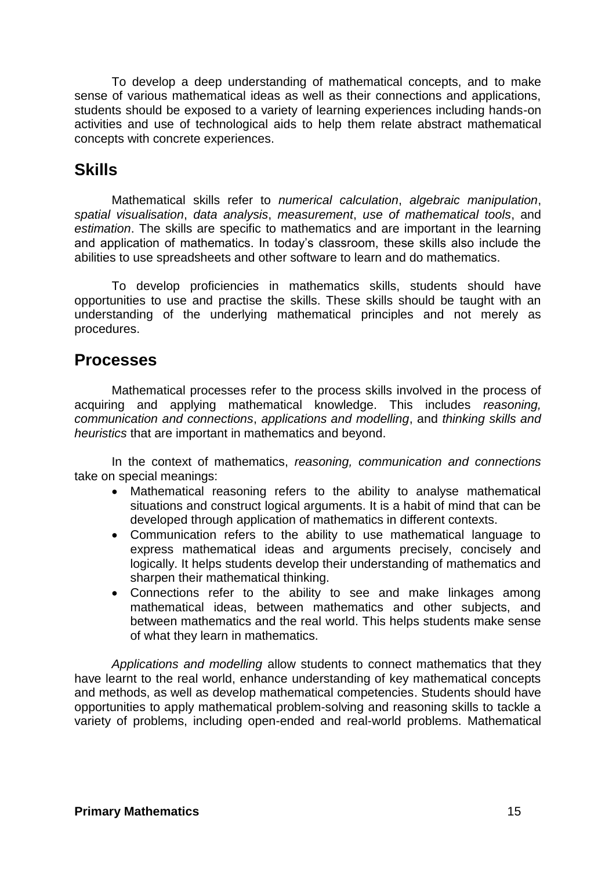To develop a deep understanding of mathematical concepts, and to make sense of various mathematical ideas as well as their connections and applications, students should be exposed to a variety of learning experiences including hands-on activities and use of technological aids to help them relate abstract mathematical concepts with concrete experiences.

## **Skills**

Mathematical skills refer to *numerical calculation*, *algebraic manipulation*, *spatial visualisation*, *data analysis*, *measurement*, *use of mathematical tools*, and *estimation*. The skills are specific to mathematics and are important in the learning and application of mathematics. In today's classroom, these skills also include the abilities to use spreadsheets and other software to learn and do mathematics.

To develop proficiencies in mathematics skills, students should have opportunities to use and practise the skills. These skills should be taught with an understanding of the underlying mathematical principles and not merely as procedures.

## **Processes**

Mathematical processes refer to the process skills involved in the process of acquiring and applying mathematical knowledge. This includes *reasoning, communication and connections*, *applications and modelling*, and *thinking skills and heuristics* that are important in mathematics and beyond.

In the context of mathematics, *reasoning, communication and connections* take on special meanings:

- Mathematical reasoning refers to the ability to analyse mathematical situations and construct logical arguments. It is a habit of mind that can be developed through application of mathematics in different contexts.
- Communication refers to the ability to use mathematical language to express mathematical ideas and arguments precisely, concisely and logically. It helps students develop their understanding of mathematics and sharpen their mathematical thinking.
- Connections refer to the ability to see and make linkages among mathematical ideas, between mathematics and other subjects, and between mathematics and the real world. This helps students make sense of what they learn in mathematics.

*Applications and modelling* allow students to connect mathematics that they have learnt to the real world, enhance understanding of key mathematical concepts and methods, as well as develop mathematical competencies. Students should have opportunities to apply mathematical problem-solving and reasoning skills to tackle a variety of problems, including open-ended and real-world problems. Mathematical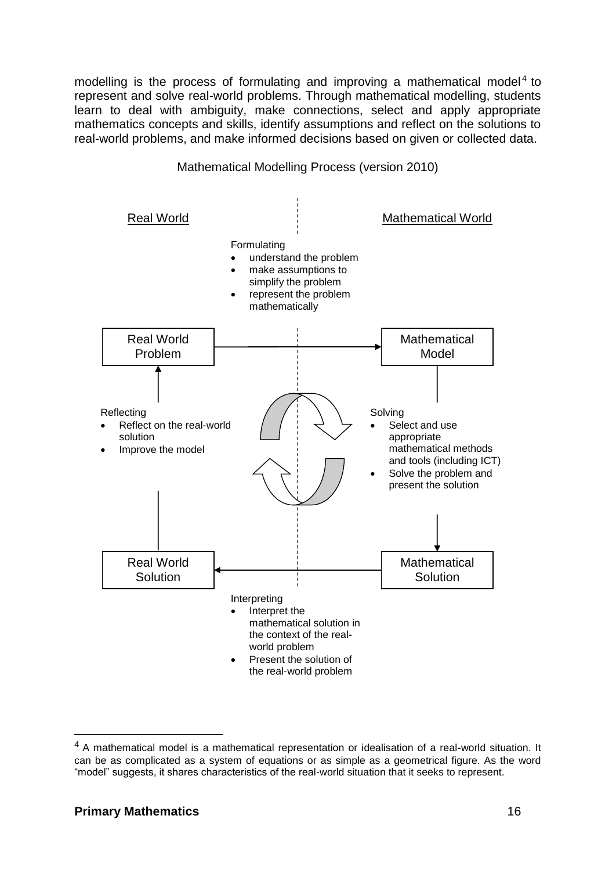modelling is the process of formulating and improving a mathematical model<sup>4</sup> to represent and solve real-world problems. Through mathematical modelling, students learn to deal with ambiguity, make connections, select and apply appropriate mathematics concepts and skills, identify assumptions and reflect on the solutions to real-world problems, and make informed decisions based on given or collected data.



Mathematical Modelling Process (version 2010)

-

 $<sup>4</sup>$  A mathematical model is a mathematical representation or idealisation of a real-world situation. It</sup> can be as complicated as a system of equations or as simple as a geometrical figure. As the word "model" suggests, it shares characteristics of the real-world situation that it seeks to represent.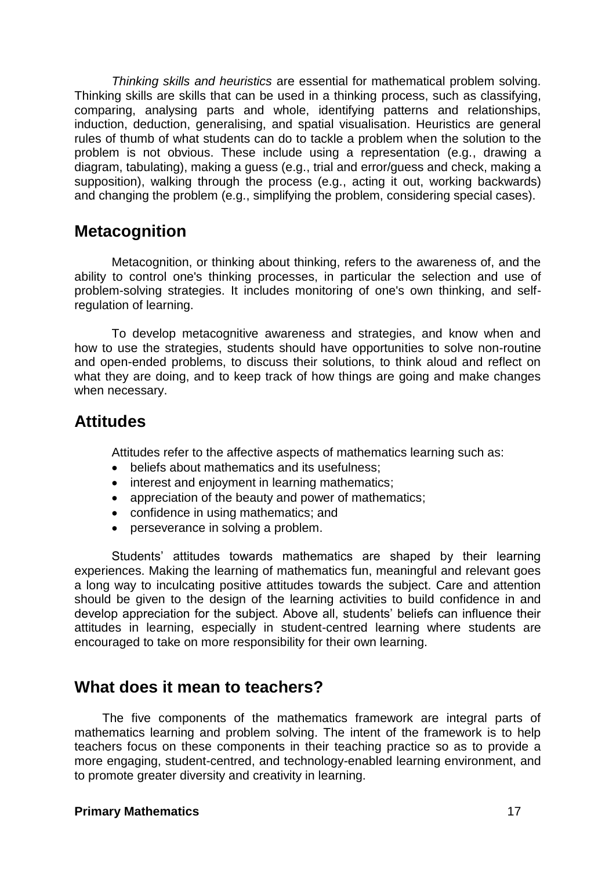*Thinking skills and heuristics* are essential for mathematical problem solving. Thinking skills are skills that can be used in a thinking process, such as classifying, comparing, analysing parts and whole, identifying patterns and relationships, induction, deduction, generalising, and spatial visualisation. Heuristics are general rules of thumb of what students can do to tackle a problem when the solution to the problem is not obvious. These include using a representation (e.g., drawing a diagram, tabulating), making a guess (e.g., trial and error/guess and check, making a supposition), walking through the process (e.g., acting it out, working backwards) and changing the problem (e.g., simplifying the problem, considering special cases).

## **Metacognition**

Metacognition, or thinking about thinking, refers to the awareness of, and the ability to control one's thinking processes, in particular the selection and use of problem-solving strategies. It includes monitoring of one's own thinking, and selfregulation of learning.

To develop metacognitive awareness and strategies, and know when and how to use the strategies, students should have opportunities to solve non-routine and open-ended problems, to discuss their solutions, to think aloud and reflect on what they are doing, and to keep track of how things are going and make changes when necessary.

## **Attitudes**

Attitudes refer to the affective aspects of mathematics learning such as:

- beliefs about mathematics and its usefulness:
- interest and enjoyment in learning mathematics;
- appreciation of the beauty and power of mathematics;
- confidence in using mathematics; and
- perseverance in solving a problem.

Students' attitudes towards mathematics are shaped by their learning experiences. Making the learning of mathematics fun, meaningful and relevant goes a long way to inculcating positive attitudes towards the subject. Care and attention should be given to the design of the learning activities to build confidence in and develop appreciation for the subject. Above all, students' beliefs can influence their attitudes in learning, especially in student-centred learning where students are encouraged to take on more responsibility for their own learning.

## **What does it mean to teachers?**

The five components of the mathematics framework are integral parts of mathematics learning and problem solving. The intent of the framework is to help teachers focus on these components in their teaching practice so as to provide a more engaging, student-centred, and technology-enabled learning environment, and to promote greater diversity and creativity in learning.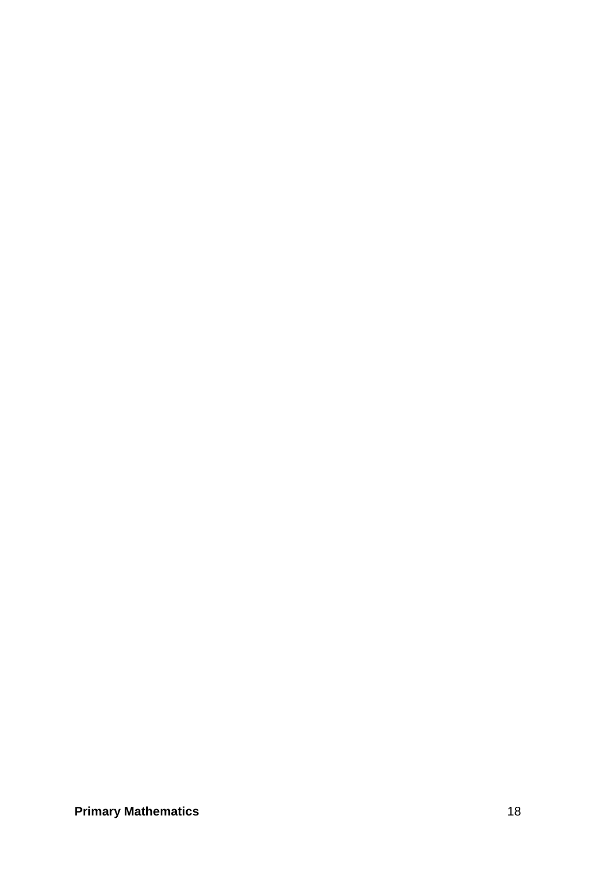**Primary Mathematics** 18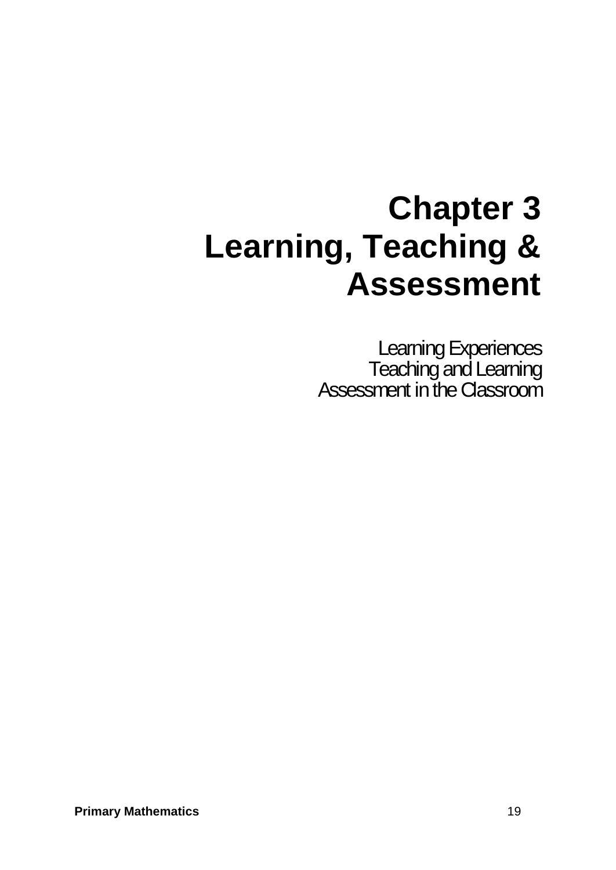# **Chapter 3 Learning, Teaching & Assessment**

Learning Experiences Teaching and Learning Assessment in the Classroom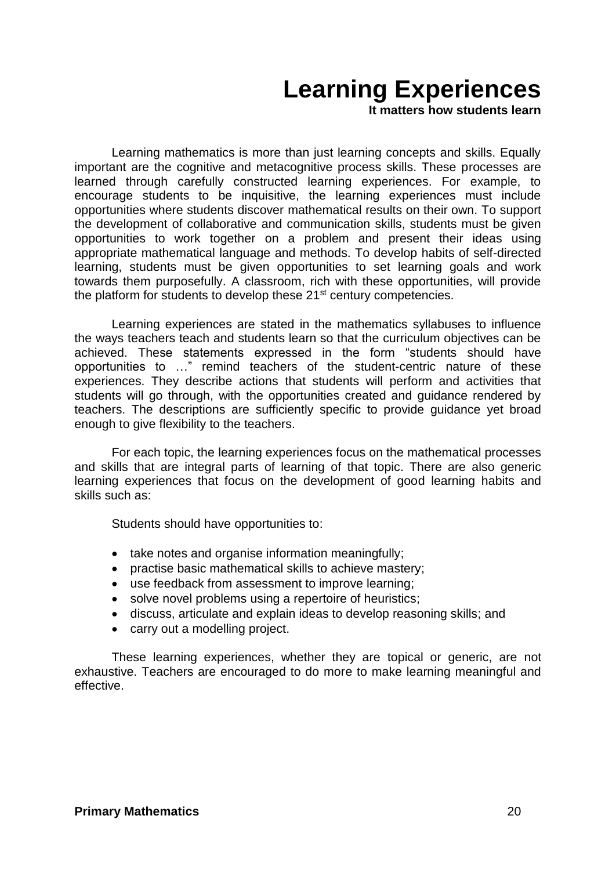# **Learning Experiences**

**It matters how students learn**

Learning mathematics is more than just learning concepts and skills. Equally important are the cognitive and metacognitive process skills. These processes are learned through carefully constructed learning experiences. For example, to encourage students to be inquisitive, the learning experiences must include opportunities where students discover mathematical results on their own. To support the development of collaborative and communication skills, students must be given opportunities to work together on a problem and present their ideas using appropriate mathematical language and methods. To develop habits of self-directed learning, students must be given opportunities to set learning goals and work towards them purposefully. A classroom, rich with these opportunities, will provide the platform for students to develop these 21<sup>st</sup> century competencies.

Learning experiences are stated in the mathematics syllabuses to influence the ways teachers teach and students learn so that the curriculum objectives can be achieved. These statements expressed in the form "students should have opportunities to …" remind teachers of the student-centric nature of these experiences. They describe actions that students will perform and activities that students will go through, with the opportunities created and guidance rendered by teachers. The descriptions are sufficiently specific to provide guidance yet broad enough to give flexibility to the teachers.

For each topic, the learning experiences focus on the mathematical processes and skills that are integral parts of learning of that topic. There are also generic learning experiences that focus on the development of good learning habits and skills such as:

Students should have opportunities to:

- take notes and organise information meaningfully;
- practise basic mathematical skills to achieve mastery;
- use feedback from assessment to improve learning;
- solve novel problems using a repertoire of heuristics;
- discuss, articulate and explain ideas to develop reasoning skills; and
- carry out a modelling project.

These learning experiences, whether they are topical or generic, are not exhaustive. Teachers are encouraged to do more to make learning meaningful and effective.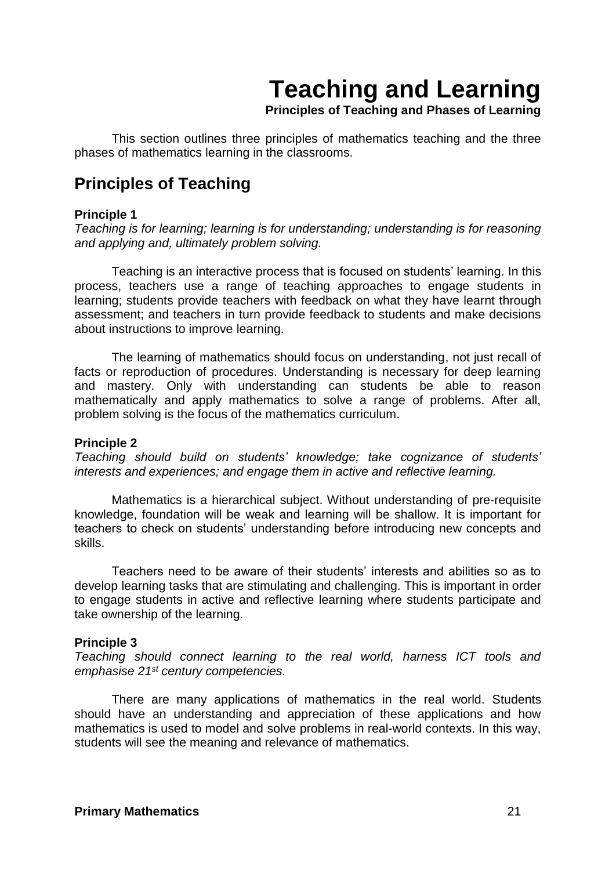# **Teaching and Learning**

**Principles of Teaching and Phases of Learning**

This section outlines three principles of mathematics teaching and the three phases of mathematics learning in the classrooms.

# **Principles of Teaching**

#### **Principle 1**

*Teaching is for learning; learning is for understanding; understanding is for reasoning and applying and, ultimately problem solving.*

Teaching is an interactive process that is focused on students' learning. In this process, teachers use a range of teaching approaches to engage students in learning; students provide teachers with feedback on what they have learnt through assessment; and teachers in turn provide feedback to students and make decisions about instructions to improve learning.

The learning of mathematics should focus on understanding, not just recall of facts or reproduction of procedures. Understanding is necessary for deep learning and mastery. Only with understanding can students be able to reason mathematically and apply mathematics to solve a range of problems. After all, problem solving is the focus of the mathematics curriculum.

#### **Principle 2**

*Teaching should build on students' knowledge; take cognizance of students' interests and experiences; and engage them in active and reflective learning.*

Mathematics is a hierarchical subject. Without understanding of pre-requisite knowledge, foundation will be weak and learning will be shallow. It is important for teachers to check on students' understanding before introducing new concepts and skills.

Teachers need to be aware of their students' interests and abilities so as to develop learning tasks that are stimulating and challenging. This is important in order to engage students in active and reflective learning where students participate and take ownership of the learning.

#### **Principle 3**

*Teaching should connect learning to the real world, harness ICT tools and emphasise 21st century competencies.*

There are many applications of mathematics in the real world. Students should have an understanding and appreciation of these applications and how mathematics is used to model and solve problems in real-world contexts. In this way, students will see the meaning and relevance of mathematics.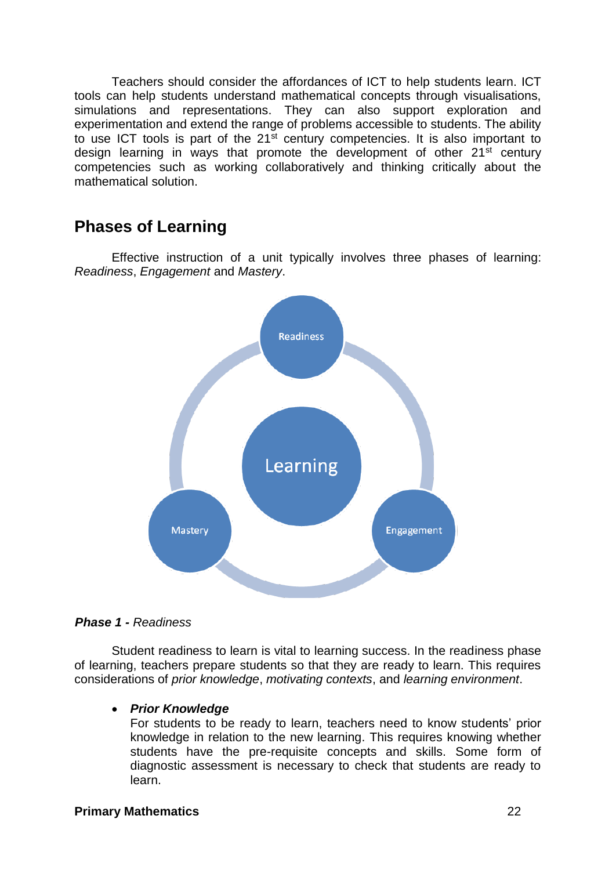Teachers should consider the affordances of ICT to help students learn. ICT tools can help students understand mathematical concepts through visualisations, simulations and representations. They can also support exploration and experimentation and extend the range of problems accessible to students. The ability to use ICT tools is part of the 21<sup>st</sup> century competencies. It is also important to design learning in ways that promote the development of other 21<sup>st</sup> century competencies such as working collaboratively and thinking critically about the mathematical solution.

## **Phases of Learning**

Effective instruction of a unit typically involves three phases of learning: *Readiness*, *Engagement* and *Mastery*.



*Phase 1 - Readiness*

Student readiness to learn is vital to learning success. In the readiness phase of learning, teachers prepare students so that they are ready to learn. This requires considerations of *prior knowledge*, *motivating contexts*, and *learning environment*.

#### *Prior Knowledge*

For students to be ready to learn, teachers need to know students' prior knowledge in relation to the new learning. This requires knowing whether students have the pre-requisite concepts and skills. Some form of diagnostic assessment is necessary to check that students are ready to learn.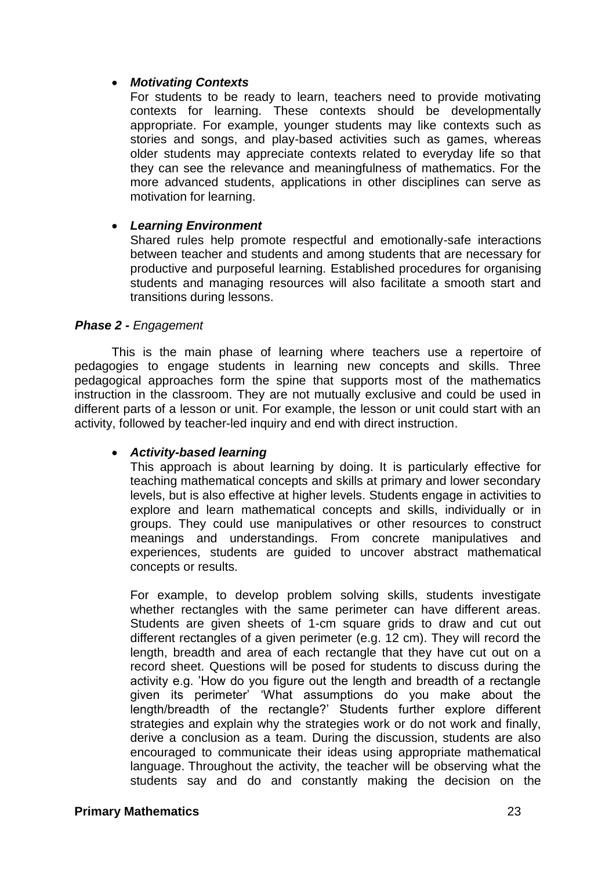#### *Motivating Contexts*

For students to be ready to learn, teachers need to provide motivating contexts for learning. These contexts should be developmentally appropriate. For example, younger students may like contexts such as stories and songs, and play-based activities such as games, whereas older students may appreciate contexts related to everyday life so that they can see the relevance and meaningfulness of mathematics. For the more advanced students, applications in other disciplines can serve as motivation for learning.

#### *Learning Environment*

Shared rules help promote respectful and emotionally-safe interactions between teacher and students and among students that are necessary for productive and purposeful learning. Established procedures for organising students and managing resources will also facilitate a smooth start and transitions during lessons.

#### *Phase 2 - Engagement*

This is the main phase of learning where teachers use a repertoire of pedagogies to engage students in learning new concepts and skills. Three pedagogical approaches form the spine that supports most of the mathematics instruction in the classroom. They are not mutually exclusive and could be used in different parts of a lesson or unit. For example, the lesson or unit could start with an activity, followed by teacher-led inquiry and end with direct instruction.

#### *Activity-based learning*

This approach is about learning by doing. It is particularly effective for teaching mathematical concepts and skills at primary and lower secondary levels, but is also effective at higher levels. Students engage in activities to explore and learn mathematical concepts and skills, individually or in groups. They could use manipulatives or other resources to construct meanings and understandings. From concrete manipulatives and experiences, students are guided to uncover abstract mathematical concepts or results.

For example, to develop problem solving skills, students investigate whether rectangles with the same perimeter can have different areas. Students are given sheets of 1-cm square grids to draw and cut out different rectangles of a given perimeter (e.g. 12 cm). They will record the length, breadth and area of each rectangle that they have cut out on a record sheet. Questions will be posed for students to discuss during the activity e.g. 'How do you figure out the length and breadth of a rectangle given its perimeter' 'What assumptions do you make about the length/breadth of the rectangle?' Students further explore different strategies and explain why the strategies work or do not work and finally, derive a conclusion as a team. During the discussion, students are also encouraged to communicate their ideas using appropriate mathematical language. Throughout the activity, the teacher will be observing what the students say and do and constantly making the decision on the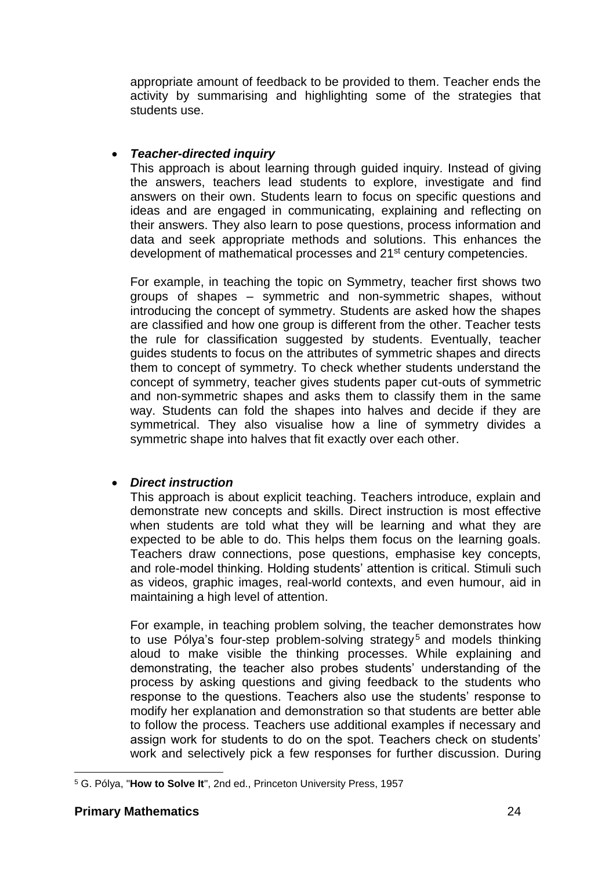appropriate amount of feedback to be provided to them. Teacher ends the activity by summarising and highlighting some of the strategies that students use.

#### *Teacher-directed inquiry*

This approach is about learning through guided inquiry. Instead of giving the answers, teachers lead students to explore, investigate and find answers on their own. Students learn to focus on specific questions and ideas and are engaged in communicating, explaining and reflecting on their answers. They also learn to pose questions, process information and data and seek appropriate methods and solutions. This enhances the development of mathematical processes and 21<sup>st</sup> century competencies.

For example, in teaching the topic on Symmetry, teacher first shows two groups of shapes – symmetric and non-symmetric shapes, without introducing the concept of symmetry. Students are asked how the shapes are classified and how one group is different from the other. Teacher tests the rule for classification suggested by students. Eventually, teacher guides students to focus on the attributes of symmetric shapes and directs them to concept of symmetry. To check whether students understand the concept of symmetry, teacher gives students paper cut-outs of symmetric and non-symmetric shapes and asks them to classify them in the same way. Students can fold the shapes into halves and decide if they are symmetrical. They also visualise how a line of symmetry divides a symmetric shape into halves that fit exactly over each other.

#### *Direct instruction*

This approach is about explicit teaching. Teachers introduce, explain and demonstrate new concepts and skills. Direct instruction is most effective when students are told what they will be learning and what they are expected to be able to do. This helps them focus on the learning goals. Teachers draw connections, pose questions, emphasise key concepts, and role-model thinking. Holding students' attention is critical. Stimuli such as videos, graphic images, real-world contexts, and even humour, aid in maintaining a high level of attention.

For example, in teaching problem solving, the teacher demonstrates how to use Pólya's four-step problem-solving strategy<sup>5</sup> and models thinking aloud to make visible the thinking processes. While explaining and demonstrating, the teacher also probes students' understanding of the process by asking questions and giving feedback to the students who response to the questions. Teachers also use the students' response to modify her explanation and demonstration so that students are better able to follow the process. Teachers use additional examples if necessary and assign work for students to do on the spot. Teachers check on students' work and selectively pick a few responses for further discussion. During

<sup>1</sup> <sup>5</sup> G. Pólya, "**How to Solve It**", 2nd ed., Princeton University Press, 1957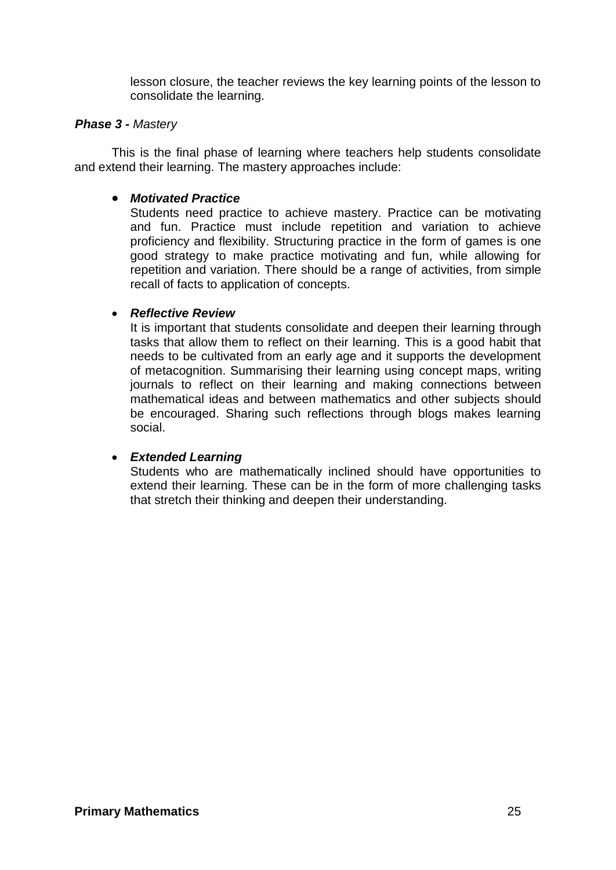lesson closure, the teacher reviews the key learning points of the lesson to consolidate the learning.

#### *Phase 3 - Mastery*

This is the final phase of learning where teachers help students consolidate and extend their learning. The mastery approaches include:

#### *Motivated Practice*

Students need practice to achieve mastery. Practice can be motivating and fun. Practice must include repetition and variation to achieve proficiency and flexibility. Structuring practice in the form of games is one good strategy to make practice motivating and fun, while allowing for repetition and variation. There should be a range of activities, from simple recall of facts to application of concepts.

#### *Reflective Review*

It is important that students consolidate and deepen their learning through tasks that allow them to reflect on their learning. This is a good habit that needs to be cultivated from an early age and it supports the development of metacognition. Summarising their learning using concept maps, writing journals to reflect on their learning and making connections between mathematical ideas and between mathematics and other subjects should be encouraged. Sharing such reflections through blogs makes learning social.

#### *Extended Learning*

Students who are mathematically inclined should have opportunities to extend their learning. These can be in the form of more challenging tasks that stretch their thinking and deepen their understanding.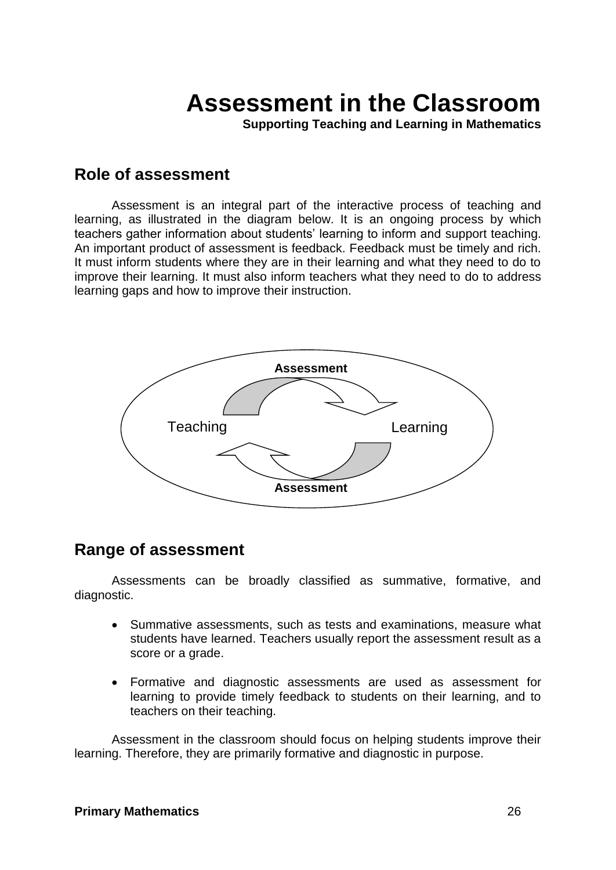# **Assessment in the Classroom**

**Supporting Teaching and Learning in Mathematics**

### **Role of assessment**

Assessment is an integral part of the interactive process of teaching and learning, as illustrated in the diagram below. It is an ongoing process by which teachers gather information about students' learning to inform and support teaching. An important product of assessment is feedback. Feedback must be timely and rich. It must inform students where they are in their learning and what they need to do to improve their learning. It must also inform teachers what they need to do to address learning gaps and how to improve their instruction.



## **Range of assessment**

Assessments can be broadly classified as summative, formative, and diagnostic.

- Summative assessments, such as tests and examinations, measure what students have learned. Teachers usually report the assessment result as a score or a grade.
- Formative and diagnostic assessments are used as assessment for learning to provide timely feedback to students on their learning, and to teachers on their teaching.

Assessment in the classroom should focus on helping students improve their learning. Therefore, they are primarily formative and diagnostic in purpose.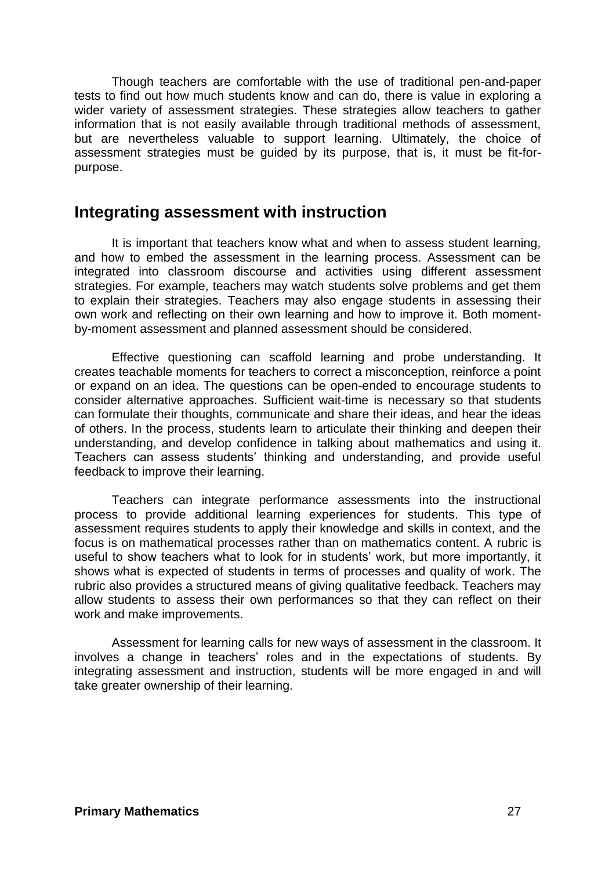Though teachers are comfortable with the use of traditional pen-and-paper tests to find out how much students know and can do, there is value in exploring a wider variety of assessment strategies. These strategies allow teachers to gather information that is not easily available through traditional methods of assessment, but are nevertheless valuable to support learning. Ultimately, the choice of assessment strategies must be guided by its purpose, that is, it must be fit-forpurpose.

### **Integrating assessment with instruction**

It is important that teachers know what and when to assess student learning, and how to embed the assessment in the learning process. Assessment can be integrated into classroom discourse and activities using different assessment strategies. For example, teachers may watch students solve problems and get them to explain their strategies. Teachers may also engage students in assessing their own work and reflecting on their own learning and how to improve it. Both momentby-moment assessment and planned assessment should be considered.

Effective questioning can scaffold learning and probe understanding. It creates teachable moments for teachers to correct a misconception, reinforce a point or expand on an idea. The questions can be open-ended to encourage students to consider alternative approaches. Sufficient wait-time is necessary so that students can formulate their thoughts, communicate and share their ideas, and hear the ideas of others. In the process, students learn to articulate their thinking and deepen their understanding, and develop confidence in talking about mathematics and using it. Teachers can assess students' thinking and understanding, and provide useful feedback to improve their learning.

Teachers can integrate performance assessments into the instructional process to provide additional learning experiences for students. This type of assessment requires students to apply their knowledge and skills in context, and the focus is on mathematical processes rather than on mathematics content. A rubric is useful to show teachers what to look for in students' work, but more importantly, it shows what is expected of students in terms of processes and quality of work. The rubric also provides a structured means of giving qualitative feedback. Teachers may allow students to assess their own performances so that they can reflect on their work and make improvements.

Assessment for learning calls for new ways of assessment in the classroom. It involves a change in teachers' roles and in the expectations of students. By integrating assessment and instruction, students will be more engaged in and will take greater ownership of their learning.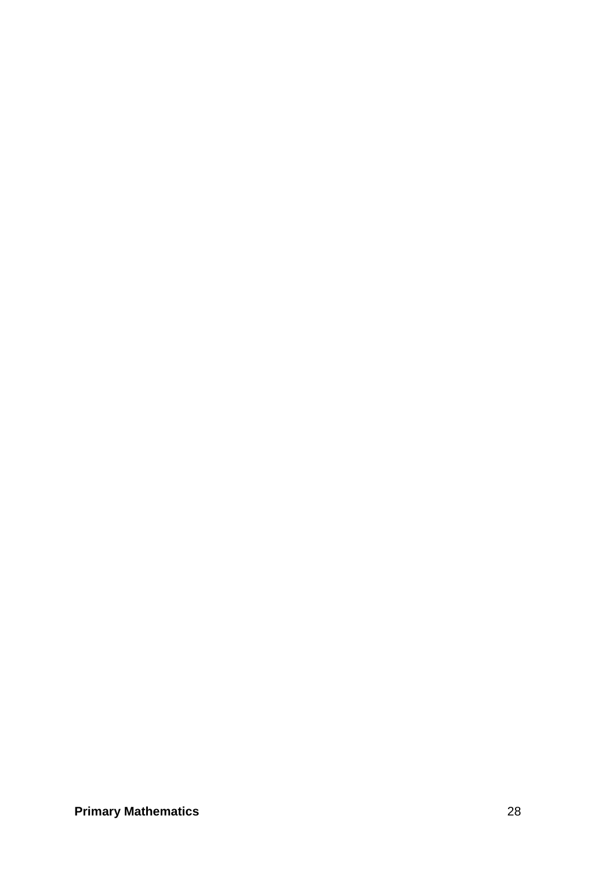**Primary Mathematics** 28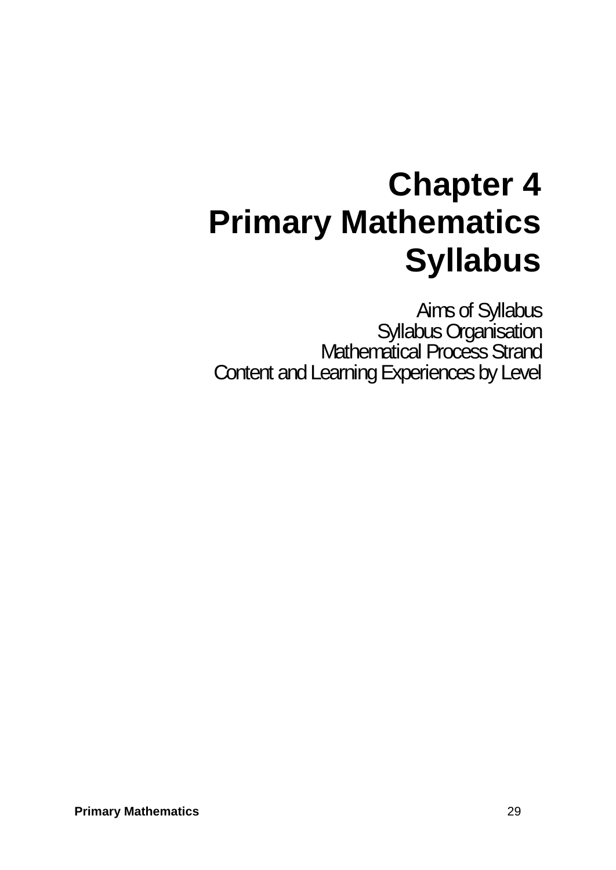# **Chapter 4 Primary Mathematics Syllabus**

Aims of Syllabus Syllabus Organisation Mathematical Process Strand Content and Learning Experiences by Level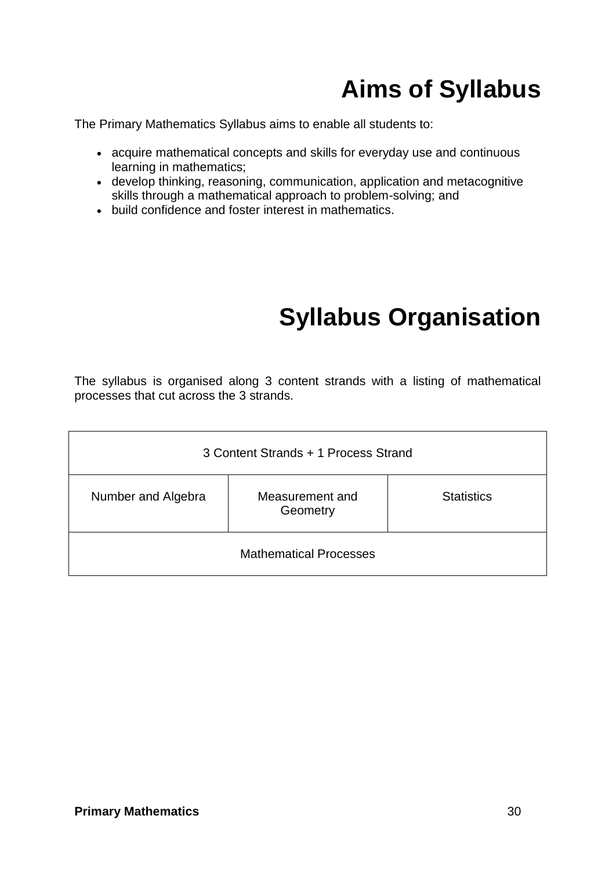# **Aims of Syllabus**

The Primary Mathematics Syllabus aims to enable all students to:

- acquire mathematical concepts and skills for everyday use and continuous learning in mathematics;
- develop thinking, reasoning, communication, application and metacognitive skills through a mathematical approach to problem-solving; and
- build confidence and foster interest in mathematics.

# **Syllabus Organisation**

The syllabus is organised along 3 content strands with a listing of mathematical processes that cut across the 3 strands.

| 3 Content Strands + 1 Process Strand |                               |                   |
|--------------------------------------|-------------------------------|-------------------|
| Number and Algebra                   | Measurement and<br>Geometry   | <b>Statistics</b> |
|                                      | <b>Mathematical Processes</b> |                   |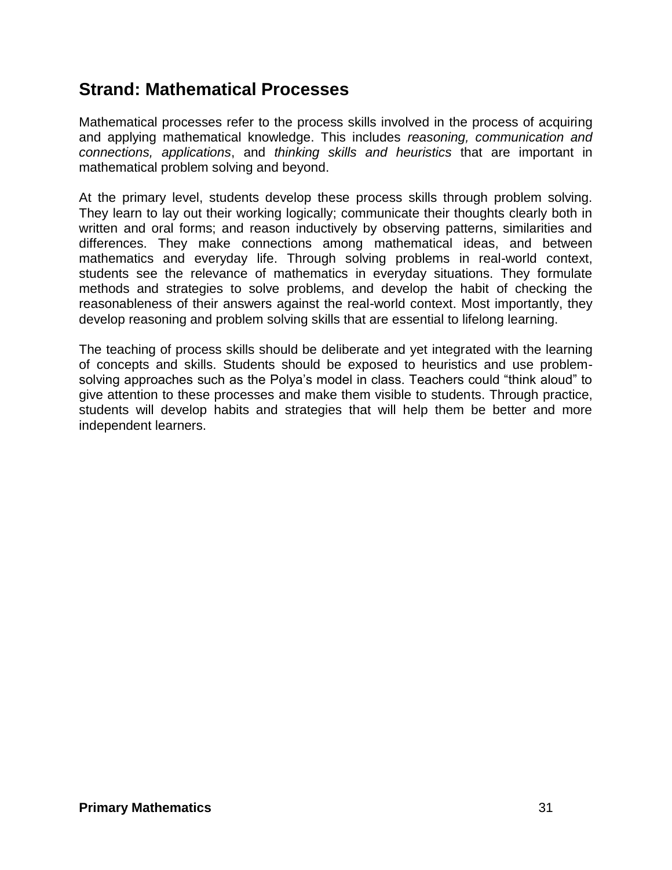## **Strand: Mathematical Processes**

Mathematical processes refer to the process skills involved in the process of acquiring and applying mathematical knowledge. This includes *reasoning, communication and connections, applications*, and *thinking skills and heuristics* that are important in mathematical problem solving and beyond.

At the primary level, students develop these process skills through problem solving. They learn to lay out their working logically; communicate their thoughts clearly both in written and oral forms; and reason inductively by observing patterns, similarities and differences. They make connections among mathematical ideas, and between mathematics and everyday life. Through solving problems in real-world context, students see the relevance of mathematics in everyday situations. They formulate methods and strategies to solve problems, and develop the habit of checking the reasonableness of their answers against the real-world context. Most importantly, they develop reasoning and problem solving skills that are essential to lifelong learning.

The teaching of process skills should be deliberate and yet integrated with the learning of concepts and skills. Students should be exposed to heuristics and use problemsolving approaches such as the Polya's model in class. Teachers could "think aloud" to give attention to these processes and make them visible to students. Through practice, students will develop habits and strategies that will help them be better and more independent learners.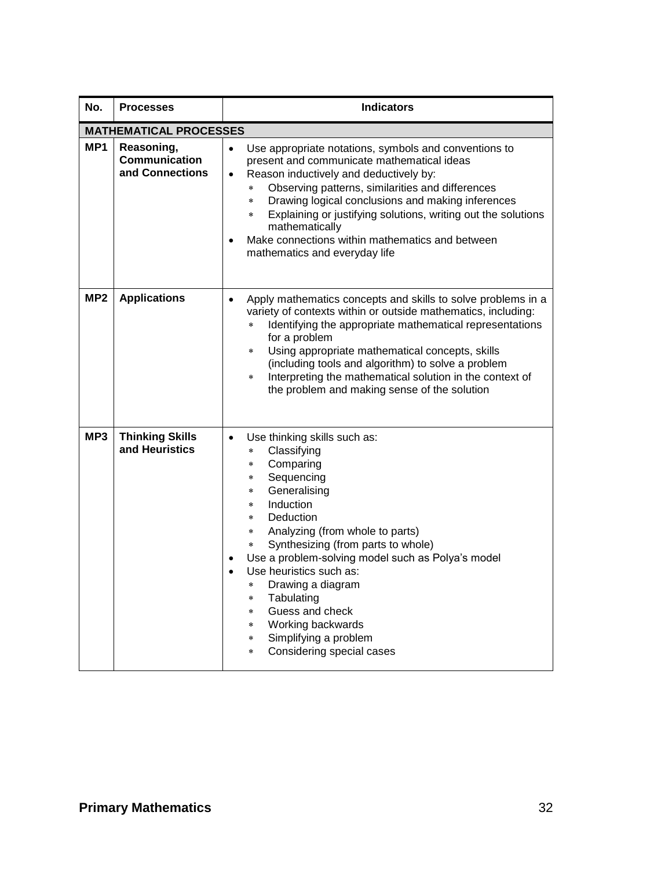| No.             | <b>Processes</b>                                      | <b>Indicators</b>                                                                                                                                                                                                                                                                                                                                                                                                                                                                                                                                              |  |  |
|-----------------|-------------------------------------------------------|----------------------------------------------------------------------------------------------------------------------------------------------------------------------------------------------------------------------------------------------------------------------------------------------------------------------------------------------------------------------------------------------------------------------------------------------------------------------------------------------------------------------------------------------------------------|--|--|
|                 | <b>MATHEMATICAL PROCESSES</b>                         |                                                                                                                                                                                                                                                                                                                                                                                                                                                                                                                                                                |  |  |
| MP <sub>1</sub> | Reasoning,<br><b>Communication</b><br>and Connections | $\bullet$<br>Use appropriate notations, symbols and conventions to<br>present and communicate mathematical ideas<br>Reason inductively and deductively by:<br>$\bullet$<br>Observing patterns, similarities and differences<br>$\star$<br>Drawing logical conclusions and making inferences<br>$\star$<br>Explaining or justifying solutions, writing out the solutions<br>÷.<br>mathematically<br>Make connections within mathematics and between<br>mathematics and everyday life                                                                            |  |  |
| MP <sub>2</sub> | <b>Applications</b>                                   | Apply mathematics concepts and skills to solve problems in a<br>$\bullet$<br>variety of contexts within or outside mathematics, including:<br>Identifying the appropriate mathematical representations<br>$\ast$<br>for a problem<br>Using appropriate mathematical concepts, skills<br>$\star$<br>(including tools and algorithm) to solve a problem<br>Interpreting the mathematical solution in the context of<br>$\star$<br>the problem and making sense of the solution                                                                                   |  |  |
| MP <sub>3</sub> | <b>Thinking Skills</b><br>and Heuristics              | Use thinking skills such as:<br>Classifying<br>$\star$<br>Comparing<br>$\star$<br>Sequencing<br>$\star$<br>Generalising<br>$\star$<br>Induction<br>$\star$<br>Deduction<br>$\star$<br>Analyzing (from whole to parts)<br>$\star$<br>Synthesizing (from parts to whole)<br>$\star$<br>Use a problem-solving model such as Polya's model<br>Use heuristics such as:<br>Drawing a diagram<br>$\star$<br>Tabulating<br>$\star$<br>Guess and check<br>$\star$<br>Working backwards<br>*,<br>Simplifying a problem<br>$\star$<br>Considering special cases<br>$\ast$ |  |  |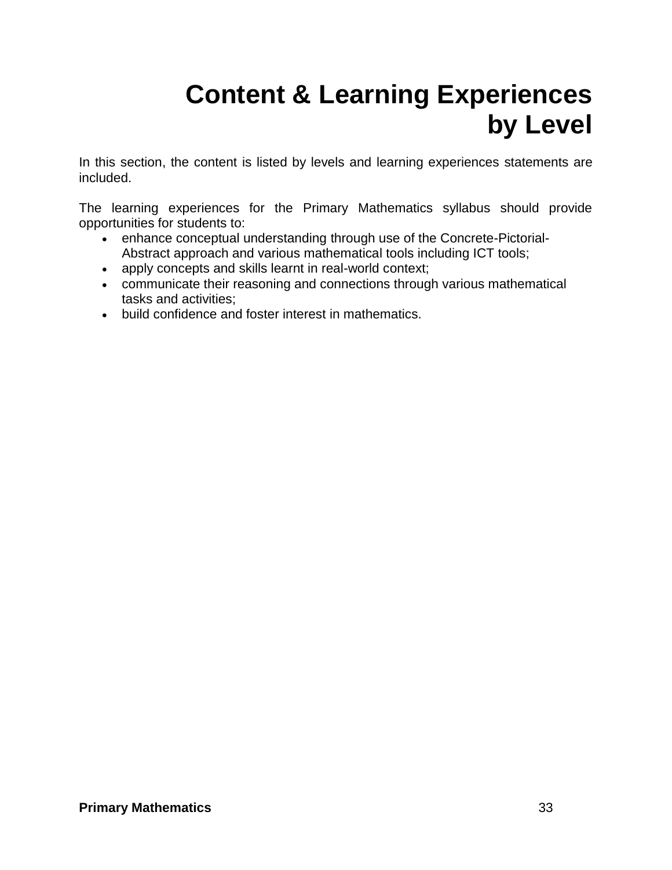# **Content & Learning Experiences by Level**

In this section, the content is listed by levels and learning experiences statements are included.

The learning experiences for the Primary Mathematics syllabus should provide opportunities for students to:

- enhance conceptual understanding through use of the Concrete-Pictorial-Abstract approach and various mathematical tools including ICT tools;
- apply concepts and skills learnt in real-world context;
- communicate their reasoning and connections through various mathematical tasks and activities;
- build confidence and foster interest in mathematics.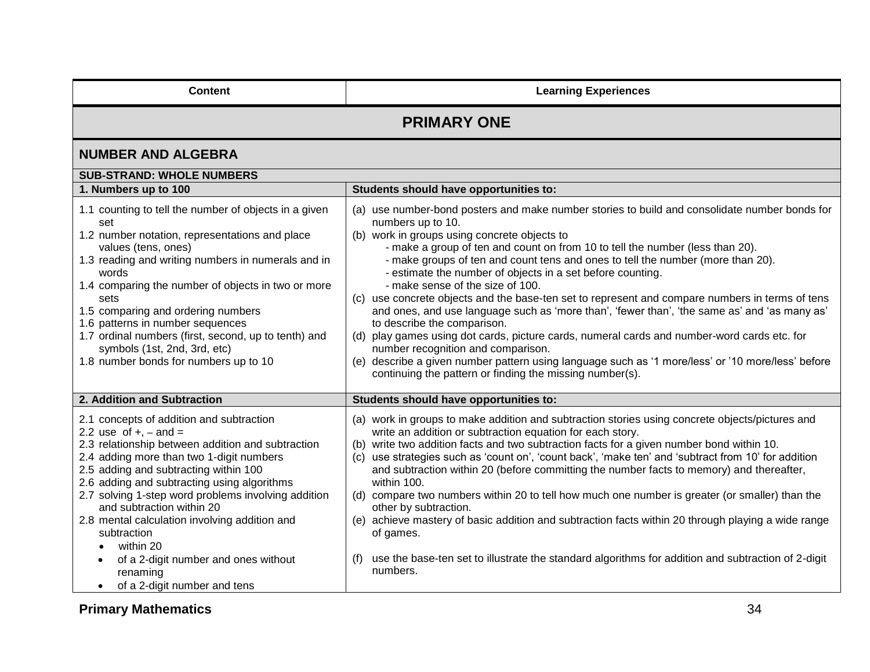| <b>Content</b>                                                                                                                                                                                                                                                                                                                                                                                                                                                                                                                      | <b>Learning Experiences</b>                                                                                                                                                                                                                                                                                                                                                                                                                                                                                                                                                                                                                                                                                                                                                                                                                                                                                                                                                      |  |  |
|-------------------------------------------------------------------------------------------------------------------------------------------------------------------------------------------------------------------------------------------------------------------------------------------------------------------------------------------------------------------------------------------------------------------------------------------------------------------------------------------------------------------------------------|----------------------------------------------------------------------------------------------------------------------------------------------------------------------------------------------------------------------------------------------------------------------------------------------------------------------------------------------------------------------------------------------------------------------------------------------------------------------------------------------------------------------------------------------------------------------------------------------------------------------------------------------------------------------------------------------------------------------------------------------------------------------------------------------------------------------------------------------------------------------------------------------------------------------------------------------------------------------------------|--|--|
| <b>PRIMARY ONE</b>                                                                                                                                                                                                                                                                                                                                                                                                                                                                                                                  |                                                                                                                                                                                                                                                                                                                                                                                                                                                                                                                                                                                                                                                                                                                                                                                                                                                                                                                                                                                  |  |  |
| <b>NUMBER AND ALGEBRA</b>                                                                                                                                                                                                                                                                                                                                                                                                                                                                                                           |                                                                                                                                                                                                                                                                                                                                                                                                                                                                                                                                                                                                                                                                                                                                                                                                                                                                                                                                                                                  |  |  |
| <b>SUB-STRAND: WHOLE NUMBERS</b>                                                                                                                                                                                                                                                                                                                                                                                                                                                                                                    |                                                                                                                                                                                                                                                                                                                                                                                                                                                                                                                                                                                                                                                                                                                                                                                                                                                                                                                                                                                  |  |  |
| 1. Numbers up to 100                                                                                                                                                                                                                                                                                                                                                                                                                                                                                                                | Students should have opportunities to:                                                                                                                                                                                                                                                                                                                                                                                                                                                                                                                                                                                                                                                                                                                                                                                                                                                                                                                                           |  |  |
| 1.1 counting to tell the number of objects in a given<br>set<br>1.2 number notation, representations and place<br>values (tens, ones)<br>1.3 reading and writing numbers in numerals and in<br>words<br>1.4 comparing the number of objects in two or more<br>sets<br>1.5 comparing and ordering numbers<br>1.6 patterns in number sequences<br>1.7 ordinal numbers (first, second, up to tenth) and<br>symbols (1st, 2nd, 3rd, etc)<br>1.8 number bonds for numbers up to 10                                                       | (a) use number-bond posters and make number stories to build and consolidate number bonds for<br>numbers up to 10.<br>(b) work in groups using concrete objects to<br>- make a group of ten and count on from 10 to tell the number (less than 20).<br>- make groups of ten and count tens and ones to tell the number (more than 20).<br>- estimate the number of objects in a set before counting.<br>- make sense of the size of 100.<br>(c) use concrete objects and the base-ten set to represent and compare numbers in terms of tens<br>and ones, and use language such as 'more than', 'fewer than', 'the same as' and 'as many as'<br>to describe the comparison.<br>(d) play games using dot cards, picture cards, numeral cards and number-word cards etc. for<br>number recognition and comparison.<br>(e) describe a given number pattern using language such as '1 more/less' or '10 more/less' before<br>continuing the pattern or finding the missing number(s). |  |  |
| 2. Addition and Subtraction                                                                                                                                                                                                                                                                                                                                                                                                                                                                                                         | Students should have opportunities to:                                                                                                                                                                                                                                                                                                                                                                                                                                                                                                                                                                                                                                                                                                                                                                                                                                                                                                                                           |  |  |
| 2.1 concepts of addition and subtraction<br>2.2 use of $+$ , $-$ and $=$<br>2.3 relationship between addition and subtraction<br>2.4 adding more than two 1-digit numbers<br>2.5 adding and subtracting within 100<br>2.6 adding and subtracting using algorithms<br>2.7 solving 1-step word problems involving addition<br>and subtraction within 20<br>2.8 mental calculation involving addition and<br>subtraction<br>within 20<br>of a 2-digit number and ones without<br>renaming<br>of a 2-digit number and tens<br>$\bullet$ | (a) work in groups to make addition and subtraction stories using concrete objects/pictures and<br>write an addition or subtraction equation for each story.<br>(b) write two addition facts and two subtraction facts for a given number bond within 10.<br>use strategies such as 'count on', 'count back', 'make ten' and 'subtract from 10' for addition<br>and subtraction within 20 (before committing the number facts to memory) and thereafter,<br>within 100.<br>(d) compare two numbers within 20 to tell how much one number is greater (or smaller) than the<br>other by subtraction.<br>(e) achieve mastery of basic addition and subtraction facts within 20 through playing a wide range<br>of games.<br>use the base-ten set to illustrate the standard algorithms for addition and subtraction of 2-digit<br>numbers.                                                                                                                                          |  |  |

### **Primary Mathematics** 34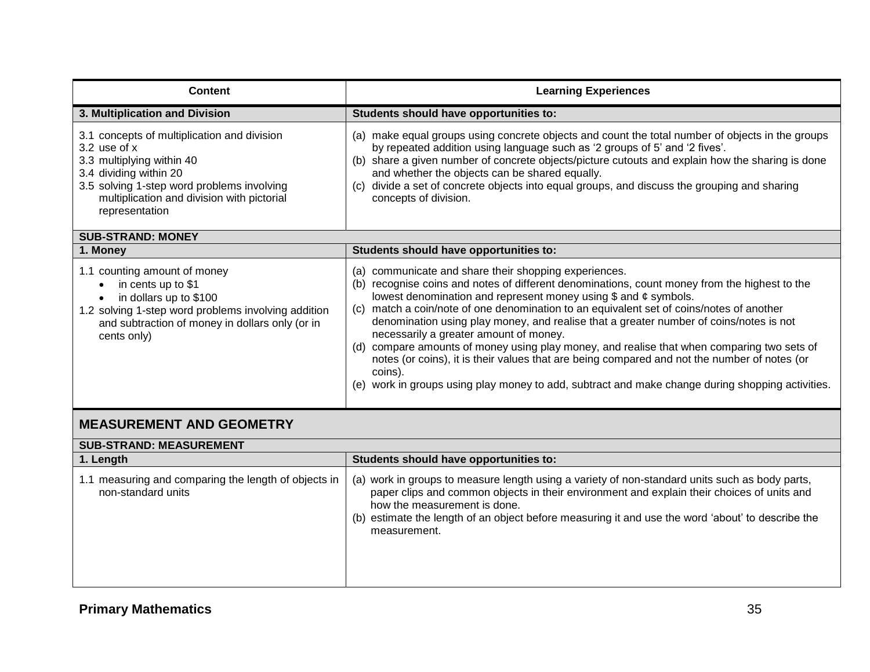| Content                                                                                                                                                                                                                          | <b>Learning Experiences</b>                                                                                                                                                                                                                                                                                                                                                                                                                                                                                                                                                                                                                                                                                                                                                           |
|----------------------------------------------------------------------------------------------------------------------------------------------------------------------------------------------------------------------------------|---------------------------------------------------------------------------------------------------------------------------------------------------------------------------------------------------------------------------------------------------------------------------------------------------------------------------------------------------------------------------------------------------------------------------------------------------------------------------------------------------------------------------------------------------------------------------------------------------------------------------------------------------------------------------------------------------------------------------------------------------------------------------------------|
| 3. Multiplication and Division                                                                                                                                                                                                   | Students should have opportunities to:                                                                                                                                                                                                                                                                                                                                                                                                                                                                                                                                                                                                                                                                                                                                                |
| 3.1 concepts of multiplication and division<br>3.2 use of x<br>3.3 multiplying within 40<br>3.4 dividing within 20<br>3.5 solving 1-step word problems involving<br>multiplication and division with pictorial<br>representation | (a) make equal groups using concrete objects and count the total number of objects in the groups<br>by repeated addition using language such as '2 groups of 5' and '2 fives'.<br>(b) share a given number of concrete objects/picture cutouts and explain how the sharing is done<br>and whether the objects can be shared equally.<br>divide a set of concrete objects into equal groups, and discuss the grouping and sharing<br>(C)<br>concepts of division.                                                                                                                                                                                                                                                                                                                      |
| <b>SUB-STRAND: MONEY</b>                                                                                                                                                                                                         |                                                                                                                                                                                                                                                                                                                                                                                                                                                                                                                                                                                                                                                                                                                                                                                       |
| 1. Money                                                                                                                                                                                                                         | Students should have opportunities to:                                                                                                                                                                                                                                                                                                                                                                                                                                                                                                                                                                                                                                                                                                                                                |
| 1.1 counting amount of money<br>in cents up to \$1<br>in dollars up to \$100<br>1.2 solving 1-step word problems involving addition<br>and subtraction of money in dollars only (or in<br>cents only)                            | communicate and share their shopping experiences.<br>(a)<br>recognise coins and notes of different denominations, count money from the highest to the<br>(b)<br>lowest denomination and represent money using $$$ and $¢$ symbols.<br>(c) match a coin/note of one denomination to an equivalent set of coins/notes of another<br>denomination using play money, and realise that a greater number of coins/notes is not<br>necessarily a greater amount of money.<br>compare amounts of money using play money, and realise that when comparing two sets of<br>(d)<br>notes (or coins), it is their values that are being compared and not the number of notes (or<br>coins).<br>work in groups using play money to add, subtract and make change during shopping activities.<br>(e) |

### **MEASUREMENT AND GEOMETRY**

| <b>SUB-STRAND: MEASUREMENT</b>                                                |                                                                                                                                                                                                                                                                                                                                                   |  |  |
|-------------------------------------------------------------------------------|---------------------------------------------------------------------------------------------------------------------------------------------------------------------------------------------------------------------------------------------------------------------------------------------------------------------------------------------------|--|--|
| 1. Length                                                                     | Students should have opportunities to:                                                                                                                                                                                                                                                                                                            |  |  |
| measuring and comparing the length of objects in<br>1.1<br>non-standard units | (a) work in groups to measure length using a variety of non-standard units such as body parts,<br>paper clips and common objects in their environment and explain their choices of units and<br>how the measurement is done.<br>(b) estimate the length of an object before measuring it and use the word 'about' to describe the<br>measurement. |  |  |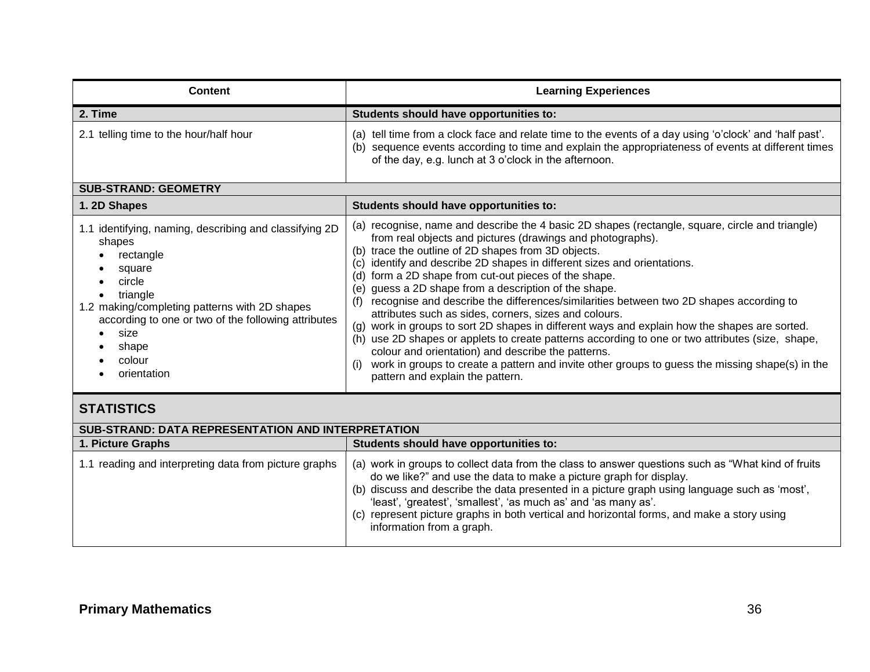| <b>Content</b>                                                                                                                                                                                                                                                  | <b>Learning Experiences</b>                                                                                                                                                                                                                                                                                                                                                                                                                                                                                                                                                                                                                                                                                                                                                                                                                                                                                                                                                                |  |
|-----------------------------------------------------------------------------------------------------------------------------------------------------------------------------------------------------------------------------------------------------------------|--------------------------------------------------------------------------------------------------------------------------------------------------------------------------------------------------------------------------------------------------------------------------------------------------------------------------------------------------------------------------------------------------------------------------------------------------------------------------------------------------------------------------------------------------------------------------------------------------------------------------------------------------------------------------------------------------------------------------------------------------------------------------------------------------------------------------------------------------------------------------------------------------------------------------------------------------------------------------------------------|--|
| 2. Time                                                                                                                                                                                                                                                         | Students should have opportunities to:                                                                                                                                                                                                                                                                                                                                                                                                                                                                                                                                                                                                                                                                                                                                                                                                                                                                                                                                                     |  |
| 2.1 telling time to the hour/half hour                                                                                                                                                                                                                          | tell time from a clock face and relate time to the events of a day using 'o'clock' and 'half past'.<br>(a)<br>sequence events according to time and explain the appropriateness of events at different times<br>(b)<br>of the day, e.g. lunch at 3 o'clock in the afternoon.                                                                                                                                                                                                                                                                                                                                                                                                                                                                                                                                                                                                                                                                                                               |  |
| <b>SUB-STRAND: GEOMETRY</b>                                                                                                                                                                                                                                     |                                                                                                                                                                                                                                                                                                                                                                                                                                                                                                                                                                                                                                                                                                                                                                                                                                                                                                                                                                                            |  |
| 1. 2D Shapes                                                                                                                                                                                                                                                    | Students should have opportunities to:                                                                                                                                                                                                                                                                                                                                                                                                                                                                                                                                                                                                                                                                                                                                                                                                                                                                                                                                                     |  |
| 1.1 identifying, naming, describing and classifying 2D<br>shapes<br>rectangle<br>square<br>circle<br>triangle<br>1.2 making/completing patterns with 2D shapes<br>according to one or two of the following attributes<br>size<br>shape<br>colour<br>orientation | (a) recognise, name and describe the 4 basic 2D shapes (rectangle, square, circle and triangle)<br>from real objects and pictures (drawings and photographs).<br>(b) trace the outline of 2D shapes from 3D objects.<br>identify and describe 2D shapes in different sizes and orientations.<br>(C)<br>form a 2D shape from cut-out pieces of the shape.<br>(d)<br>guess a 2D shape from a description of the shape.<br>(e)<br>recognise and describe the differences/similarities between two 2D shapes according to<br>attributes such as sides, corners, sizes and colours.<br>(g) work in groups to sort 2D shapes in different ways and explain how the shapes are sorted.<br>use 2D shapes or applets to create patterns according to one or two attributes (size, shape,<br>(h)<br>colour and orientation) and describe the patterns.<br>work in groups to create a pattern and invite other groups to guess the missing shape(s) in the<br>(i)<br>pattern and explain the pattern. |  |

## **STATISTICS**

| <b>SUB-STRAND: DATA REPRESENTATION AND INTERPRETATION</b> |                                                                                                                                                                                                                                                                                                                                                                                                                                                                          |  |  |
|-----------------------------------------------------------|--------------------------------------------------------------------------------------------------------------------------------------------------------------------------------------------------------------------------------------------------------------------------------------------------------------------------------------------------------------------------------------------------------------------------------------------------------------------------|--|--|
| 1. Picture Graphs                                         | Students should have opportunities to:                                                                                                                                                                                                                                                                                                                                                                                                                                   |  |  |
| 1.1 reading and interpreting data from picture graphs     | (a) work in groups to collect data from the class to answer questions such as "What kind of fruits"<br>do we like?" and use the data to make a picture graph for display.<br>(b) discuss and describe the data presented in a picture graph using language such as 'most',<br>'least', 'greatest', 'smallest', 'as much as' and 'as many as'.<br>(c) represent picture graphs in both vertical and horizontal forms, and make a story using<br>information from a graph. |  |  |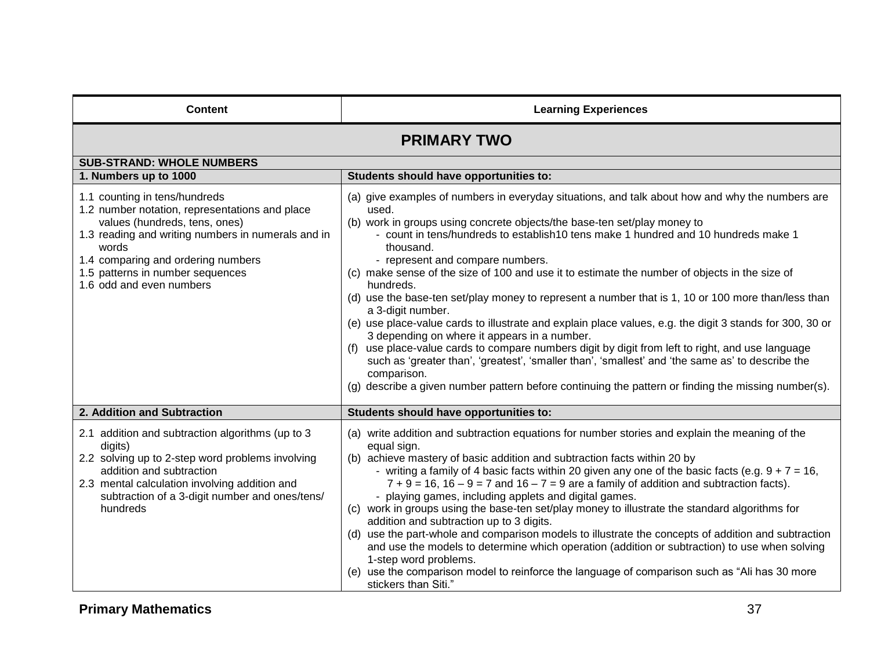| <b>Content</b>                                                                                                                                                                                                                                                                        | <b>Learning Experiences</b>                                                                                                                                                                                                                                                                                                                                                                                                                                                                                                                                                                                                                                                                                                                                                                                                                                                                                                                                                                                                                                       |
|---------------------------------------------------------------------------------------------------------------------------------------------------------------------------------------------------------------------------------------------------------------------------------------|-------------------------------------------------------------------------------------------------------------------------------------------------------------------------------------------------------------------------------------------------------------------------------------------------------------------------------------------------------------------------------------------------------------------------------------------------------------------------------------------------------------------------------------------------------------------------------------------------------------------------------------------------------------------------------------------------------------------------------------------------------------------------------------------------------------------------------------------------------------------------------------------------------------------------------------------------------------------------------------------------------------------------------------------------------------------|
| <b>PRIMARY TWO</b>                                                                                                                                                                                                                                                                    |                                                                                                                                                                                                                                                                                                                                                                                                                                                                                                                                                                                                                                                                                                                                                                                                                                                                                                                                                                                                                                                                   |
| <b>SUB-STRAND: WHOLE NUMBERS</b>                                                                                                                                                                                                                                                      |                                                                                                                                                                                                                                                                                                                                                                                                                                                                                                                                                                                                                                                                                                                                                                                                                                                                                                                                                                                                                                                                   |
| 1. Numbers up to 1000                                                                                                                                                                                                                                                                 | Students should have opportunities to:                                                                                                                                                                                                                                                                                                                                                                                                                                                                                                                                                                                                                                                                                                                                                                                                                                                                                                                                                                                                                            |
| 1.1 counting in tens/hundreds<br>1.2 number notation, representations and place<br>values (hundreds, tens, ones)<br>1.3 reading and writing numbers in numerals and in<br>words<br>1.4 comparing and ordering numbers<br>1.5 patterns in number sequences<br>1.6 odd and even numbers | (a) give examples of numbers in everyday situations, and talk about how and why the numbers are<br>used.<br>(b) work in groups using concrete objects/the base-ten set/play money to<br>- count in tens/hundreds to establish10 tens make 1 hundred and 10 hundreds make 1<br>thousand.<br>- represent and compare numbers.<br>(c) make sense of the size of 100 and use it to estimate the number of objects in the size of<br>hundreds.<br>(d) use the base-ten set/play money to represent a number that is 1, 10 or 100 more than/less than<br>a 3-digit number.<br>(e) use place-value cards to illustrate and explain place values, e.g. the digit 3 stands for 300, 30 or<br>3 depending on where it appears in a number.<br>use place-value cards to compare numbers digit by digit from left to right, and use language<br>(f)<br>such as 'greater than', 'greatest', 'smaller than', 'smallest' and 'the same as' to describe the<br>comparison.<br>(g) describe a given number pattern before continuing the pattern or finding the missing number(s). |
| 2. Addition and Subtraction                                                                                                                                                                                                                                                           | Students should have opportunities to:                                                                                                                                                                                                                                                                                                                                                                                                                                                                                                                                                                                                                                                                                                                                                                                                                                                                                                                                                                                                                            |
| 2.1 addition and subtraction algorithms (up to 3<br>digits)<br>2.2 solving up to 2-step word problems involving<br>addition and subtraction<br>2.3 mental calculation involving addition and<br>subtraction of a 3-digit number and ones/tens/<br>hundreds                            | (a) write addition and subtraction equations for number stories and explain the meaning of the<br>equal sign.<br>(b) achieve mastery of basic addition and subtraction facts within 20 by<br>- writing a family of 4 basic facts within 20 given any one of the basic facts (e.g. $9 + 7 = 16$ ,<br>$7 + 9 = 16$ , $16 - 9 = 7$ and $16 - 7 = 9$ are a family of addition and subtraction facts).<br>- playing games, including applets and digital games.<br>(c) work in groups using the base-ten set/play money to illustrate the standard algorithms for<br>addition and subtraction up to 3 digits.<br>(d) use the part-whole and comparison models to illustrate the concepts of addition and subtraction<br>and use the models to determine which operation (addition or subtraction) to use when solving<br>1-step word problems.<br>(e) use the comparison model to reinforce the language of comparison such as "Ali has 30 more<br>stickers than Siti."                                                                                                |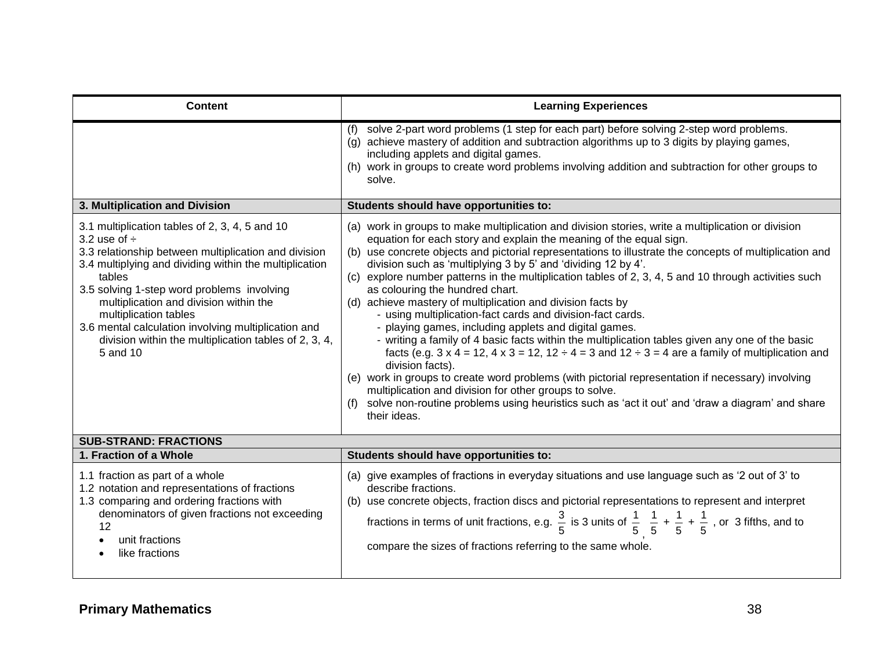| <b>Content</b>                                                                                                                                                                                                                                                                                                                                                                                                                               | <b>Learning Experiences</b>                                                                                                                                                                                                                                                                                                                                                                                                                                                                                                                                                                                                                                                                                                                                                                                                                                                                                                                                                                                                                                                                                                                                                                                                   |
|----------------------------------------------------------------------------------------------------------------------------------------------------------------------------------------------------------------------------------------------------------------------------------------------------------------------------------------------------------------------------------------------------------------------------------------------|-------------------------------------------------------------------------------------------------------------------------------------------------------------------------------------------------------------------------------------------------------------------------------------------------------------------------------------------------------------------------------------------------------------------------------------------------------------------------------------------------------------------------------------------------------------------------------------------------------------------------------------------------------------------------------------------------------------------------------------------------------------------------------------------------------------------------------------------------------------------------------------------------------------------------------------------------------------------------------------------------------------------------------------------------------------------------------------------------------------------------------------------------------------------------------------------------------------------------------|
|                                                                                                                                                                                                                                                                                                                                                                                                                                              | solve 2-part word problems (1 step for each part) before solving 2-step word problems.<br>(f)<br>(g) achieve mastery of addition and subtraction algorithms up to 3 digits by playing games,<br>including applets and digital games.<br>(h) work in groups to create word problems involving addition and subtraction for other groups to<br>solve.                                                                                                                                                                                                                                                                                                                                                                                                                                                                                                                                                                                                                                                                                                                                                                                                                                                                           |
| 3. Multiplication and Division                                                                                                                                                                                                                                                                                                                                                                                                               | Students should have opportunities to:                                                                                                                                                                                                                                                                                                                                                                                                                                                                                                                                                                                                                                                                                                                                                                                                                                                                                                                                                                                                                                                                                                                                                                                        |
| 3.1 multiplication tables of 2, 3, 4, 5 and 10<br>3.2 use of $\div$<br>3.3 relationship between multiplication and division<br>3.4 multiplying and dividing within the multiplication<br>tables<br>3.5 solving 1-step word problems involving<br>multiplication and division within the<br>multiplication tables<br>3.6 mental calculation involving multiplication and<br>division within the multiplication tables of 2, 3, 4,<br>5 and 10 | (a) work in groups to make multiplication and division stories, write a multiplication or division<br>equation for each story and explain the meaning of the equal sign.<br>(b) use concrete objects and pictorial representations to illustrate the concepts of multiplication and<br>division such as 'multiplying 3 by 5' and 'dividing 12 by 4'.<br>(c) explore number patterns in the multiplication tables of 2, 3, 4, 5 and 10 through activities such<br>as colouring the hundred chart.<br>(d) achieve mastery of multiplication and division facts by<br>- using multiplication-fact cards and division-fact cards.<br>- playing games, including applets and digital games.<br>- writing a family of 4 basic facts within the multiplication tables given any one of the basic<br>facts (e.g. $3 \times 4 = 12$ , $4 \times 3 = 12$ , $12 \div 4 = 3$ and $12 \div 3 = 4$ are a family of multiplication and<br>division facts).<br>(e) work in groups to create word problems (with pictorial representation if necessary) involving<br>multiplication and division for other groups to solve.<br>solve non-routine problems using heuristics such as 'act it out' and 'draw a diagram' and share<br>their ideas. |
| <b>SUB-STRAND: FRACTIONS</b>                                                                                                                                                                                                                                                                                                                                                                                                                 |                                                                                                                                                                                                                                                                                                                                                                                                                                                                                                                                                                                                                                                                                                                                                                                                                                                                                                                                                                                                                                                                                                                                                                                                                               |
| 1. Fraction of a Whole                                                                                                                                                                                                                                                                                                                                                                                                                       | Students should have opportunities to:                                                                                                                                                                                                                                                                                                                                                                                                                                                                                                                                                                                                                                                                                                                                                                                                                                                                                                                                                                                                                                                                                                                                                                                        |
| 1.1 fraction as part of a whole<br>1.2 notation and representations of fractions<br>1.3 comparing and ordering fractions with<br>denominators of given fractions not exceeding<br>12<br>unit fractions<br>like fractions                                                                                                                                                                                                                     | (a) give examples of fractions in everyday situations and use language such as '2 out of 3' to<br>describe fractions.<br>(b) use concrete objects, fraction discs and pictorial representations to represent and interpret<br>fractions in terms of unit fractions, e.g. $\frac{3}{5}$ is 3 units of $\frac{1}{5}$ $\frac{1}{5}$ + $\frac{1}{5}$ + $\frac{1}{5}$ , or 3 fifths, and to<br>compare the sizes of fractions referring to the same whole.                                                                                                                                                                                                                                                                                                                                                                                                                                                                                                                                                                                                                                                                                                                                                                         |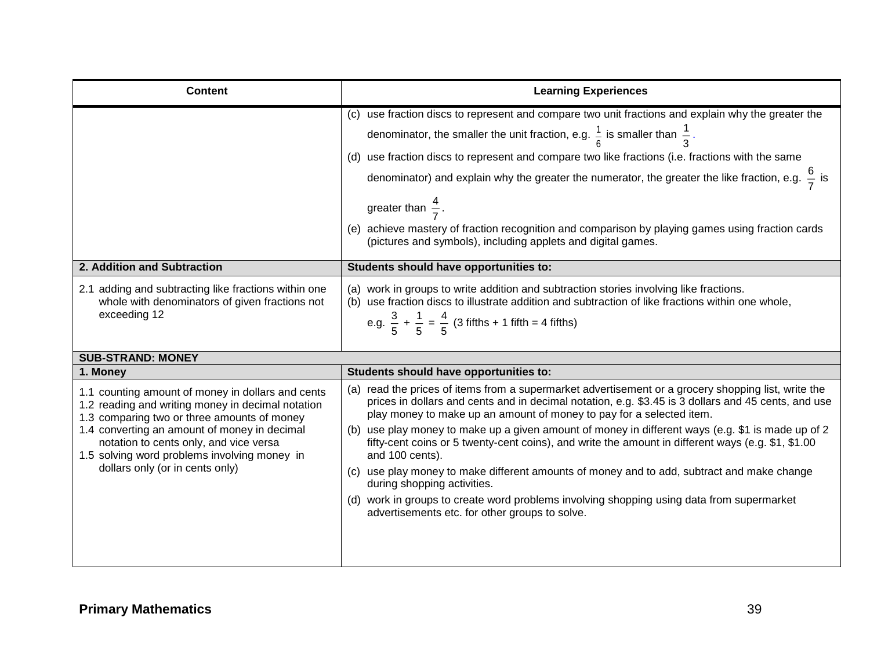| <b>Content</b>                                                                                                                                                                                                                                                                                                                     | <b>Learning Experiences</b>                                                                                                                                                                                                                                                                                                                                                                                                                                                                                                                                                                                                                                                                                                                                                                  |
|------------------------------------------------------------------------------------------------------------------------------------------------------------------------------------------------------------------------------------------------------------------------------------------------------------------------------------|----------------------------------------------------------------------------------------------------------------------------------------------------------------------------------------------------------------------------------------------------------------------------------------------------------------------------------------------------------------------------------------------------------------------------------------------------------------------------------------------------------------------------------------------------------------------------------------------------------------------------------------------------------------------------------------------------------------------------------------------------------------------------------------------|
|                                                                                                                                                                                                                                                                                                                                    | (c) use fraction discs to represent and compare two unit fractions and explain why the greater the<br>denominator, the smaller the unit fraction, e.g. $\frac{1}{6}$ is smaller than $\frac{1}{3}$ .<br>(d) use fraction discs to represent and compare two like fractions (i.e. fractions with the same<br>denominator) and explain why the greater the numerator, the greater the like fraction, e.g. $\frac{6}{7}$ is<br>greater than $\frac{4}{7}$ .<br>(e) achieve mastery of fraction recognition and comparison by playing games using fraction cards<br>(pictures and symbols), including applets and digital games.                                                                                                                                                                 |
| 2. Addition and Subtraction                                                                                                                                                                                                                                                                                                        | Students should have opportunities to:                                                                                                                                                                                                                                                                                                                                                                                                                                                                                                                                                                                                                                                                                                                                                       |
| 2.1 adding and subtracting like fractions within one<br>whole with denominators of given fractions not<br>exceeding 12                                                                                                                                                                                                             | (a) work in groups to write addition and subtraction stories involving like fractions.<br>(b) use fraction discs to illustrate addition and subtraction of like fractions within one whole,<br>e.g. $\frac{3}{5} + \frac{1}{5} = \frac{4}{5}$ (3 fifths + 1 fifth = 4 fifths)                                                                                                                                                                                                                                                                                                                                                                                                                                                                                                                |
| <b>SUB-STRAND: MONEY</b>                                                                                                                                                                                                                                                                                                           |                                                                                                                                                                                                                                                                                                                                                                                                                                                                                                                                                                                                                                                                                                                                                                                              |
| 1. Money                                                                                                                                                                                                                                                                                                                           | Students should have opportunities to:                                                                                                                                                                                                                                                                                                                                                                                                                                                                                                                                                                                                                                                                                                                                                       |
| 1.1 counting amount of money in dollars and cents<br>1.2 reading and writing money in decimal notation<br>1.3 comparing two or three amounts of money<br>1.4 converting an amount of money in decimal<br>notation to cents only, and vice versa<br>1.5 solving word problems involving money in<br>dollars only (or in cents only) | (a) read the prices of items from a supermarket advertisement or a grocery shopping list, write the<br>prices in dollars and cents and in decimal notation, e.g. \$3.45 is 3 dollars and 45 cents, and use<br>play money to make up an amount of money to pay for a selected item.<br>(b) use play money to make up a given amount of money in different ways (e.g. \$1 is made up of 2<br>fifty-cent coins or 5 twenty-cent coins), and write the amount in different ways (e.g. \$1, \$1.00<br>and 100 cents).<br>(c) use play money to make different amounts of money and to add, subtract and make change<br>during shopping activities.<br>(d) work in groups to create word problems involving shopping using data from supermarket<br>advertisements etc. for other groups to solve. |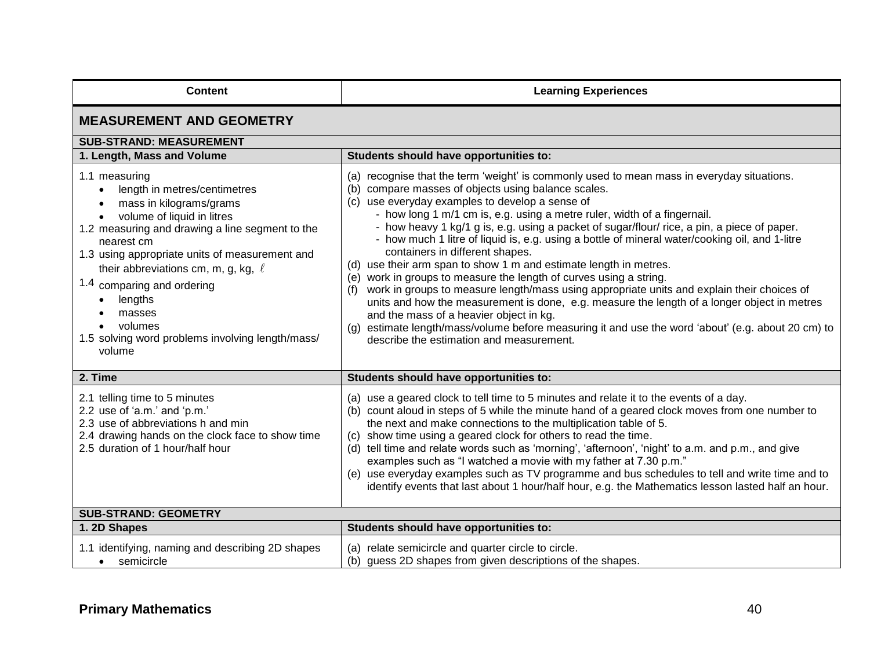| <b>Content</b>                                                                                                                                                                                                                                                                                                                                                                                    | <b>Learning Experiences</b>                                                                                                                                                                                                                                                                                                                                                                                                                                                                                                                                                                                                                                                                                                                                                                                                                                                                                                                                                                                                                                         |  |
|---------------------------------------------------------------------------------------------------------------------------------------------------------------------------------------------------------------------------------------------------------------------------------------------------------------------------------------------------------------------------------------------------|---------------------------------------------------------------------------------------------------------------------------------------------------------------------------------------------------------------------------------------------------------------------------------------------------------------------------------------------------------------------------------------------------------------------------------------------------------------------------------------------------------------------------------------------------------------------------------------------------------------------------------------------------------------------------------------------------------------------------------------------------------------------------------------------------------------------------------------------------------------------------------------------------------------------------------------------------------------------------------------------------------------------------------------------------------------------|--|
| <b>MEASUREMENT AND GEOMETRY</b>                                                                                                                                                                                                                                                                                                                                                                   |                                                                                                                                                                                                                                                                                                                                                                                                                                                                                                                                                                                                                                                                                                                                                                                                                                                                                                                                                                                                                                                                     |  |
| <b>SUB-STRAND: MEASUREMENT</b>                                                                                                                                                                                                                                                                                                                                                                    |                                                                                                                                                                                                                                                                                                                                                                                                                                                                                                                                                                                                                                                                                                                                                                                                                                                                                                                                                                                                                                                                     |  |
| 1. Length, Mass and Volume                                                                                                                                                                                                                                                                                                                                                                        | Students should have opportunities to:                                                                                                                                                                                                                                                                                                                                                                                                                                                                                                                                                                                                                                                                                                                                                                                                                                                                                                                                                                                                                              |  |
| 1.1 measuring<br>length in metres/centimetres<br>mass in kilograms/grams<br>volume of liquid in litres<br>1.2 measuring and drawing a line segment to the<br>nearest cm<br>1.3 using appropriate units of measurement and<br>their abbreviations cm, m, g, kg, $\ell$<br>1.4 comparing and ordering<br>lengths<br>masses<br>volumes<br>1.5 solving word problems involving length/mass/<br>volume | (a) recognise that the term 'weight' is commonly used to mean mass in everyday situations.<br>(b) compare masses of objects using balance scales.<br>(c) use everyday examples to develop a sense of<br>- how long 1 m/1 cm is, e.g. using a metre ruler, width of a fingernail.<br>- how heavy 1 kg/1 g is, e.g. using a packet of sugar/flour/ rice, a pin, a piece of paper.<br>- how much 1 litre of liquid is, e.g. using a bottle of mineral water/cooking oil, and 1-litre<br>containers in different shapes.<br>(d) use their arm span to show 1 m and estimate length in metres.<br>(e) work in groups to measure the length of curves using a string.<br>work in groups to measure length/mass using appropriate units and explain their choices of<br>(1)<br>units and how the measurement is done, e.g. measure the length of a longer object in metres<br>and the mass of a heavier object in kg.<br>estimate length/mass/volume before measuring it and use the word 'about' (e.g. about 20 cm) to<br>(q)<br>describe the estimation and measurement. |  |
| 2. Time                                                                                                                                                                                                                                                                                                                                                                                           | Students should have opportunities to:                                                                                                                                                                                                                                                                                                                                                                                                                                                                                                                                                                                                                                                                                                                                                                                                                                                                                                                                                                                                                              |  |
| 2.1 telling time to 5 minutes<br>2.2 use of 'a.m.' and 'p.m.'<br>2.3 use of abbreviations h and min<br>2.4 drawing hands on the clock face to show time<br>2.5 duration of 1 hour/half hour                                                                                                                                                                                                       | (a) use a geared clock to tell time to 5 minutes and relate it to the events of a day.<br>(b) count aloud in steps of 5 while the minute hand of a geared clock moves from one number to<br>the next and make connections to the multiplication table of 5.<br>(c) show time using a geared clock for others to read the time.<br>(d) tell time and relate words such as 'morning', 'afternoon', 'night' to a.m. and p.m., and give<br>examples such as "I watched a movie with my father at 7.30 p.m."<br>(e) use everyday examples such as TV programme and bus schedules to tell and write time and to<br>identify events that last about 1 hour/half hour, e.g. the Mathematics lesson lasted half an hour.                                                                                                                                                                                                                                                                                                                                                     |  |
| <b>SUB-STRAND: GEOMETRY</b>                                                                                                                                                                                                                                                                                                                                                                       |                                                                                                                                                                                                                                                                                                                                                                                                                                                                                                                                                                                                                                                                                                                                                                                                                                                                                                                                                                                                                                                                     |  |
| 1. 2D Shapes                                                                                                                                                                                                                                                                                                                                                                                      | Students should have opportunities to:                                                                                                                                                                                                                                                                                                                                                                                                                                                                                                                                                                                                                                                                                                                                                                                                                                                                                                                                                                                                                              |  |
| 1.1 identifying, naming and describing 2D shapes<br>semicircle<br>$\bullet$                                                                                                                                                                                                                                                                                                                       | (a) relate semicircle and quarter circle to circle.<br>(b) guess 2D shapes from given descriptions of the shapes.                                                                                                                                                                                                                                                                                                                                                                                                                                                                                                                                                                                                                                                                                                                                                                                                                                                                                                                                                   |  |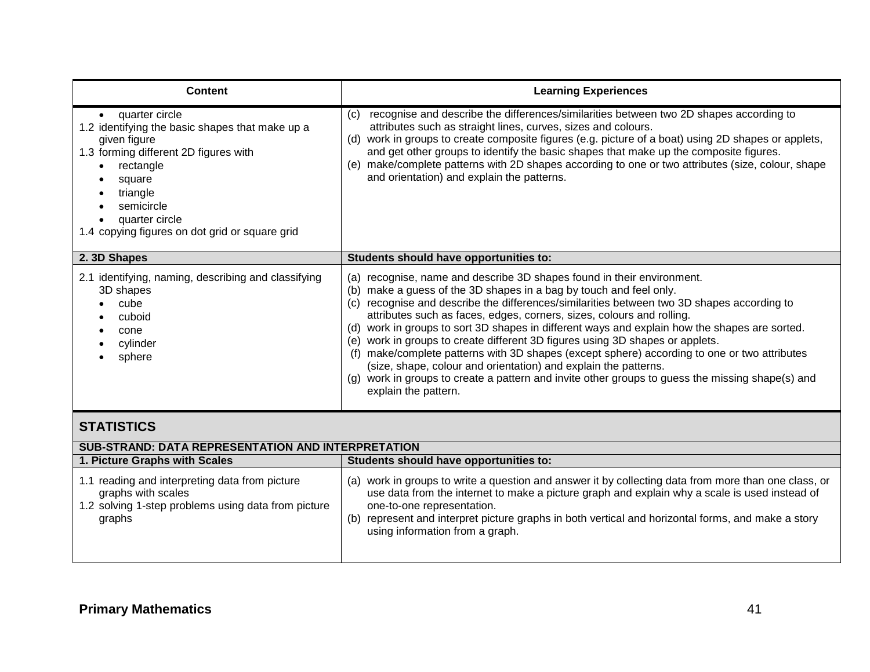| <b>Content</b>                                                                                                                                                                                                                                               | <b>Learning Experiences</b>                                                                                                                                                                                                                                                                                                                                                                                                                                                                                                                                                                                                                                                                                                                                                                                               |
|--------------------------------------------------------------------------------------------------------------------------------------------------------------------------------------------------------------------------------------------------------------|---------------------------------------------------------------------------------------------------------------------------------------------------------------------------------------------------------------------------------------------------------------------------------------------------------------------------------------------------------------------------------------------------------------------------------------------------------------------------------------------------------------------------------------------------------------------------------------------------------------------------------------------------------------------------------------------------------------------------------------------------------------------------------------------------------------------------|
| quarter circle<br>1.2 identifying the basic shapes that make up a<br>given figure<br>1.3 forming different 2D figures with<br>rectangle<br>square<br>triangle<br>semicircle<br>quarter circle<br>$\bullet$<br>1.4 copying figures on dot grid or square grid | recognise and describe the differences/similarities between two 2D shapes according to<br>(c)<br>attributes such as straight lines, curves, sizes and colours.<br>work in groups to create composite figures (e.g. picture of a boat) using 2D shapes or applets,<br>(d)<br>and get other groups to identify the basic shapes that make up the composite figures.<br>make/complete patterns with 2D shapes according to one or two attributes (size, colour, shape<br>(e)<br>and orientation) and explain the patterns.                                                                                                                                                                                                                                                                                                   |
| 2. 3D Shapes                                                                                                                                                                                                                                                 | Students should have opportunities to:                                                                                                                                                                                                                                                                                                                                                                                                                                                                                                                                                                                                                                                                                                                                                                                    |
| identifying, naming, describing and classifying<br>2.1<br>3D shapes<br>cube<br>cuboid<br>cone<br>cylinder<br>sphere                                                                                                                                          | recognise, name and describe 3D shapes found in their environment.<br>(a)<br>make a guess of the 3D shapes in a bag by touch and feel only.<br>(b)<br>recognise and describe the differences/similarities between two 3D shapes according to<br>(C)<br>attributes such as faces, edges, corners, sizes, colours and rolling.<br>work in groups to sort 3D shapes in different ways and explain how the shapes are sorted.<br>(d)<br>work in groups to create different 3D figures using 3D shapes or applets.<br>(e)<br>make/complete patterns with 3D shapes (except sphere) according to one or two attributes<br>(f)<br>(size, shape, colour and orientation) and explain the patterns.<br>work in groups to create a pattern and invite other groups to guess the missing shape(s) and<br>(g)<br>explain the pattern. |

| SUB-STRAND: DATA REPRESENTATION AND INTERPRETATION                                                                                |                                                                                                                                                                                                                                                                                                                                                                                    |
|-----------------------------------------------------------------------------------------------------------------------------------|------------------------------------------------------------------------------------------------------------------------------------------------------------------------------------------------------------------------------------------------------------------------------------------------------------------------------------------------------------------------------------|
| 1. Picture Graphs with Scales                                                                                                     | Students should have opportunities to:                                                                                                                                                                                                                                                                                                                                             |
| reading and interpreting data from picture<br>graphs with scales<br>1.2 solving 1-step problems using data from picture<br>graphs | work in groups to write a question and answer it by collecting data from more than one class, or<br>(a)<br>use data from the internet to make a picture graph and explain why a scale is used instead of<br>one-to-one representation.<br>represent and interpret picture graphs in both vertical and horizontal forms, and make a story<br>(b)<br>using information from a graph. |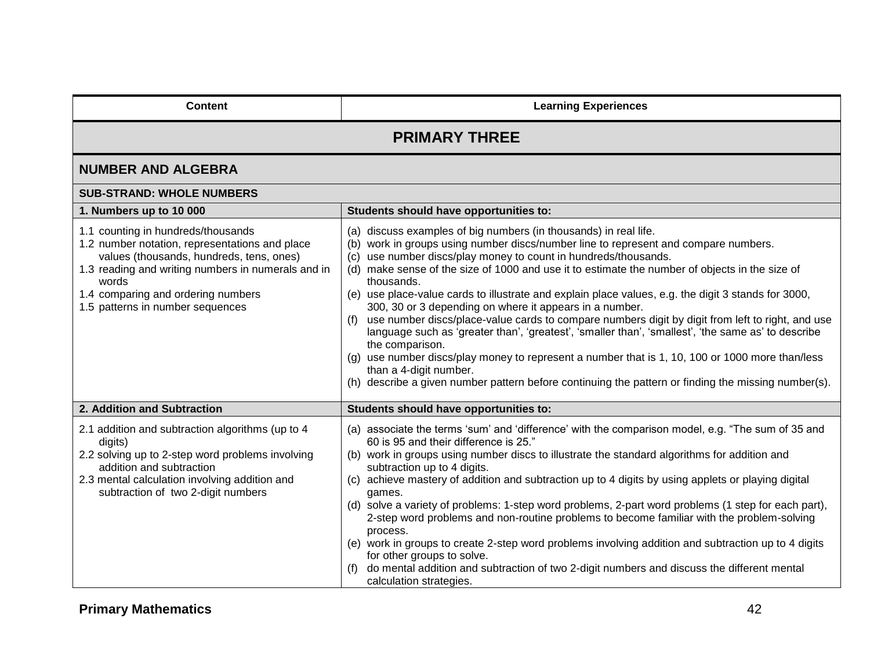| <b>Content</b>                                                                                                                                                                                                                                                            | <b>Learning Experiences</b>                                                                                                                                                                                                                                                                                                                                                                                                                                                                                                                                                                                                                                                                                                                                                                                                                                                                                                                                                                             |  |
|---------------------------------------------------------------------------------------------------------------------------------------------------------------------------------------------------------------------------------------------------------------------------|---------------------------------------------------------------------------------------------------------------------------------------------------------------------------------------------------------------------------------------------------------------------------------------------------------------------------------------------------------------------------------------------------------------------------------------------------------------------------------------------------------------------------------------------------------------------------------------------------------------------------------------------------------------------------------------------------------------------------------------------------------------------------------------------------------------------------------------------------------------------------------------------------------------------------------------------------------------------------------------------------------|--|
| <b>PRIMARY THREE</b>                                                                                                                                                                                                                                                      |                                                                                                                                                                                                                                                                                                                                                                                                                                                                                                                                                                                                                                                                                                                                                                                                                                                                                                                                                                                                         |  |
| <b>NUMBER AND ALGEBRA</b>                                                                                                                                                                                                                                                 |                                                                                                                                                                                                                                                                                                                                                                                                                                                                                                                                                                                                                                                                                                                                                                                                                                                                                                                                                                                                         |  |
| <b>SUB-STRAND: WHOLE NUMBERS</b>                                                                                                                                                                                                                                          |                                                                                                                                                                                                                                                                                                                                                                                                                                                                                                                                                                                                                                                                                                                                                                                                                                                                                                                                                                                                         |  |
| 1. Numbers up to 10 000                                                                                                                                                                                                                                                   | Students should have opportunities to:                                                                                                                                                                                                                                                                                                                                                                                                                                                                                                                                                                                                                                                                                                                                                                                                                                                                                                                                                                  |  |
| 1.1 counting in hundreds/thousands<br>1.2 number notation, representations and place<br>values (thousands, hundreds, tens, ones)<br>1.3 reading and writing numbers in numerals and in<br>words<br>1.4 comparing and ordering numbers<br>1.5 patterns in number sequences | discuss examples of big numbers (in thousands) in real life.<br>(a)<br>work in groups using number discs/number line to represent and compare numbers.<br>(b)<br>use number discs/play money to count in hundreds/thousands.<br>(c)<br>make sense of the size of 1000 and use it to estimate the number of objects in the size of<br>(d)<br>thousands.<br>(e) use place-value cards to illustrate and explain place values, e.g. the digit 3 stands for 3000,<br>300, 30 or 3 depending on where it appears in a number.<br>use number discs/place-value cards to compare numbers digit by digit from left to right, and use<br>(f)<br>language such as 'greater than', 'greatest', 'smaller than', 'smallest', 'the same as' to describe<br>the comparison.<br>use number discs/play money to represent a number that is 1, 10, 100 or 1000 more than/less<br>(q)<br>than a 4-digit number.<br>describe a given number pattern before continuing the pattern or finding the missing number(s).<br>(h). |  |
| 2. Addition and Subtraction                                                                                                                                                                                                                                               | Students should have opportunities to:                                                                                                                                                                                                                                                                                                                                                                                                                                                                                                                                                                                                                                                                                                                                                                                                                                                                                                                                                                  |  |
| 2.1 addition and subtraction algorithms (up to 4<br>digits)<br>2.2 solving up to 2-step word problems involving<br>addition and subtraction<br>2.3 mental calculation involving addition and<br>subtraction of two 2-digit numbers                                        | (a) associate the terms 'sum' and 'difference' with the comparison model, e.g. "The sum of 35 and<br>60 is 95 and their difference is 25."<br>(b) work in groups using number discs to illustrate the standard algorithms for addition and<br>subtraction up to 4 digits.<br>(c) achieve mastery of addition and subtraction up to 4 digits by using applets or playing digital<br>games.<br>(d) solve a variety of problems: 1-step word problems, 2-part word problems (1 step for each part),<br>2-step word problems and non-routine problems to become familiar with the problem-solving<br>process.<br>(e) work in groups to create 2-step word problems involving addition and subtraction up to 4 digits<br>for other groups to solve.<br>do mental addition and subtraction of two 2-digit numbers and discuss the different mental<br>(f)<br>calculation strategies.                                                                                                                          |  |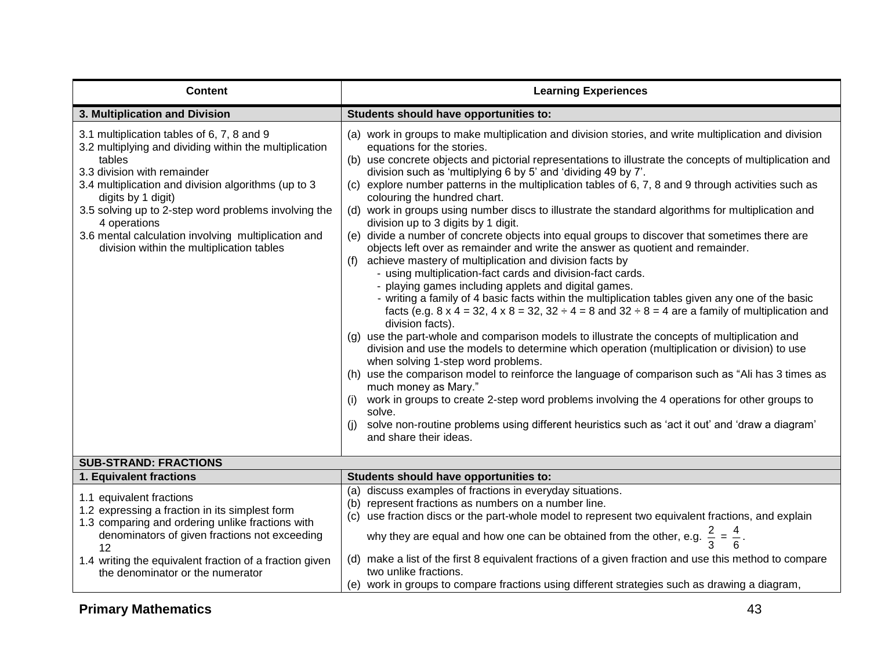| <b>Content</b>                                                                                                                                                                                                                                                                                                                                                                                         | <b>Learning Experiences</b>                                                                                                                                                                                                                                                                                                                                                                                                                                                                                                                                                                                                                                                                                                                                                                                                                                                                                                                                                                                                                                                                                                                                                                                                                                                                                                                                                                                                                                                                                                                                                                                                                                                                                                                                                                                                                                      |
|--------------------------------------------------------------------------------------------------------------------------------------------------------------------------------------------------------------------------------------------------------------------------------------------------------------------------------------------------------------------------------------------------------|------------------------------------------------------------------------------------------------------------------------------------------------------------------------------------------------------------------------------------------------------------------------------------------------------------------------------------------------------------------------------------------------------------------------------------------------------------------------------------------------------------------------------------------------------------------------------------------------------------------------------------------------------------------------------------------------------------------------------------------------------------------------------------------------------------------------------------------------------------------------------------------------------------------------------------------------------------------------------------------------------------------------------------------------------------------------------------------------------------------------------------------------------------------------------------------------------------------------------------------------------------------------------------------------------------------------------------------------------------------------------------------------------------------------------------------------------------------------------------------------------------------------------------------------------------------------------------------------------------------------------------------------------------------------------------------------------------------------------------------------------------------------------------------------------------------------------------------------------------------|
| 3. Multiplication and Division                                                                                                                                                                                                                                                                                                                                                                         | Students should have opportunities to:                                                                                                                                                                                                                                                                                                                                                                                                                                                                                                                                                                                                                                                                                                                                                                                                                                                                                                                                                                                                                                                                                                                                                                                                                                                                                                                                                                                                                                                                                                                                                                                                                                                                                                                                                                                                                           |
| 3.1 multiplication tables of 6, 7, 8 and 9<br>3.2 multiplying and dividing within the multiplication<br>tables<br>3.3 division with remainder<br>3.4 multiplication and division algorithms (up to 3<br>digits by 1 digit)<br>3.5 solving up to 2-step word problems involving the<br>4 operations<br>3.6 mental calculation involving multiplication and<br>division within the multiplication tables | (a) work in groups to make multiplication and division stories, and write multiplication and division<br>equations for the stories.<br>(b) use concrete objects and pictorial representations to illustrate the concepts of multiplication and<br>division such as 'multiplying 6 by 5' and 'dividing 49 by 7'.<br>(c) explore number patterns in the multiplication tables of 6, 7, 8 and 9 through activities such as<br>colouring the hundred chart.<br>(d) work in groups using number discs to illustrate the standard algorithms for multiplication and<br>division up to 3 digits by 1 digit.<br>divide a number of concrete objects into equal groups to discover that sometimes there are<br>(e)<br>objects left over as remainder and write the answer as quotient and remainder.<br>achieve mastery of multiplication and division facts by<br>(f)<br>- using multiplication-fact cards and division-fact cards.<br>- playing games including applets and digital games.<br>- writing a family of 4 basic facts within the multiplication tables given any one of the basic<br>facts (e.g. $8 \times 4 = 32$ , $4 \times 8 = 32$ , $32 \div 4 = 8$ and $32 \div 8 = 4$ are a family of multiplication and<br>division facts).<br>(g) use the part-whole and comparison models to illustrate the concepts of multiplication and<br>division and use the models to determine which operation (multiplication or division) to use<br>when solving 1-step word problems.<br>(h) use the comparison model to reinforce the language of comparison such as "Ali has 3 times as<br>much money as Mary."<br>work in groups to create 2-step word problems involving the 4 operations for other groups to<br>(i)<br>solve.<br>solve non-routine problems using different heuristics such as 'act it out' and 'draw a diagram'<br>(1)<br>and share their ideas. |
| <b>SUB-STRAND: FRACTIONS</b>                                                                                                                                                                                                                                                                                                                                                                           |                                                                                                                                                                                                                                                                                                                                                                                                                                                                                                                                                                                                                                                                                                                                                                                                                                                                                                                                                                                                                                                                                                                                                                                                                                                                                                                                                                                                                                                                                                                                                                                                                                                                                                                                                                                                                                                                  |
| 1. Equivalent fractions                                                                                                                                                                                                                                                                                                                                                                                | Students should have opportunities to:                                                                                                                                                                                                                                                                                                                                                                                                                                                                                                                                                                                                                                                                                                                                                                                                                                                                                                                                                                                                                                                                                                                                                                                                                                                                                                                                                                                                                                                                                                                                                                                                                                                                                                                                                                                                                           |
| 1.1 equivalent fractions<br>1.2 expressing a fraction in its simplest form<br>1.3 comparing and ordering unlike fractions with<br>denominators of given fractions not exceeding<br>12                                                                                                                                                                                                                  | discuss examples of fractions in everyday situations.<br>(a)<br>(b) represent fractions as numbers on a number line.<br>(c) use fraction discs or the part-whole model to represent two equivalent fractions, and explain<br>why they are equal and how one can be obtained from the other, e.g. $\frac{2}{3} = \frac{4}{6}$ .                                                                                                                                                                                                                                                                                                                                                                                                                                                                                                                                                                                                                                                                                                                                                                                                                                                                                                                                                                                                                                                                                                                                                                                                                                                                                                                                                                                                                                                                                                                                   |
| 1.4 writing the equivalent fraction of a fraction given<br>the denominator or the numerator                                                                                                                                                                                                                                                                                                            | (d) make a list of the first 8 equivalent fractions of a given fraction and use this method to compare<br>two unlike fractions.<br>(e) work in groups to compare fractions using different strategies such as drawing a diagram,                                                                                                                                                                                                                                                                                                                                                                                                                                                                                                                                                                                                                                                                                                                                                                                                                                                                                                                                                                                                                                                                                                                                                                                                                                                                                                                                                                                                                                                                                                                                                                                                                                 |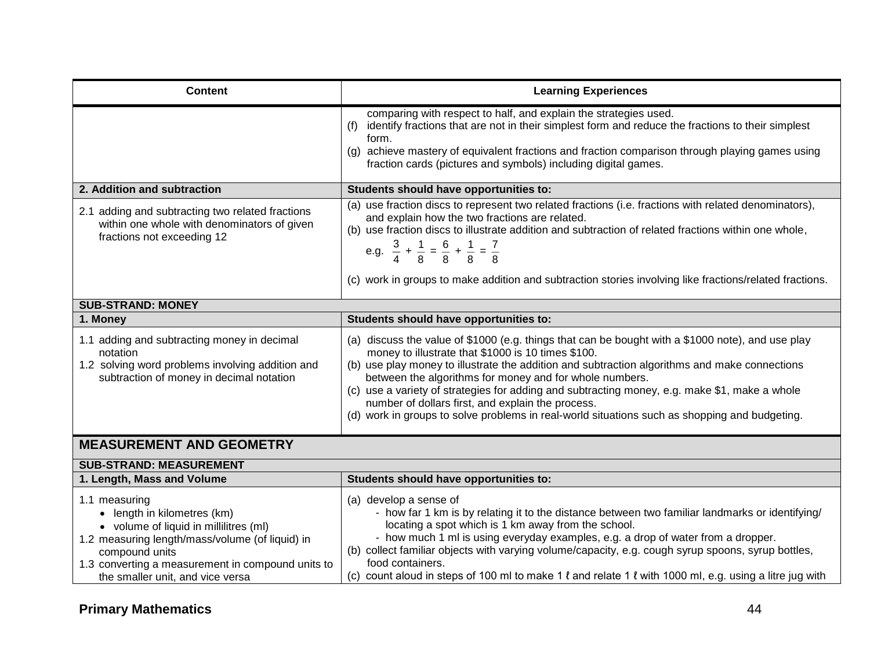| <b>Content</b>                                                                                                                                          | <b>Learning Experiences</b>                                                                                                                                                                                                                                                                                                                                                                                                                                                                                                                                                |
|---------------------------------------------------------------------------------------------------------------------------------------------------------|----------------------------------------------------------------------------------------------------------------------------------------------------------------------------------------------------------------------------------------------------------------------------------------------------------------------------------------------------------------------------------------------------------------------------------------------------------------------------------------------------------------------------------------------------------------------------|
|                                                                                                                                                         | comparing with respect to half, and explain the strategies used.<br>identify fractions that are not in their simplest form and reduce the fractions to their simplest<br>(f)<br>form.<br>achieve mastery of equivalent fractions and fraction comparison through playing games using<br>(g)<br>fraction cards (pictures and symbols) including digital games.                                                                                                                                                                                                              |
| 2. Addition and subtraction                                                                                                                             | Students should have opportunities to:                                                                                                                                                                                                                                                                                                                                                                                                                                                                                                                                     |
| 2.1 adding and subtracting two related fractions<br>within one whole with denominators of given<br>fractions not exceeding 12                           | (a) use fraction discs to represent two related fractions (i.e. fractions with related denominators),<br>and explain how the two fractions are related.<br>(b) use fraction discs to illustrate addition and subtraction of related fractions within one whole,<br>e.g. $\frac{3}{4} + \frac{1}{8} = \frac{6}{8} + \frac{1}{8} = \frac{7}{8}$                                                                                                                                                                                                                              |
|                                                                                                                                                         | (c) work in groups to make addition and subtraction stories involving like fractions/related fractions.                                                                                                                                                                                                                                                                                                                                                                                                                                                                    |
| <b>SUB-STRAND: MONEY</b>                                                                                                                                |                                                                                                                                                                                                                                                                                                                                                                                                                                                                                                                                                                            |
| 1. Money                                                                                                                                                | Students should have opportunities to:                                                                                                                                                                                                                                                                                                                                                                                                                                                                                                                                     |
| 1.1 adding and subtracting money in decimal<br>notation<br>1.2 solving word problems involving addition and<br>subtraction of money in decimal notation | (a) discuss the value of \$1000 (e.g. things that can be bought with a \$1000 note), and use play<br>money to illustrate that \$1000 is 10 times \$100.<br>(b) use play money to illustrate the addition and subtraction algorithms and make connections<br>between the algorithms for money and for whole numbers.<br>(c) use a variety of strategies for adding and subtracting money, e.g. make \$1, make a whole<br>number of dollars first, and explain the process.<br>(d) work in groups to solve problems in real-world situations such as shopping and budgeting. |
| <b>MEASUREMENT AND GEOMETRY</b>                                                                                                                         |                                                                                                                                                                                                                                                                                                                                                                                                                                                                                                                                                                            |
| <b>SUB-STRAND: MEASUREMENT</b>                                                                                                                          |                                                                                                                                                                                                                                                                                                                                                                                                                                                                                                                                                                            |
| 1. Length, Mass and Volume                                                                                                                              | Students should have opportunities to:                                                                                                                                                                                                                                                                                                                                                                                                                                                                                                                                     |
| $1.1$ monouring                                                                                                                                         | $(n)$ douglange cance of                                                                                                                                                                                                                                                                                                                                                                                                                                                                                                                                                   |

| 1.1 measuring                                     | (a) develop a sense of                                                                                            |
|---------------------------------------------------|-------------------------------------------------------------------------------------------------------------------|
| length in kilometres (km)                         | - how far 1 km is by relating it to the distance between two familiar landmarks or identifying/                   |
| volume of liquid in millilitres (ml)              | locating a spot which is 1 km away from the school.                                                               |
| 1.2 measuring length/mass/volume (of liquid) in   | - how much 1 ml is using everyday examples, e.g. a drop of water from a dropper.                                  |
| compound units                                    | collect familiar objects with varying volume/capacity, e.g. cough syrup spoons, syrup bottles,<br>(b              |
| 1.3 converting a measurement in compound units to | food containers.                                                                                                  |
| the smaller unit, and vice versa                  | (c) count aloud in steps of 100 ml to make 1 $\ell$ and relate 1 $\ell$ with 1000 ml, e.g. using a litre jug with |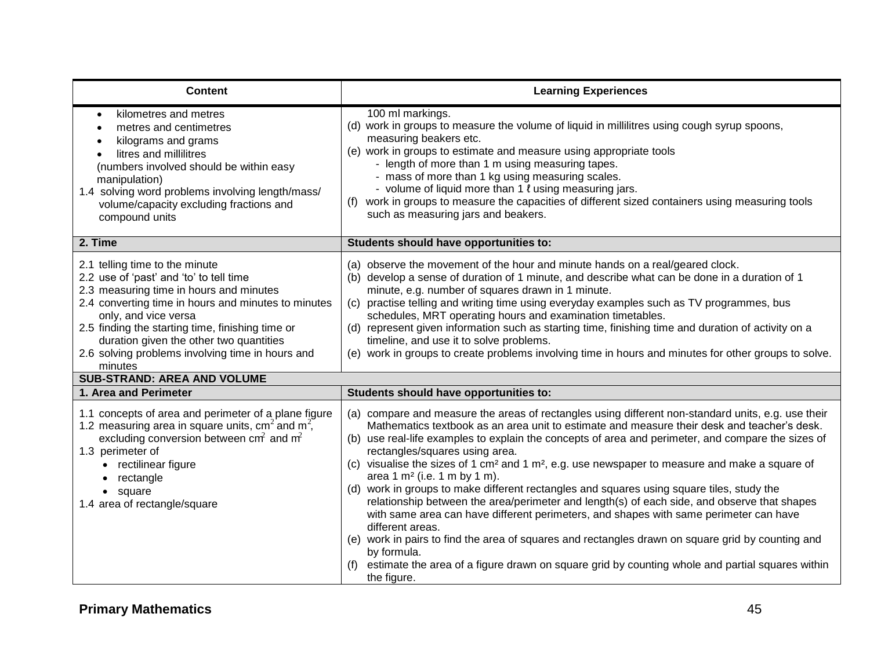| <b>Content</b>                                                                                                                                                                                                                                                                                                                                                                                          | <b>Learning Experiences</b>                                                                                                                                                                                                                                                                                                                                                                                                                                                                                                                                                                                                                                                                                                                                                                                                                                                                                                                                                                                                                                        |
|---------------------------------------------------------------------------------------------------------------------------------------------------------------------------------------------------------------------------------------------------------------------------------------------------------------------------------------------------------------------------------------------------------|--------------------------------------------------------------------------------------------------------------------------------------------------------------------------------------------------------------------------------------------------------------------------------------------------------------------------------------------------------------------------------------------------------------------------------------------------------------------------------------------------------------------------------------------------------------------------------------------------------------------------------------------------------------------------------------------------------------------------------------------------------------------------------------------------------------------------------------------------------------------------------------------------------------------------------------------------------------------------------------------------------------------------------------------------------------------|
| kilometres and metres<br>$\bullet$<br>metres and centimetres<br>$\bullet$<br>kilograms and grams<br>litres and millilitres<br>(numbers involved should be within easy<br>manipulation)<br>1.4 solving word problems involving length/mass/<br>volume/capacity excluding fractions and<br>compound units                                                                                                 | 100 ml markings.<br>(d) work in groups to measure the volume of liquid in millilitres using cough syrup spoons,<br>measuring beakers etc.<br>(e) work in groups to estimate and measure using appropriate tools<br>- length of more than 1 m using measuring tapes.<br>- mass of more than 1 kg using measuring scales.<br>- volume of liquid more than 1 $\ell$ using measuring jars.<br>work in groups to measure the capacities of different sized containers using measuring tools<br>(t)<br>such as measuring jars and beakers.                                                                                                                                                                                                                                                                                                                                                                                                                                                                                                                               |
| 2. Time                                                                                                                                                                                                                                                                                                                                                                                                 | Students should have opportunities to:                                                                                                                                                                                                                                                                                                                                                                                                                                                                                                                                                                                                                                                                                                                                                                                                                                                                                                                                                                                                                             |
| 2.1 telling time to the minute<br>2.2 use of 'past' and 'to' to tell time<br>2.3 measuring time in hours and minutes<br>2.4 converting time in hours and minutes to minutes<br>only, and vice versa<br>2.5 finding the starting time, finishing time or<br>duration given the other two quantities<br>2.6 solving problems involving time in hours and<br>minutes<br><b>SUB-STRAND: AREA AND VOLUME</b> | (a) observe the movement of the hour and minute hands on a real/geared clock.<br>develop a sense of duration of 1 minute, and describe what can be done in a duration of 1<br>(b)<br>minute, e.g. number of squares drawn in 1 minute.<br>practise telling and writing time using everyday examples such as TV programmes, bus<br>(C).<br>schedules, MRT operating hours and examination timetables.<br>represent given information such as starting time, finishing time and duration of activity on a<br>(d)<br>timeline, and use it to solve problems.<br>(e) work in groups to create problems involving time in hours and minutes for other groups to solve.                                                                                                                                                                                                                                                                                                                                                                                                  |
| 1. Area and Perimeter                                                                                                                                                                                                                                                                                                                                                                                   | Students should have opportunities to:                                                                                                                                                                                                                                                                                                                                                                                                                                                                                                                                                                                                                                                                                                                                                                                                                                                                                                                                                                                                                             |
| 1.1 concepts of area and perimeter of a plane figure<br>1.2 measuring area in square units, $cm2$ and $m2$ ,<br>excluding conversion between cm <sup>2</sup> and m <sup>2</sup><br>1.3 perimeter of<br>• rectilinear figure<br>rectangle<br>• square<br>1.4 area of rectangle/square                                                                                                                    | (a) compare and measure the areas of rectangles using different non-standard units, e.g. use their<br>Mathematics textbook as an area unit to estimate and measure their desk and teacher's desk.<br>use real-life examples to explain the concepts of area and perimeter, and compare the sizes of<br>(b)<br>rectangles/squares using area.<br>visualise the sizes of 1 cm <sup>2</sup> and 1 m <sup>2</sup> , e.g. use newspaper to measure and make a square of<br>(c)<br>area 1 $m^2$ (i.e. 1 m by 1 m).<br>(d) work in groups to make different rectangles and squares using square tiles, study the<br>relationship between the area/perimeter and length(s) of each side, and observe that shapes<br>with same area can have different perimeters, and shapes with same perimeter can have<br>different areas.<br>(e) work in pairs to find the area of squares and rectangles drawn on square grid by counting and<br>by formula.<br>estimate the area of a figure drawn on square grid by counting whole and partial squares within<br>(1)<br>the figure. |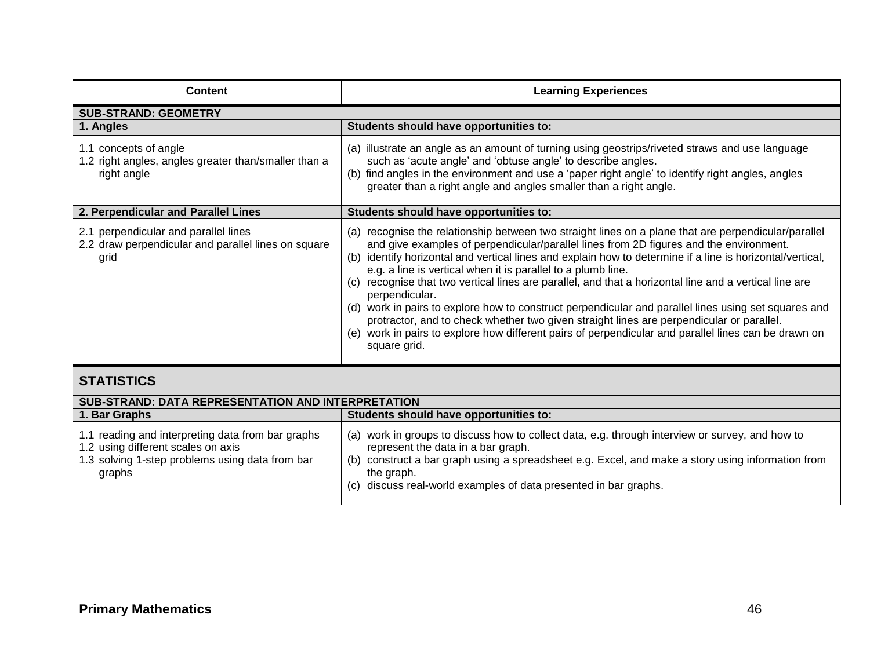| <b>Content</b>                                                                                      | <b>Learning Experiences</b>                                                                                                                                                                                                                                                                                                                                                                                                                                                                                                                                                                                                                                                                                                                                                                                                                     |
|-----------------------------------------------------------------------------------------------------|-------------------------------------------------------------------------------------------------------------------------------------------------------------------------------------------------------------------------------------------------------------------------------------------------------------------------------------------------------------------------------------------------------------------------------------------------------------------------------------------------------------------------------------------------------------------------------------------------------------------------------------------------------------------------------------------------------------------------------------------------------------------------------------------------------------------------------------------------|
| <b>SUB-STRAND: GEOMETRY</b>                                                                         |                                                                                                                                                                                                                                                                                                                                                                                                                                                                                                                                                                                                                                                                                                                                                                                                                                                 |
| 1. Angles                                                                                           | Students should have opportunities to:                                                                                                                                                                                                                                                                                                                                                                                                                                                                                                                                                                                                                                                                                                                                                                                                          |
| 1.1 concepts of angle<br>1.2 right angles, angles greater than/smaller than a<br>right angle        | (a) illustrate an angle as an amount of turning using geostrips/riveted straws and use language<br>such as 'acute angle' and 'obtuse angle' to describe angles.<br>(b) find angles in the environment and use a 'paper right angle' to identify right angles, angles<br>greater than a right angle and angles smaller than a right angle.                                                                                                                                                                                                                                                                                                                                                                                                                                                                                                       |
| 2. Perpendicular and Parallel Lines                                                                 | Students should have opportunities to:                                                                                                                                                                                                                                                                                                                                                                                                                                                                                                                                                                                                                                                                                                                                                                                                          |
| 2.1 perpendicular and parallel lines<br>2.2 draw perpendicular and parallel lines on square<br>grid | (a) recognise the relationship between two straight lines on a plane that are perpendicular/parallel<br>and give examples of perpendicular/parallel lines from 2D figures and the environment.<br>identify horizontal and vertical lines and explain how to determine if a line is horizontal/vertical,<br>(b)<br>e.g. a line is vertical when it is parallel to a plumb line.<br>recognise that two vertical lines are parallel, and that a horizontal line and a vertical line are<br>(C)<br>perpendicular.<br>work in pairs to explore how to construct perpendicular and parallel lines using set squares and<br>(d)<br>protractor, and to check whether two given straight lines are perpendicular or parallel.<br>work in pairs to explore how different pairs of perpendicular and parallel lines can be drawn on<br>(e)<br>square grid. |

| <b>SUB-STRAND: DATA REPRESENTATION AND INTERPRETATION</b>                                                                                            |                                                                                                                                                                                                                                                                                                                                 |
|------------------------------------------------------------------------------------------------------------------------------------------------------|---------------------------------------------------------------------------------------------------------------------------------------------------------------------------------------------------------------------------------------------------------------------------------------------------------------------------------|
| . Bar Graphs                                                                                                                                         | Students should have opportunities to:                                                                                                                                                                                                                                                                                          |
| 1.1 reading and interpreting data from bar graphs<br>1.2 using different scales on axis<br>1.3 solving 1-step problems using data from bar<br>graphs | (a) work in groups to discuss how to collect data, e.g. through interview or survey, and how to<br>represent the data in a bar graph.<br>construct a bar graph using a spreadsheet e.g. Excel, and make a story using information from<br>(b)<br>the graph.<br>(c) discuss real-world examples of data presented in bar graphs. |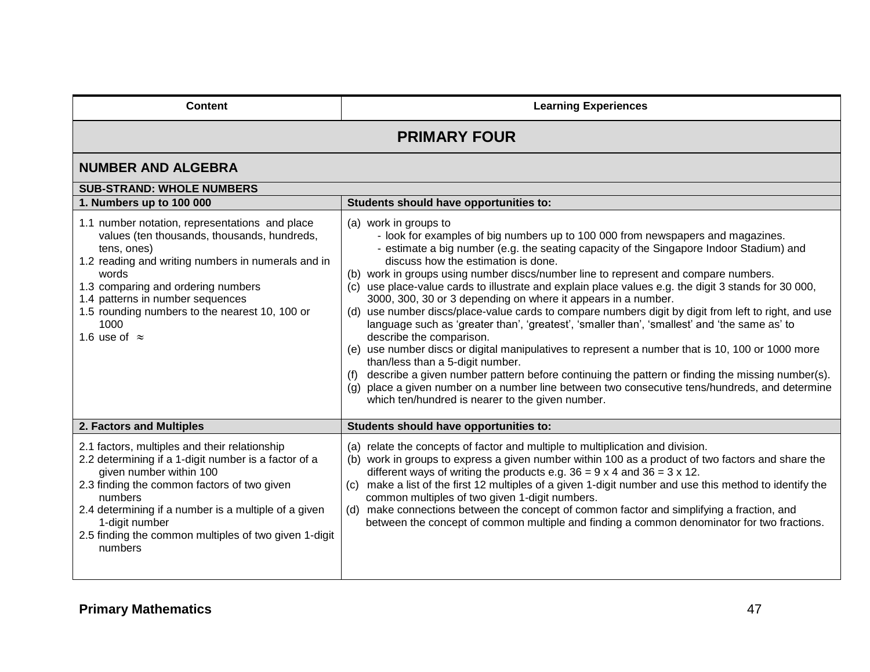| <b>Content</b>                                                                                                                                                                                                                                                                                                                           | <b>Learning Experiences</b>                                                                                                                                                                                                                                                                                                                                                                                                                                                                                                                                                                                                                                                                                                                                                                                                                                                                                                                                                                                                                                                                                                                                     |
|------------------------------------------------------------------------------------------------------------------------------------------------------------------------------------------------------------------------------------------------------------------------------------------------------------------------------------------|-----------------------------------------------------------------------------------------------------------------------------------------------------------------------------------------------------------------------------------------------------------------------------------------------------------------------------------------------------------------------------------------------------------------------------------------------------------------------------------------------------------------------------------------------------------------------------------------------------------------------------------------------------------------------------------------------------------------------------------------------------------------------------------------------------------------------------------------------------------------------------------------------------------------------------------------------------------------------------------------------------------------------------------------------------------------------------------------------------------------------------------------------------------------|
| <b>PRIMARY FOUR</b>                                                                                                                                                                                                                                                                                                                      |                                                                                                                                                                                                                                                                                                                                                                                                                                                                                                                                                                                                                                                                                                                                                                                                                                                                                                                                                                                                                                                                                                                                                                 |
| <b>NUMBER AND ALGEBRA</b>                                                                                                                                                                                                                                                                                                                |                                                                                                                                                                                                                                                                                                                                                                                                                                                                                                                                                                                                                                                                                                                                                                                                                                                                                                                                                                                                                                                                                                                                                                 |
| <b>SUB-STRAND: WHOLE NUMBERS</b>                                                                                                                                                                                                                                                                                                         |                                                                                                                                                                                                                                                                                                                                                                                                                                                                                                                                                                                                                                                                                                                                                                                                                                                                                                                                                                                                                                                                                                                                                                 |
| 1. Numbers up to 100 000                                                                                                                                                                                                                                                                                                                 | Students should have opportunities to:                                                                                                                                                                                                                                                                                                                                                                                                                                                                                                                                                                                                                                                                                                                                                                                                                                                                                                                                                                                                                                                                                                                          |
| 1.1 number notation, representations and place<br>values (ten thousands, thousands, hundreds,<br>tens, ones)<br>1.2 reading and writing numbers in numerals and in<br>words<br>1.3 comparing and ordering numbers<br>1.4 patterns in number sequences<br>1.5 rounding numbers to the nearest 10, 100 or<br>1000<br>1.6 use of $\approx$  | (a) work in groups to<br>- look for examples of big numbers up to 100 000 from newspapers and magazines.<br>- estimate a big number (e.g. the seating capacity of the Singapore Indoor Stadium) and<br>discuss how the estimation is done.<br>work in groups using number discs/number line to represent and compare numbers.<br>(b)<br>(c) use place-value cards to illustrate and explain place values e.g. the digit 3 stands for 30 000,<br>3000, 300, 30 or 3 depending on where it appears in a number.<br>use number discs/place-value cards to compare numbers digit by digit from left to right, and use<br>(d)<br>language such as 'greater than', 'greatest', 'smaller than', 'smallest' and 'the same as' to<br>describe the comparison.<br>(e) use number discs or digital manipulatives to represent a number that is 10, 100 or 1000 more<br>than/less than a 5-digit number.<br>describe a given number pattern before continuing the pattern or finding the missing number(s).<br>(f)<br>place a given number on a number line between two consecutive tens/hundreds, and determine<br>(q)<br>which ten/hundred is nearer to the given number. |
| 2. Factors and Multiples                                                                                                                                                                                                                                                                                                                 | Students should have opportunities to:                                                                                                                                                                                                                                                                                                                                                                                                                                                                                                                                                                                                                                                                                                                                                                                                                                                                                                                                                                                                                                                                                                                          |
| 2.1 factors, multiples and their relationship<br>2.2 determining if a 1-digit number is a factor of a<br>given number within 100<br>2.3 finding the common factors of two given<br>numbers<br>2.4 determining if a number is a multiple of a given<br>1-digit number<br>2.5 finding the common multiples of two given 1-digit<br>numbers | (a) relate the concepts of factor and multiple to multiplication and division.<br>(b) work in groups to express a given number within 100 as a product of two factors and share the<br>different ways of writing the products e.g. $36 = 9 \times 4$ and $36 = 3 \times 12$ .<br>make a list of the first 12 multiples of a given 1-digit number and use this method to identify the<br>(c)<br>common multiples of two given 1-digit numbers.<br>make connections between the concept of common factor and simplifying a fraction, and<br>(d)<br>between the concept of common multiple and finding a common denominator for two fractions.                                                                                                                                                                                                                                                                                                                                                                                                                                                                                                                     |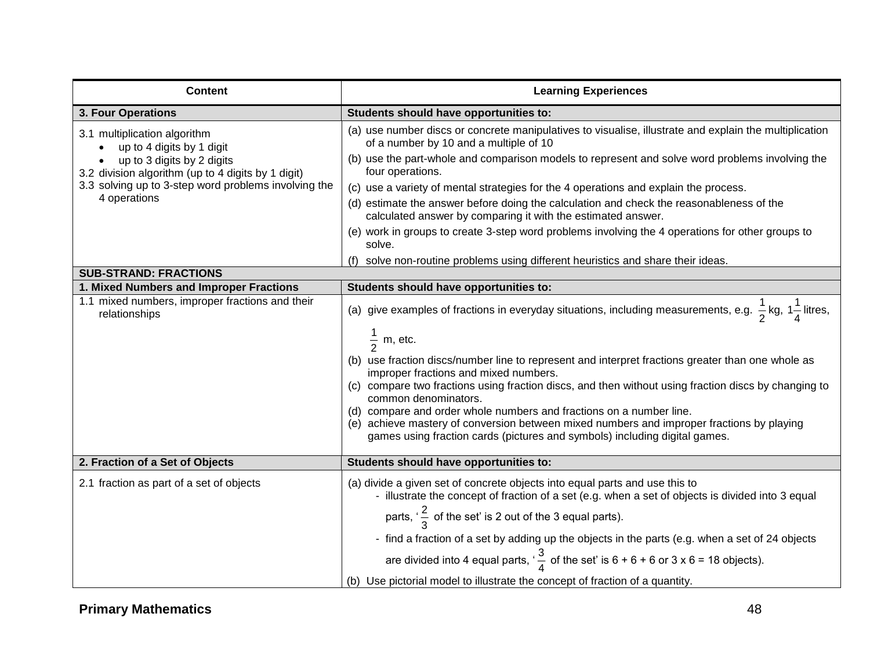| <b>Content</b>                                                                   | <b>Learning Experiences</b>                                                                                                                                                      |
|----------------------------------------------------------------------------------|----------------------------------------------------------------------------------------------------------------------------------------------------------------------------------|
| 3. Four Operations                                                               | Students should have opportunities to:                                                                                                                                           |
| 3.1 multiplication algorithm<br>up to 4 digits by 1 digit                        | (a) use number discs or concrete manipulatives to visualise, illustrate and explain the multiplication<br>of a number by 10 and a multiple of 10                                 |
| up to 3 digits by 2 digits<br>3.2 division algorithm (up to 4 digits by 1 digit) | (b) use the part-whole and comparison models to represent and solve word problems involving the<br>four operations.                                                              |
| 3.3 solving up to 3-step word problems involving the                             | (c) use a variety of mental strategies for the 4 operations and explain the process.                                                                                             |
| 4 operations                                                                     | (d) estimate the answer before doing the calculation and check the reasonableness of the<br>calculated answer by comparing it with the estimated answer.                         |
|                                                                                  | (e) work in groups to create 3-step word problems involving the 4 operations for other groups to<br>solve.                                                                       |
|                                                                                  | (f) solve non-routine problems using different heuristics and share their ideas.                                                                                                 |
| <b>SUB-STRAND: FRACTIONS</b>                                                     |                                                                                                                                                                                  |
| 1. Mixed Numbers and Improper Fractions                                          | Students should have opportunities to:                                                                                                                                           |
| 1.1 mixed numbers, improper fractions and their<br>relationships                 | (a) give examples of fractions in everyday situations, including measurements, e.g. $\frac{1}{2}$ kg, $1\frac{1}{4}$ litres,                                                     |
|                                                                                  | $\frac{1}{2}$ m, etc.                                                                                                                                                            |
|                                                                                  | (b) use fraction discs/number line to represent and interpret fractions greater than one whole as<br>improper fractions and mixed numbers.                                       |
|                                                                                  | (c) compare two fractions using fraction discs, and then without using fraction discs by changing to<br>common denominators.                                                     |
|                                                                                  | (d) compare and order whole numbers and fractions on a number line.                                                                                                              |
|                                                                                  | (e) achieve mastery of conversion between mixed numbers and improper fractions by playing<br>games using fraction cards (pictures and symbols) including digital games.          |
| 2. Fraction of a Set of Objects                                                  | Students should have opportunities to:                                                                                                                                           |
| 2.1 fraction as part of a set of objects                                         | (a) divide a given set of concrete objects into equal parts and use this to<br>- illustrate the concept of fraction of a set (e.g. when a set of objects is divided into 3 equal |
|                                                                                  | parts, $\frac{2}{3}$ of the set' is 2 out of the 3 equal parts).                                                                                                                 |
|                                                                                  | - find a fraction of a set by adding up the objects in the parts (e.g. when a set of 24 objects                                                                                  |
|                                                                                  | are divided into 4 equal parts, $\frac{3}{4}$ of the set' is 6 + 6 + 6 or 3 x 6 = 18 objects).                                                                                   |
|                                                                                  | (b) Use pictorial model to illustrate the concept of fraction of a quantity.                                                                                                     |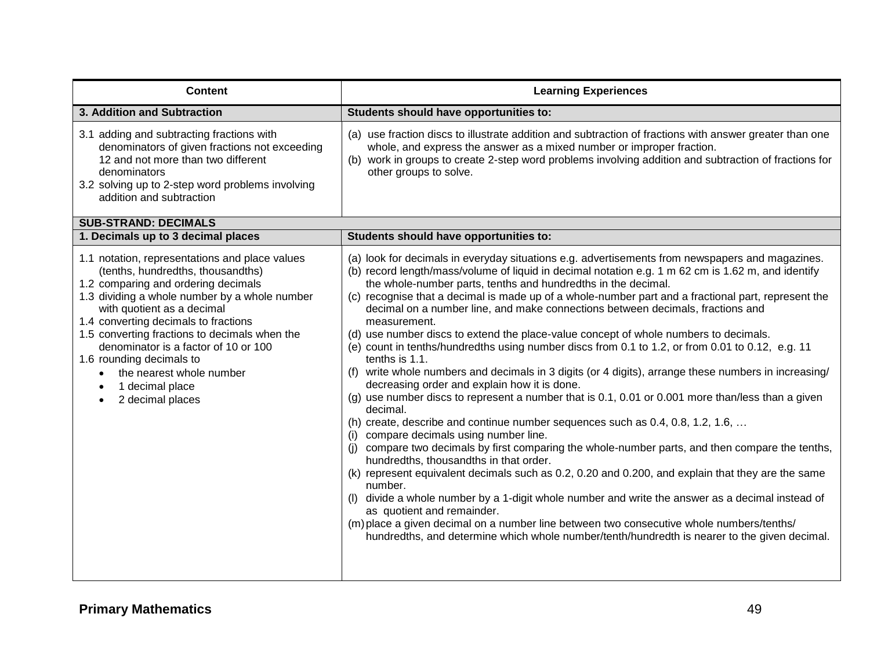| <b>Content</b>                                                                                                                                                                                                                                                                                                                                                                                                                                         | <b>Learning Experiences</b>                                                                                                                                                                                                                                                                                                                                                                                                                                                                                                                                                                                                                                                                                                                                                                                                                                                                                                                                                                                                                                                                                                                                                                                                                                                                                                                                                                                                                                                                                                                                                                                                                                                                                        |
|--------------------------------------------------------------------------------------------------------------------------------------------------------------------------------------------------------------------------------------------------------------------------------------------------------------------------------------------------------------------------------------------------------------------------------------------------------|--------------------------------------------------------------------------------------------------------------------------------------------------------------------------------------------------------------------------------------------------------------------------------------------------------------------------------------------------------------------------------------------------------------------------------------------------------------------------------------------------------------------------------------------------------------------------------------------------------------------------------------------------------------------------------------------------------------------------------------------------------------------------------------------------------------------------------------------------------------------------------------------------------------------------------------------------------------------------------------------------------------------------------------------------------------------------------------------------------------------------------------------------------------------------------------------------------------------------------------------------------------------------------------------------------------------------------------------------------------------------------------------------------------------------------------------------------------------------------------------------------------------------------------------------------------------------------------------------------------------------------------------------------------------------------------------------------------------|
| 3. Addition and Subtraction                                                                                                                                                                                                                                                                                                                                                                                                                            | Students should have opportunities to:                                                                                                                                                                                                                                                                                                                                                                                                                                                                                                                                                                                                                                                                                                                                                                                                                                                                                                                                                                                                                                                                                                                                                                                                                                                                                                                                                                                                                                                                                                                                                                                                                                                                             |
| 3.1 adding and subtracting fractions with<br>denominators of given fractions not exceeding<br>12 and not more than two different<br>denominators<br>3.2 solving up to 2-step word problems involving<br>addition and subtraction                                                                                                                                                                                                                       | (a) use fraction discs to illustrate addition and subtraction of fractions with answer greater than one<br>whole, and express the answer as a mixed number or improper fraction.<br>(b) work in groups to create 2-step word problems involving addition and subtraction of fractions for<br>other groups to solve.                                                                                                                                                                                                                                                                                                                                                                                                                                                                                                                                                                                                                                                                                                                                                                                                                                                                                                                                                                                                                                                                                                                                                                                                                                                                                                                                                                                                |
| <b>SUB-STRAND: DECIMALS</b>                                                                                                                                                                                                                                                                                                                                                                                                                            |                                                                                                                                                                                                                                                                                                                                                                                                                                                                                                                                                                                                                                                                                                                                                                                                                                                                                                                                                                                                                                                                                                                                                                                                                                                                                                                                                                                                                                                                                                                                                                                                                                                                                                                    |
| 1. Decimals up to 3 decimal places                                                                                                                                                                                                                                                                                                                                                                                                                     | Students should have opportunities to:                                                                                                                                                                                                                                                                                                                                                                                                                                                                                                                                                                                                                                                                                                                                                                                                                                                                                                                                                                                                                                                                                                                                                                                                                                                                                                                                                                                                                                                                                                                                                                                                                                                                             |
| 1.1 notation, representations and place values<br>(tenths, hundredths, thousandths)<br>1.2 comparing and ordering decimals<br>1.3 dividing a whole number by a whole number<br>with quotient as a decimal<br>1.4 converting decimals to fractions<br>1.5 converting fractions to decimals when the<br>denominator is a factor of 10 or 100<br>1.6 rounding decimals to<br>the nearest whole number<br>$\bullet$<br>1 decimal place<br>2 decimal places | (a) look for decimals in everyday situations e.g. advertisements from newspapers and magazines.<br>(b) record length/mass/volume of liquid in decimal notation e.g. 1 m 62 cm is 1.62 m, and identify<br>the whole-number parts, tenths and hundredths in the decimal.<br>(c) recognise that a decimal is made up of a whole-number part and a fractional part, represent the<br>decimal on a number line, and make connections between decimals, fractions and<br>measurement.<br>(d) use number discs to extend the place-value concept of whole numbers to decimals.<br>(e) count in tenths/hundredths using number discs from 0.1 to 1.2, or from 0.01 to 0.12, e.g. 11<br>tenths is 1.1.<br>(f) write whole numbers and decimals in 3 digits (or 4 digits), arrange these numbers in increasing/<br>decreasing order and explain how it is done.<br>(g) use number discs to represent a number that is $0.1$ , $0.01$ or $0.001$ more than/less than a given<br>decimal.<br>(h) create, describe and continue number sequences such as $0.4$ , $0.8$ , $1.2$ , $1.6$ ,<br>(i) compare decimals using number line.<br>(j) compare two decimals by first comparing the whole-number parts, and then compare the tenths,<br>hundredths, thousandths in that order.<br>(k) represent equivalent decimals such as 0.2, 0.20 and 0.200, and explain that they are the same<br>number.<br>(I) divide a whole number by a 1-digit whole number and write the answer as a decimal instead of<br>as quotient and remainder.<br>(m) place a given decimal on a number line between two consecutive whole numbers/tenths/<br>hundredths, and determine which whole number/tenth/hundredth is nearer to the given decimal. |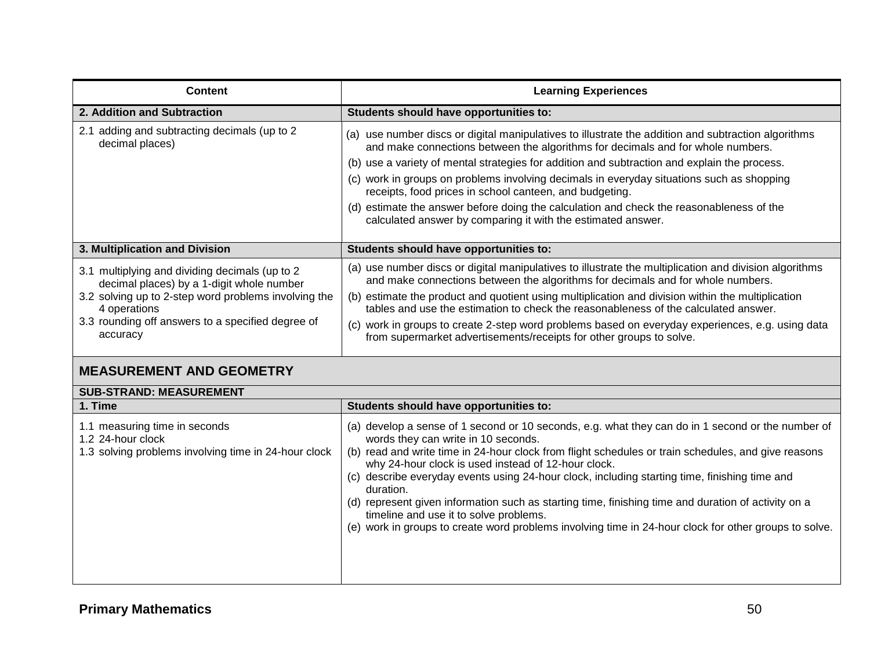| <b>Content</b>                                                                                                                                                                                                                       | <b>Learning Experiences</b>                                                                                                                                                                                                                                                                                                                                                                                                                                                                                                                                                                                |
|--------------------------------------------------------------------------------------------------------------------------------------------------------------------------------------------------------------------------------------|------------------------------------------------------------------------------------------------------------------------------------------------------------------------------------------------------------------------------------------------------------------------------------------------------------------------------------------------------------------------------------------------------------------------------------------------------------------------------------------------------------------------------------------------------------------------------------------------------------|
| 2. Addition and Subtraction                                                                                                                                                                                                          | Students should have opportunities to:                                                                                                                                                                                                                                                                                                                                                                                                                                                                                                                                                                     |
| adding and subtracting decimals (up to 2)<br>2.1<br>decimal places)                                                                                                                                                                  | (a) use number discs or digital manipulatives to illustrate the addition and subtraction algorithms<br>and make connections between the algorithms for decimals and for whole numbers.<br>(b) use a variety of mental strategies for addition and subtraction and explain the process.<br>(c) work in groups on problems involving decimals in everyday situations such as shopping<br>receipts, food prices in school canteen, and budgeting.<br>(d) estimate the answer before doing the calculation and check the reasonableness of the<br>calculated answer by comparing it with the estimated answer. |
| 3. Multiplication and Division                                                                                                                                                                                                       | Students should have opportunities to:                                                                                                                                                                                                                                                                                                                                                                                                                                                                                                                                                                     |
| 3.1 multiplying and dividing decimals (up to 2<br>decimal places) by a 1-digit whole number<br>3.2 solving up to 2-step word problems involving the<br>4 operations<br>3.3 rounding off answers to a specified degree of<br>accuracy | (a) use number discs or digital manipulatives to illustrate the multiplication and division algorithms<br>and make connections between the algorithms for decimals and for whole numbers.<br>(b) estimate the product and quotient using multiplication and division within the multiplication<br>tables and use the estimation to check the reasonableness of the calculated answer.<br>work in groups to create 2-step word problems based on everyday experiences, e.g. using data<br>(C)<br>from supermarket advertisements/receipts for other groups to solve.                                        |

# **MEASUREMENT AND GEOMETRY**

| <b>SUB-STRAND: MEASUREMENT</b>                                                                             |                                                                                                                                                                                                                                                                                                                                                                                                                                                                                                                                                                                                                                                                                |  |
|------------------------------------------------------------------------------------------------------------|--------------------------------------------------------------------------------------------------------------------------------------------------------------------------------------------------------------------------------------------------------------------------------------------------------------------------------------------------------------------------------------------------------------------------------------------------------------------------------------------------------------------------------------------------------------------------------------------------------------------------------------------------------------------------------|--|
| 1. Time                                                                                                    | Students should have opportunities to:                                                                                                                                                                                                                                                                                                                                                                                                                                                                                                                                                                                                                                         |  |
| 1.1 measuring time in seconds<br>1.2 24-hour clock<br>1.3 solving problems involving time in 24-hour clock | (a) develop a sense of 1 second or 10 seconds, e.g. what they can do in 1 second or the number of<br>words they can write in 10 seconds.<br>(b) read and write time in 24-hour clock from flight schedules or train schedules, and give reasons<br>why 24-hour clock is used instead of 12-hour clock.<br>(c) describe everyday events using 24-hour clock, including starting time, finishing time and<br>duration.<br>(d) represent given information such as starting time, finishing time and duration of activity on a<br>timeline and use it to solve problems.<br>(e) work in groups to create word problems involving time in 24-hour clock for other groups to solve. |  |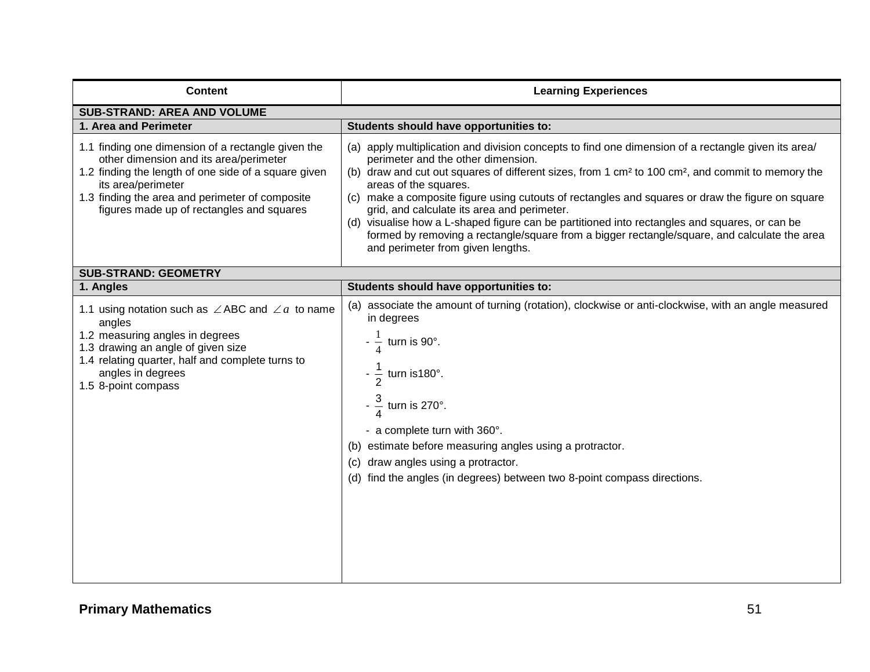| <b>Content</b>                                                                                                                                                                                                                                                             | <b>Learning Experiences</b>                                                                                                                                                                                                                                                                                                                                                                                                                                                                                                                                                                                                                                                              |
|----------------------------------------------------------------------------------------------------------------------------------------------------------------------------------------------------------------------------------------------------------------------------|------------------------------------------------------------------------------------------------------------------------------------------------------------------------------------------------------------------------------------------------------------------------------------------------------------------------------------------------------------------------------------------------------------------------------------------------------------------------------------------------------------------------------------------------------------------------------------------------------------------------------------------------------------------------------------------|
| <b>SUB-STRAND: AREA AND VOLUME</b>                                                                                                                                                                                                                                         |                                                                                                                                                                                                                                                                                                                                                                                                                                                                                                                                                                                                                                                                                          |
| 1. Area and Perimeter                                                                                                                                                                                                                                                      | Students should have opportunities to:                                                                                                                                                                                                                                                                                                                                                                                                                                                                                                                                                                                                                                                   |
| 1.1 finding one dimension of a rectangle given the<br>other dimension and its area/perimeter<br>1.2 finding the length of one side of a square given<br>its area/perimeter<br>1.3 finding the area and perimeter of composite<br>figures made up of rectangles and squares | (a) apply multiplication and division concepts to find one dimension of a rectangle given its area/<br>perimeter and the other dimension.<br>(b) draw and cut out squares of different sizes, from 1 cm <sup>2</sup> to 100 cm <sup>2</sup> , and commit to memory the<br>areas of the squares.<br>(c) make a composite figure using cutouts of rectangles and squares or draw the figure on square<br>grid, and calculate its area and perimeter.<br>(d) visualise how a L-shaped figure can be partitioned into rectangles and squares, or can be<br>formed by removing a rectangle/square from a bigger rectangle/square, and calculate the area<br>and perimeter from given lengths. |
| <b>SUB-STRAND: GEOMETRY</b>                                                                                                                                                                                                                                                |                                                                                                                                                                                                                                                                                                                                                                                                                                                                                                                                                                                                                                                                                          |
| 1. Angles                                                                                                                                                                                                                                                                  | Students should have opportunities to:                                                                                                                                                                                                                                                                                                                                                                                                                                                                                                                                                                                                                                                   |
| 1.1 using notation such as $\angle$ ABC and $\angle a$ to name<br>angles<br>1.2 measuring angles in degrees<br>1.3 drawing an angle of given size<br>1.4 relating quarter, half and complete turns to<br>angles in degrees<br>1.5 8-point compass                          | associate the amount of turning (rotation), clockwise or anti-clockwise, with an angle measured<br>(a)<br>in degrees<br>turn is 90°.<br>$\frac{1}{2}$ turn is 180°.<br>$\frac{3}{4}$ turn is 270°.<br>- a complete turn with 360°.<br>estimate before measuring angles using a protractor.<br>(b)<br>draw angles using a protractor.<br>(c)<br>(d) find the angles (in degrees) between two 8-point compass directions.                                                                                                                                                                                                                                                                  |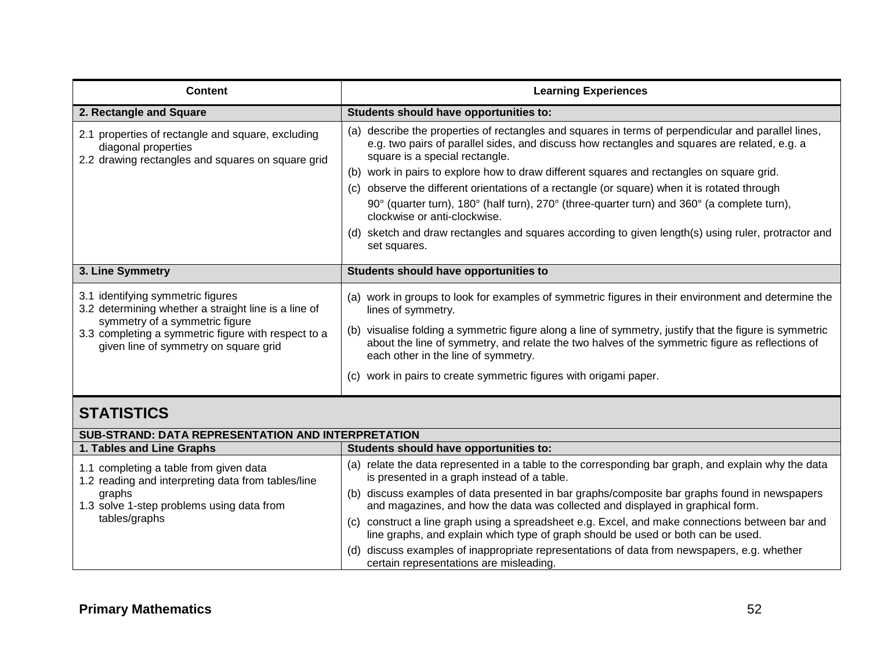| <b>Content</b>                                                                                                                                                                                                              | <b>Learning Experiences</b>                                                                                                                                                                                                                                                                                                                                                          |
|-----------------------------------------------------------------------------------------------------------------------------------------------------------------------------------------------------------------------------|--------------------------------------------------------------------------------------------------------------------------------------------------------------------------------------------------------------------------------------------------------------------------------------------------------------------------------------------------------------------------------------|
| 2. Rectangle and Square                                                                                                                                                                                                     | Students should have opportunities to:                                                                                                                                                                                                                                                                                                                                               |
| 2.1 properties of rectangle and square, excluding<br>diagonal properties<br>2.2 drawing rectangles and squares on square grid                                                                                               | describe the properties of rectangles and squares in terms of perpendicular and parallel lines,<br>(a)<br>e.g. two pairs of parallel sides, and discuss how rectangles and squares are related, e.g. a<br>square is a special rectangle.                                                                                                                                             |
|                                                                                                                                                                                                                             | (b) work in pairs to explore how to draw different squares and rectangles on square grid.                                                                                                                                                                                                                                                                                            |
|                                                                                                                                                                                                                             | observe the different orientations of a rectangle (or square) when it is rotated through<br>90° (quarter turn), 180° (half turn), 270° (three-quarter turn) and 360° (a complete turn),<br>clockwise or anti-clockwise.                                                                                                                                                              |
|                                                                                                                                                                                                                             | (d) sketch and draw rectangles and squares according to given length(s) using ruler, protractor and<br>set squares.                                                                                                                                                                                                                                                                  |
| 3. Line Symmetry                                                                                                                                                                                                            | Students should have opportunities to                                                                                                                                                                                                                                                                                                                                                |
| 3.1 identifying symmetric figures<br>3.2 determining whether a straight line is a line of<br>symmetry of a symmetric figure<br>3.3 completing a symmetric figure with respect to a<br>given line of symmetry on square grid | work in groups to look for examples of symmetric figures in their environment and determine the<br>(a)<br>lines of symmetry.<br>visualise folding a symmetric figure along a line of symmetry, justify that the figure is symmetric<br>(b)<br>about the line of symmetry, and relate the two halves of the symmetric figure as reflections of<br>each other in the line of symmetry. |
|                                                                                                                                                                                                                             | work in pairs to create symmetric figures with origami paper.<br>(C)                                                                                                                                                                                                                                                                                                                 |

| <b>SUB-STRAND: DATA REPRESENTATION AND INTERPRETATION</b>                                                                                                            |                                                                                                                                                                                        |
|----------------------------------------------------------------------------------------------------------------------------------------------------------------------|----------------------------------------------------------------------------------------------------------------------------------------------------------------------------------------|
| 1. Tables and Line Graphs                                                                                                                                            | Students should have opportunities to:                                                                                                                                                 |
| 1.1 completing a table from given data<br>1.2 reading and interpreting data from tables/line<br>graphs<br>1.3 solve 1-step problems using data from<br>tables/graphs | relate the data represented in a table to the corresponding bar graph, and explain why the data<br>(a)<br>is presented in a graph instead of a table.                                  |
|                                                                                                                                                                      | discuss examples of data presented in bar graphs/composite bar graphs found in newspapers<br>(b)<br>and magazines, and how the data was collected and displayed in graphical form.     |
|                                                                                                                                                                      | construct a line graph using a spreadsheet e.g. Excel, and make connections between bar and<br>(C)<br>line graphs, and explain which type of graph should be used or both can be used. |
|                                                                                                                                                                      | discuss examples of inappropriate representations of data from newspapers, e.g. whether<br>(d)<br>certain representations are misleading.                                              |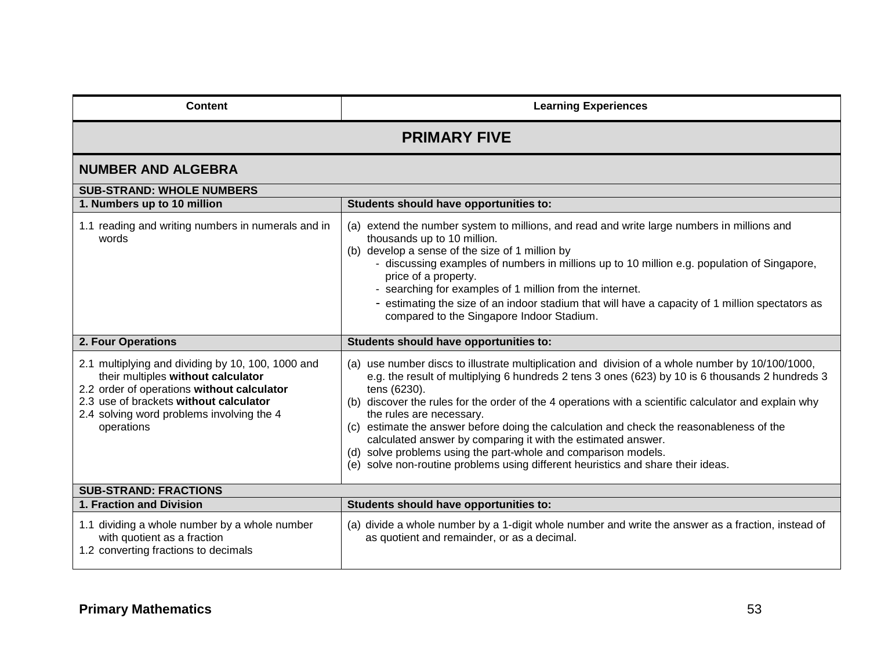| <b>Content</b>                                                                                                                                                                                                                             | <b>Learning Experiences</b>                                                                                                                                                                                                                                                                                                                                                                                                                                                                                                                                                                                                                                                |
|--------------------------------------------------------------------------------------------------------------------------------------------------------------------------------------------------------------------------------------------|----------------------------------------------------------------------------------------------------------------------------------------------------------------------------------------------------------------------------------------------------------------------------------------------------------------------------------------------------------------------------------------------------------------------------------------------------------------------------------------------------------------------------------------------------------------------------------------------------------------------------------------------------------------------------|
| <b>PRIMARY FIVE</b>                                                                                                                                                                                                                        |                                                                                                                                                                                                                                                                                                                                                                                                                                                                                                                                                                                                                                                                            |
| <b>NUMBER AND ALGEBRA</b>                                                                                                                                                                                                                  |                                                                                                                                                                                                                                                                                                                                                                                                                                                                                                                                                                                                                                                                            |
| <b>SUB-STRAND: WHOLE NUMBERS</b>                                                                                                                                                                                                           |                                                                                                                                                                                                                                                                                                                                                                                                                                                                                                                                                                                                                                                                            |
| 1. Numbers up to 10 million                                                                                                                                                                                                                | Students should have opportunities to:                                                                                                                                                                                                                                                                                                                                                                                                                                                                                                                                                                                                                                     |
| 1.1 reading and writing numbers in numerals and in<br>words                                                                                                                                                                                | extend the number system to millions, and read and write large numbers in millions and<br>(a)<br>thousands up to 10 million.<br>(b) develop a sense of the size of 1 million by<br>- discussing examples of numbers in millions up to 10 million e.g. population of Singapore,<br>price of a property.<br>- searching for examples of 1 million from the internet.<br>- estimating the size of an indoor stadium that will have a capacity of 1 million spectators as<br>compared to the Singapore Indoor Stadium.                                                                                                                                                         |
| 2. Four Operations                                                                                                                                                                                                                         | Students should have opportunities to:                                                                                                                                                                                                                                                                                                                                                                                                                                                                                                                                                                                                                                     |
| 2.1 multiplying and dividing by 10, 100, 1000 and<br>their multiples without calculator<br>2.2 order of operations without calculator<br>2.3 use of brackets without calculator<br>2.4 solving word problems involving the 4<br>operations | (a) use number discs to illustrate multiplication and division of a whole number by 10/100/1000,<br>e.g. the result of multiplying 6 hundreds 2 tens 3 ones (623) by 10 is 6 thousands 2 hundreds 3<br>tens (6230).<br>(b) discover the rules for the order of the 4 operations with a scientific calculator and explain why<br>the rules are necessary.<br>(c) estimate the answer before doing the calculation and check the reasonableness of the<br>calculated answer by comparing it with the estimated answer.<br>(d) solve problems using the part-whole and comparison models.<br>(e) solve non-routine problems using different heuristics and share their ideas. |
| <b>SUB-STRAND: FRACTIONS</b>                                                                                                                                                                                                               |                                                                                                                                                                                                                                                                                                                                                                                                                                                                                                                                                                                                                                                                            |
| 1. Fraction and Division                                                                                                                                                                                                                   | Students should have opportunities to:                                                                                                                                                                                                                                                                                                                                                                                                                                                                                                                                                                                                                                     |
| 1.1 dividing a whole number by a whole number<br>with quotient as a fraction<br>1.2 converting fractions to decimals                                                                                                                       | (a) divide a whole number by a 1-digit whole number and write the answer as a fraction, instead of<br>as quotient and remainder, or as a decimal.                                                                                                                                                                                                                                                                                                                                                                                                                                                                                                                          |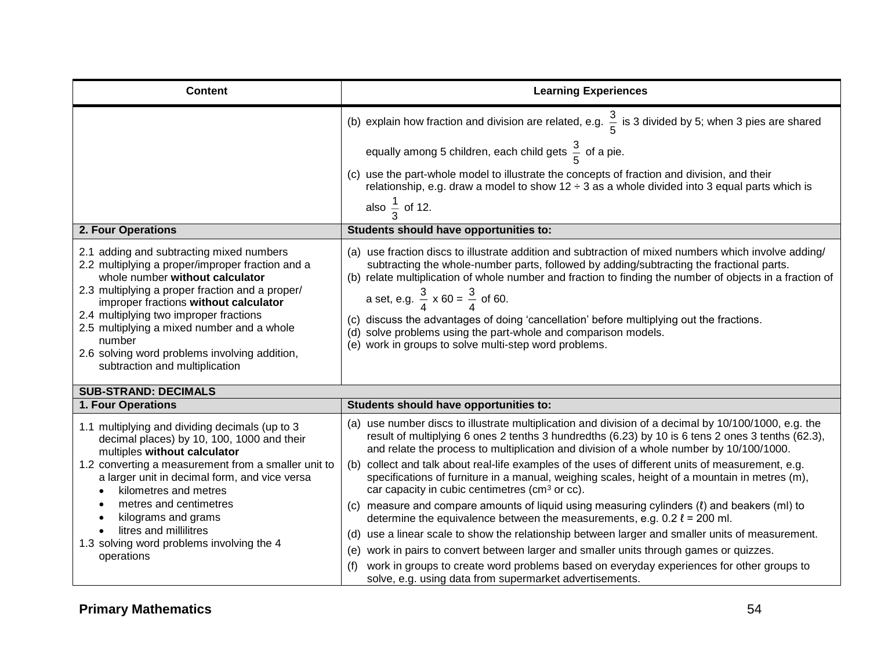| <b>Content</b>                                                                                                                                                                                                                                                                                                                                                                                                   | <b>Learning Experiences</b>                                                                                                                                                                                                                                                                                                                                                                                                                                                                                                                                                                     |
|------------------------------------------------------------------------------------------------------------------------------------------------------------------------------------------------------------------------------------------------------------------------------------------------------------------------------------------------------------------------------------------------------------------|-------------------------------------------------------------------------------------------------------------------------------------------------------------------------------------------------------------------------------------------------------------------------------------------------------------------------------------------------------------------------------------------------------------------------------------------------------------------------------------------------------------------------------------------------------------------------------------------------|
|                                                                                                                                                                                                                                                                                                                                                                                                                  | (b) explain how fraction and division are related, e.g. $\frac{3}{5}$ is 3 divided by 5; when 3 pies are shared                                                                                                                                                                                                                                                                                                                                                                                                                                                                                 |
|                                                                                                                                                                                                                                                                                                                                                                                                                  | equally among 5 children, each child gets $\frac{3}{5}$ of a pie.                                                                                                                                                                                                                                                                                                                                                                                                                                                                                                                               |
|                                                                                                                                                                                                                                                                                                                                                                                                                  | use the part-whole model to illustrate the concepts of fraction and division, and their<br>(C)<br>relationship, e.g. draw a model to show $12 \div 3$ as a whole divided into 3 equal parts which is<br>also $\frac{1}{3}$ of 12.                                                                                                                                                                                                                                                                                                                                                               |
| 2. Four Operations                                                                                                                                                                                                                                                                                                                                                                                               | Students should have opportunities to:                                                                                                                                                                                                                                                                                                                                                                                                                                                                                                                                                          |
| 2.1 adding and subtracting mixed numbers<br>2.2 multiplying a proper/improper fraction and a<br>whole number without calculator<br>2.3 multiplying a proper fraction and a proper/<br>improper fractions without calculator<br>2.4 multiplying two improper fractions<br>2.5 multiplying a mixed number and a whole<br>number<br>2.6 solving word problems involving addition,<br>subtraction and multiplication | (a) use fraction discs to illustrate addition and subtraction of mixed numbers which involve adding/<br>subtracting the whole-number parts, followed by adding/subtracting the fractional parts.<br>(b) relate multiplication of whole number and fraction to finding the number of objects in a fraction of<br>a set, e.g. $\frac{3}{4} \times 60 = \frac{3}{4}$ of 60.<br>(c) discuss the advantages of doing 'cancellation' before multiplying out the fractions.<br>(d) solve problems using the part-whole and comparison models.<br>(e) work in groups to solve multi-step word problems. |
| <b>SUB-STRAND: DECIMALS</b>                                                                                                                                                                                                                                                                                                                                                                                      |                                                                                                                                                                                                                                                                                                                                                                                                                                                                                                                                                                                                 |
| 1. Four Operations                                                                                                                                                                                                                                                                                                                                                                                               | Students should have opportunities to:                                                                                                                                                                                                                                                                                                                                                                                                                                                                                                                                                          |
| 1.1 multiplying and dividing decimals (up to 3<br>decimal places) by 10, 100, 1000 and their<br>multiples without calculator                                                                                                                                                                                                                                                                                     | (a) use number discs to illustrate multiplication and division of a decimal by 10/100/1000, e.g. the<br>result of multiplying 6 ones 2 tenths 3 hundredths (6.23) by 10 is 6 tens 2 ones 3 tenths (62.3),<br>and relate the process to multiplication and division of a whole number by 10/100/1000.                                                                                                                                                                                                                                                                                            |
| 1.2 converting a measurement from a smaller unit to<br>a larger unit in decimal form, and vice versa<br>kilometres and metres                                                                                                                                                                                                                                                                                    | collect and talk about real-life examples of the uses of different units of measurement, e.g.<br>(b)<br>specifications of furniture in a manual, weighing scales, height of a mountain in metres (m),<br>car capacity in cubic centimetres (cm <sup>3</sup> or cc).                                                                                                                                                                                                                                                                                                                             |
| metres and centimetres<br>kilograms and grams                                                                                                                                                                                                                                                                                                                                                                    | measure and compare amounts of liquid using measuring cylinders $(2)$ and beakers (ml) to<br>(C)<br>determine the equivalence between the measurements, e.g. $0.2 \ell = 200$ ml.                                                                                                                                                                                                                                                                                                                                                                                                               |
| litres and millilitres<br>1.3 solving word problems involving the 4                                                                                                                                                                                                                                                                                                                                              | use a linear scale to show the relationship between larger and smaller units of measurement.<br>(d)                                                                                                                                                                                                                                                                                                                                                                                                                                                                                             |
| operations                                                                                                                                                                                                                                                                                                                                                                                                       | work in pairs to convert between larger and smaller units through games or quizzes.<br>(e)                                                                                                                                                                                                                                                                                                                                                                                                                                                                                                      |
|                                                                                                                                                                                                                                                                                                                                                                                                                  | work in groups to create word problems based on everyday experiences for other groups to<br>(f)<br>solve, e.g. using data from supermarket advertisements.                                                                                                                                                                                                                                                                                                                                                                                                                                      |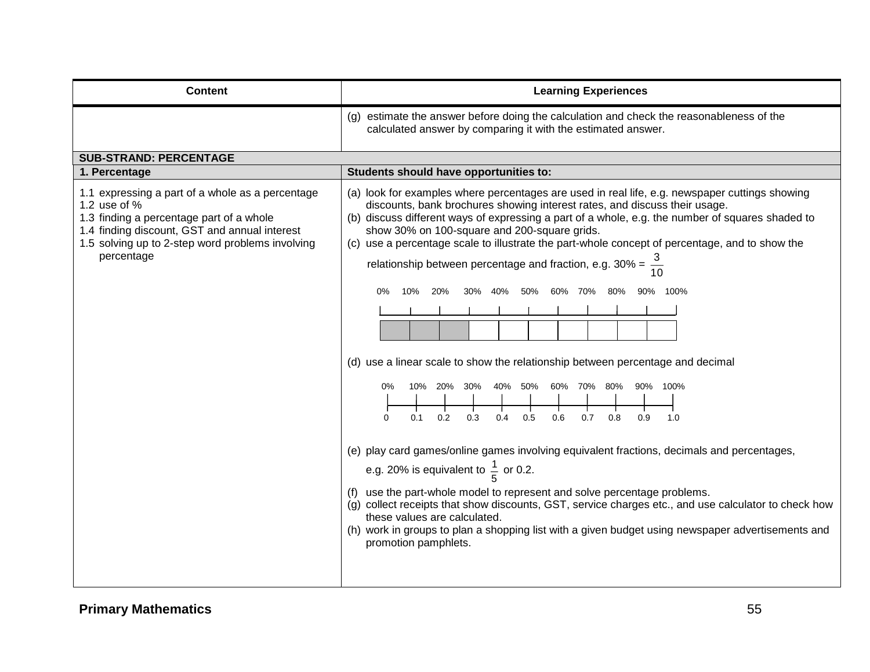| <b>Content</b>                                                                                                                                                                                                                  | <b>Learning Experiences</b>                                                                                                                                                                                                                                                                                                                                                                                                                                                                                                                                                                                                                                                                                                                                                                                                                                                                                                                                                                                                                                                                                                                                                                                                                                                                                                     |
|---------------------------------------------------------------------------------------------------------------------------------------------------------------------------------------------------------------------------------|---------------------------------------------------------------------------------------------------------------------------------------------------------------------------------------------------------------------------------------------------------------------------------------------------------------------------------------------------------------------------------------------------------------------------------------------------------------------------------------------------------------------------------------------------------------------------------------------------------------------------------------------------------------------------------------------------------------------------------------------------------------------------------------------------------------------------------------------------------------------------------------------------------------------------------------------------------------------------------------------------------------------------------------------------------------------------------------------------------------------------------------------------------------------------------------------------------------------------------------------------------------------------------------------------------------------------------|
|                                                                                                                                                                                                                                 | (g) estimate the answer before doing the calculation and check the reasonableness of the<br>calculated answer by comparing it with the estimated answer.                                                                                                                                                                                                                                                                                                                                                                                                                                                                                                                                                                                                                                                                                                                                                                                                                                                                                                                                                                                                                                                                                                                                                                        |
| <b>SUB-STRAND: PERCENTAGE</b>                                                                                                                                                                                                   |                                                                                                                                                                                                                                                                                                                                                                                                                                                                                                                                                                                                                                                                                                                                                                                                                                                                                                                                                                                                                                                                                                                                                                                                                                                                                                                                 |
| 1. Percentage                                                                                                                                                                                                                   | Students should have opportunities to:                                                                                                                                                                                                                                                                                                                                                                                                                                                                                                                                                                                                                                                                                                                                                                                                                                                                                                                                                                                                                                                                                                                                                                                                                                                                                          |
| 1.1 expressing a part of a whole as a percentage<br>1.2 use of %<br>1.3 finding a percentage part of a whole<br>1.4 finding discount, GST and annual interest<br>1.5 solving up to 2-step word problems involving<br>percentage | (a) look for examples where percentages are used in real life, e.g. newspaper cuttings showing<br>discounts, bank brochures showing interest rates, and discuss their usage.<br>(b) discuss different ways of expressing a part of a whole, e.g. the number of squares shaded to<br>show 30% on 100-square and 200-square grids.<br>(c) use a percentage scale to illustrate the part-whole concept of percentage, and to show the<br>relationship between percentage and fraction, e.g. 30% = $\frac{3}{10}$<br>10%<br>20%<br>90% 100%<br>0%<br>30%<br>40%<br>50%<br>60% 70%<br>80%<br>(d) use a linear scale to show the relationship between percentage and decimal<br>10% 20% 30%<br>40% 50%<br>60% 70% 80%<br>0%<br>90% 100%<br>$\Omega$<br>0.2<br>0.3<br>0.5<br>0.6<br>0.7<br>0.8<br>0.1<br>$0.4^{\circ}$<br>0.9<br>1.0<br>(e) play card games/online games involving equivalent fractions, decimals and percentages,<br>e.g. 20% is equivalent to $\frac{1}{5}$ or 0.2.<br>(f) use the part-whole model to represent and solve percentage problems.<br>(g) collect receipts that show discounts, GST, service charges etc., and use calculator to check how<br>these values are calculated.<br>(h) work in groups to plan a shopping list with a given budget using newspaper advertisements and<br>promotion pamphlets. |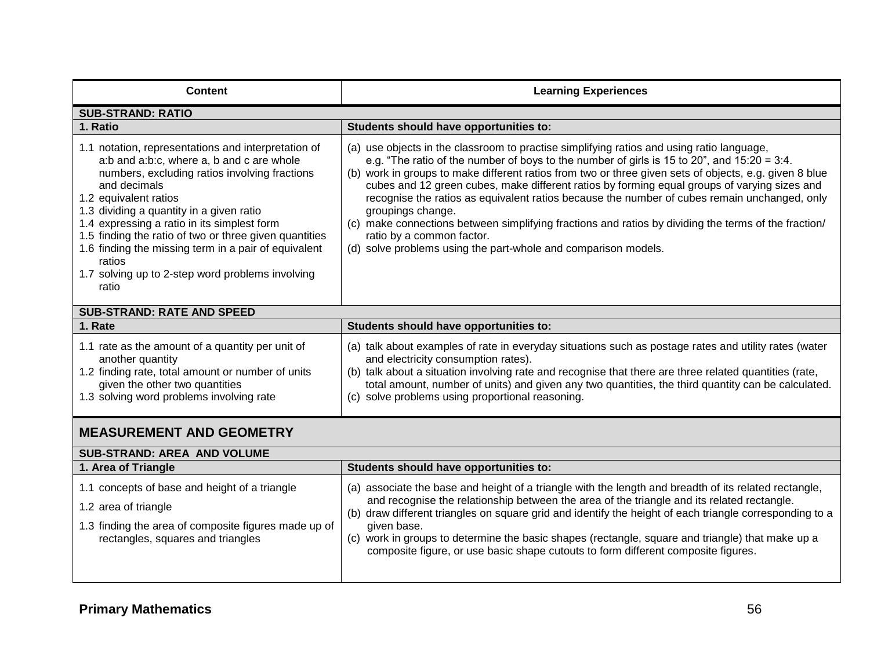| <b>Content</b>                                                                                                                                                                                                                                                                                                                                                                                                                                                                 | <b>Learning Experiences</b>                                                                                                                                                                                                                                                                                                                                                                                                                                                                                                                                                                                                                                                                                                    |
|--------------------------------------------------------------------------------------------------------------------------------------------------------------------------------------------------------------------------------------------------------------------------------------------------------------------------------------------------------------------------------------------------------------------------------------------------------------------------------|--------------------------------------------------------------------------------------------------------------------------------------------------------------------------------------------------------------------------------------------------------------------------------------------------------------------------------------------------------------------------------------------------------------------------------------------------------------------------------------------------------------------------------------------------------------------------------------------------------------------------------------------------------------------------------------------------------------------------------|
| <b>SUB-STRAND: RATIO</b>                                                                                                                                                                                                                                                                                                                                                                                                                                                       |                                                                                                                                                                                                                                                                                                                                                                                                                                                                                                                                                                                                                                                                                                                                |
| 1. Ratio                                                                                                                                                                                                                                                                                                                                                                                                                                                                       | Students should have opportunities to:                                                                                                                                                                                                                                                                                                                                                                                                                                                                                                                                                                                                                                                                                         |
| 1.1 notation, representations and interpretation of<br>a:b and a:b:c, where a, b and c are whole<br>numbers, excluding ratios involving fractions<br>and decimals<br>1.2 equivalent ratios<br>1.3 dividing a quantity in a given ratio<br>1.4 expressing a ratio in its simplest form<br>1.5 finding the ratio of two or three given quantities<br>1.6 finding the missing term in a pair of equivalent<br>ratios<br>1.7 solving up to 2-step word problems involving<br>ratio | (a) use objects in the classroom to practise simplifying ratios and using ratio language,<br>e.g. "The ratio of the number of boys to the number of girls is 15 to 20", and 15:20 = 3:4.<br>(b) work in groups to make different ratios from two or three given sets of objects, e.g. given 8 blue<br>cubes and 12 green cubes, make different ratios by forming equal groups of varying sizes and<br>recognise the ratios as equivalent ratios because the number of cubes remain unchanged, only<br>groupings change.<br>(c) make connections between simplifying fractions and ratios by dividing the terms of the fraction/<br>ratio by a common factor.<br>(d) solve problems using the part-whole and comparison models. |
| <b>SUB-STRAND: RATE AND SPEED</b>                                                                                                                                                                                                                                                                                                                                                                                                                                              |                                                                                                                                                                                                                                                                                                                                                                                                                                                                                                                                                                                                                                                                                                                                |
| 1. Rate                                                                                                                                                                                                                                                                                                                                                                                                                                                                        | Students should have opportunities to:                                                                                                                                                                                                                                                                                                                                                                                                                                                                                                                                                                                                                                                                                         |
| 1.1 rate as the amount of a quantity per unit of<br>another quantity<br>1.2 finding rate, total amount or number of units<br>given the other two quantities<br>1.3 solving word problems involving rate                                                                                                                                                                                                                                                                        | (a) talk about examples of rate in everyday situations such as postage rates and utility rates (water<br>and electricity consumption rates).<br>(b) talk about a situation involving rate and recognise that there are three related quantities (rate,<br>total amount, number of units) and given any two quantities, the third quantity can be calculated.<br>(c) solve problems using proportional reasoning.                                                                                                                                                                                                                                                                                                               |
| <b>MEASUREMENT AND GEOMETRY</b>                                                                                                                                                                                                                                                                                                                                                                                                                                                |                                                                                                                                                                                                                                                                                                                                                                                                                                                                                                                                                                                                                                                                                                                                |
| SUB-STRAND: AREA AND VOLUME                                                                                                                                                                                                                                                                                                                                                                                                                                                    |                                                                                                                                                                                                                                                                                                                                                                                                                                                                                                                                                                                                                                                                                                                                |
| 1. Area of Triangle                                                                                                                                                                                                                                                                                                                                                                                                                                                            | Students should have opportunities to:                                                                                                                                                                                                                                                                                                                                                                                                                                                                                                                                                                                                                                                                                         |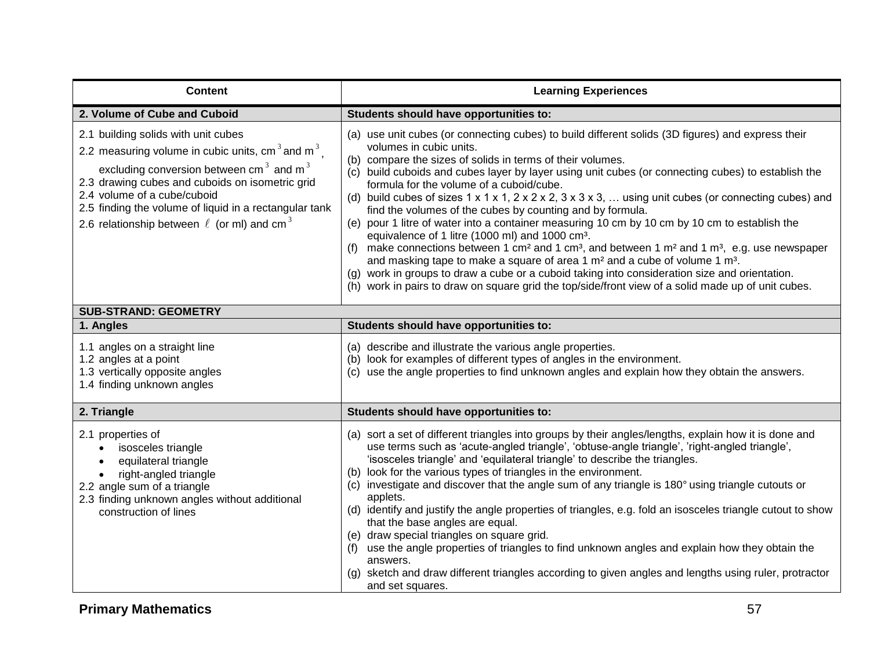| <b>Content</b>                                                                                                                                                                                                                                                                                                                                                             | <b>Learning Experiences</b>                                                                                                                                                                                                                                                                                                                                                                                                                                                                                                                                                                                                                                                                                                                                                                                                                                                                                                                                                                                                                                                                                                                                                                            |
|----------------------------------------------------------------------------------------------------------------------------------------------------------------------------------------------------------------------------------------------------------------------------------------------------------------------------------------------------------------------------|--------------------------------------------------------------------------------------------------------------------------------------------------------------------------------------------------------------------------------------------------------------------------------------------------------------------------------------------------------------------------------------------------------------------------------------------------------------------------------------------------------------------------------------------------------------------------------------------------------------------------------------------------------------------------------------------------------------------------------------------------------------------------------------------------------------------------------------------------------------------------------------------------------------------------------------------------------------------------------------------------------------------------------------------------------------------------------------------------------------------------------------------------------------------------------------------------------|
| 2. Volume of Cube and Cuboid                                                                                                                                                                                                                                                                                                                                               | Students should have opportunities to:                                                                                                                                                                                                                                                                                                                                                                                                                                                                                                                                                                                                                                                                                                                                                                                                                                                                                                                                                                                                                                                                                                                                                                 |
| 2.1 building solids with unit cubes<br>2.2 measuring volume in cubic units, cm <sup>3</sup> and m <sup>3</sup> ,<br>excluding conversion between $cm3$ and $m3$<br>2.3 drawing cubes and cuboids on isometric grid<br>2.4 volume of a cube/cuboid<br>2.5 finding the volume of liquid in a rectangular tank<br>2.6 relationship between $\ell$ (or ml) and cm <sup>3</sup> | (a) use unit cubes (or connecting cubes) to build different solids (3D figures) and express their<br>volumes in cubic units.<br>(b) compare the sizes of solids in terms of their volumes.<br>build cuboids and cubes layer by layer using unit cubes (or connecting cubes) to establish the<br>(c)<br>formula for the volume of a cuboid/cube.<br>build cubes of sizes $1 \times 1 \times 1$ , $2 \times 2 \times 2$ , $3 \times 3 \times 3$ ,  using unit cubes (or connecting cubes) and<br>(d)<br>find the volumes of the cubes by counting and by formula.<br>pour 1 litre of water into a container measuring 10 cm by 10 cm by 10 cm to establish the<br>(e)<br>equivalence of 1 litre (1000 ml) and 1000 cm <sup>3</sup> .<br>make connections between 1 cm <sup>2</sup> and 1 cm <sup>3</sup> , and between 1 m <sup>2</sup> and 1 m <sup>3</sup> , e.g. use newspaper<br>(f)<br>and masking tape to make a square of area 1 m <sup>2</sup> and a cube of volume 1 m <sup>3</sup> .<br>work in groups to draw a cube or a cuboid taking into consideration size and orientation.<br>(g)<br>(h) work in pairs to draw on square grid the top/side/front view of a solid made up of unit cubes. |
| <b>SUB-STRAND: GEOMETRY</b>                                                                                                                                                                                                                                                                                                                                                |                                                                                                                                                                                                                                                                                                                                                                                                                                                                                                                                                                                                                                                                                                                                                                                                                                                                                                                                                                                                                                                                                                                                                                                                        |
| 1. Angles                                                                                                                                                                                                                                                                                                                                                                  | Students should have opportunities to:                                                                                                                                                                                                                                                                                                                                                                                                                                                                                                                                                                                                                                                                                                                                                                                                                                                                                                                                                                                                                                                                                                                                                                 |
| 1.1 angles on a straight line<br>1.2 angles at a point<br>1.3 vertically opposite angles<br>1.4 finding unknown angles                                                                                                                                                                                                                                                     | (a) describe and illustrate the various angle properties.<br>look for examples of different types of angles in the environment.<br>(b)<br>use the angle properties to find unknown angles and explain how they obtain the answers.<br>(C)                                                                                                                                                                                                                                                                                                                                                                                                                                                                                                                                                                                                                                                                                                                                                                                                                                                                                                                                                              |
| 2. Triangle                                                                                                                                                                                                                                                                                                                                                                | Students should have opportunities to:                                                                                                                                                                                                                                                                                                                                                                                                                                                                                                                                                                                                                                                                                                                                                                                                                                                                                                                                                                                                                                                                                                                                                                 |
| 2.1 properties of<br>isosceles triangle<br>$\bullet$<br>equilateral triangle<br>$\bullet$<br>right-angled triangle<br>2.2 angle sum of a triangle<br>2.3 finding unknown angles without additional<br>construction of lines                                                                                                                                                | (a) sort a set of different triangles into groups by their angles/lengths, explain how it is done and<br>use terms such as 'acute-angled triangle', 'obtuse-angle triangle', 'right-angled triangle',<br>'isosceles triangle' and 'equilateral triangle' to describe the triangles.<br>look for the various types of triangles in the environment.<br>(b)<br>investigate and discover that the angle sum of any triangle is 180° using triangle cutouts or<br>(c)<br>applets.<br>(d) identify and justify the angle properties of triangles, e.g. fold an isosceles triangle cutout to show<br>that the base angles are equal.<br>(e) draw special triangles on square grid.<br>use the angle properties of triangles to find unknown angles and explain how they obtain the<br>answers.<br>sketch and draw different triangles according to given angles and lengths using ruler, protractor<br>and set squares.                                                                                                                                                                                                                                                                                      |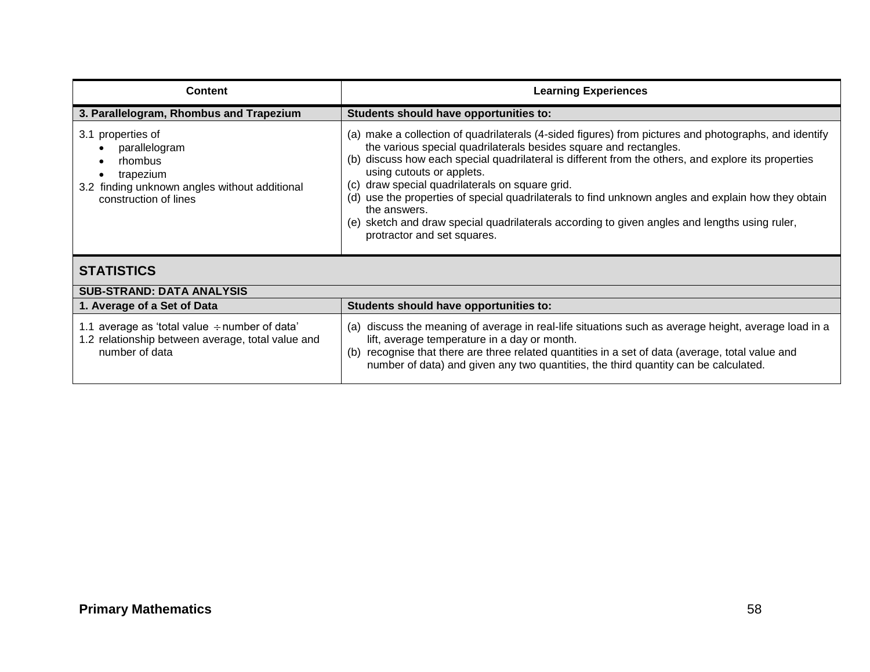| <b>Content</b>                                                                                                                       | <b>Learning Experiences</b>                                                                                                                                                                                                                                                                                                                                                                                                                                                                                                                                                                                                    |
|--------------------------------------------------------------------------------------------------------------------------------------|--------------------------------------------------------------------------------------------------------------------------------------------------------------------------------------------------------------------------------------------------------------------------------------------------------------------------------------------------------------------------------------------------------------------------------------------------------------------------------------------------------------------------------------------------------------------------------------------------------------------------------|
| 3. Parallelogram, Rhombus and Trapezium                                                                                              | Students should have opportunities to:                                                                                                                                                                                                                                                                                                                                                                                                                                                                                                                                                                                         |
| 3.1 properties of<br>parallelogram<br>rhombus<br>trapezium<br>3.2 finding unknown angles without additional<br>construction of lines | (a) make a collection of quadrilaterals (4-sided figures) from pictures and photographs, and identify<br>the various special quadrilaterals besides square and rectangles.<br>(b) discuss how each special quadrilateral is different from the others, and explore its properties<br>using cutouts or applets.<br>(c) draw special quadrilaterals on square grid.<br>use the properties of special quadrilaterals to find unknown angles and explain how they obtain<br>(d)<br>the answers.<br>sketch and draw special quadrilaterals according to given angles and lengths using ruler,<br>(e)<br>protractor and set squares. |
| <b>CTATICTICS</b>                                                                                                                    |                                                                                                                                                                                                                                                                                                                                                                                                                                                                                                                                                                                                                                |

| <b>SUB-STRAND: DATA ANALYSIS</b>                                                                                          |                                                                                                                                                                                                                                                                                                                                                       |
|---------------------------------------------------------------------------------------------------------------------------|-------------------------------------------------------------------------------------------------------------------------------------------------------------------------------------------------------------------------------------------------------------------------------------------------------------------------------------------------------|
| 1. Average of a Set of Data                                                                                               | Students should have opportunities to:                                                                                                                                                                                                                                                                                                                |
| 1.1 average as 'total value $\div$ number of data'<br>1.2 relationship between average, total value and<br>number of data | discuss the meaning of average in real-life situations such as average height, average load in a<br>(a)<br>lift, average temperature in a day or month.<br>recognise that there are three related quantities in a set of data (average, total value and<br>(b)<br>number of data) and given any two quantities, the third quantity can be calculated. |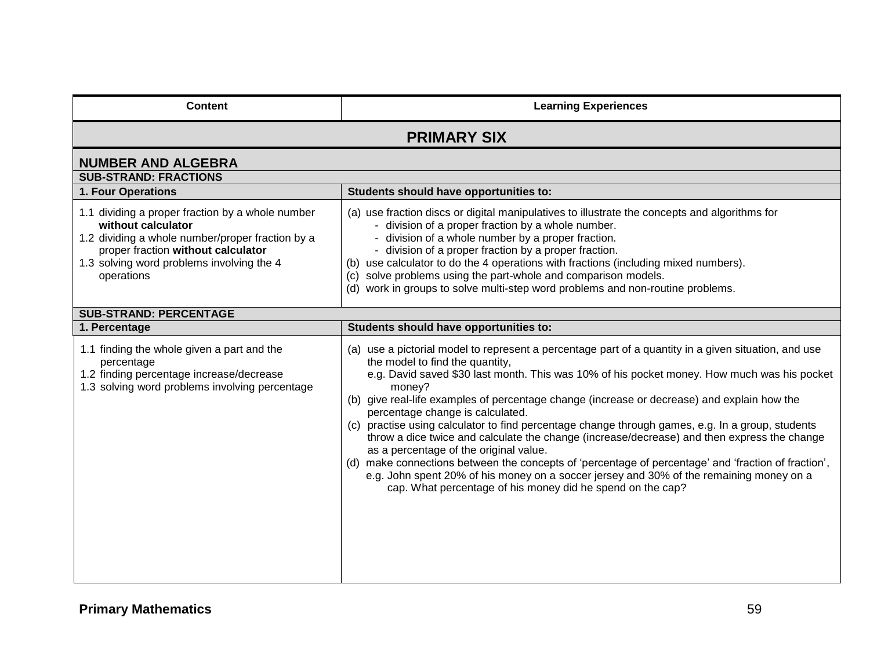| <b>Content</b>                                                                                                                                                                                                              | <b>Learning Experiences</b>                                                                                                                                                                                                                                                                                                                                                                                                                                                                                                                                                                                                                                                                                                                                                                                                                                                                      |
|-----------------------------------------------------------------------------------------------------------------------------------------------------------------------------------------------------------------------------|--------------------------------------------------------------------------------------------------------------------------------------------------------------------------------------------------------------------------------------------------------------------------------------------------------------------------------------------------------------------------------------------------------------------------------------------------------------------------------------------------------------------------------------------------------------------------------------------------------------------------------------------------------------------------------------------------------------------------------------------------------------------------------------------------------------------------------------------------------------------------------------------------|
| <b>PRIMARY SIX</b>                                                                                                                                                                                                          |                                                                                                                                                                                                                                                                                                                                                                                                                                                                                                                                                                                                                                                                                                                                                                                                                                                                                                  |
| <b>NUMBER AND ALGEBRA</b>                                                                                                                                                                                                   |                                                                                                                                                                                                                                                                                                                                                                                                                                                                                                                                                                                                                                                                                                                                                                                                                                                                                                  |
| <b>SUB-STRAND: FRACTIONS</b>                                                                                                                                                                                                |                                                                                                                                                                                                                                                                                                                                                                                                                                                                                                                                                                                                                                                                                                                                                                                                                                                                                                  |
| 1. Four Operations                                                                                                                                                                                                          | Students should have opportunities to:                                                                                                                                                                                                                                                                                                                                                                                                                                                                                                                                                                                                                                                                                                                                                                                                                                                           |
| 1.1 dividing a proper fraction by a whole number<br>without calculator<br>1.2 dividing a whole number/proper fraction by a<br>proper fraction without calculator<br>1.3 solving word problems involving the 4<br>operations | (a) use fraction discs or digital manipulatives to illustrate the concepts and algorithms for<br>- division of a proper fraction by a whole number.<br>- division of a whole number by a proper fraction.<br>- division of a proper fraction by a proper fraction.<br>(b) use calculator to do the 4 operations with fractions (including mixed numbers).<br>(c) solve problems using the part-whole and comparison models.<br>(d) work in groups to solve multi-step word problems and non-routine problems.                                                                                                                                                                                                                                                                                                                                                                                    |
| <b>SUB-STRAND: PERCENTAGE</b>                                                                                                                                                                                               |                                                                                                                                                                                                                                                                                                                                                                                                                                                                                                                                                                                                                                                                                                                                                                                                                                                                                                  |
| 1. Percentage                                                                                                                                                                                                               | Students should have opportunities to:                                                                                                                                                                                                                                                                                                                                                                                                                                                                                                                                                                                                                                                                                                                                                                                                                                                           |
| 1.1 finding the whole given a part and the<br>percentage<br>1.2 finding percentage increase/decrease<br>1.3 solving word problems involving percentage                                                                      | (a) use a pictorial model to represent a percentage part of a quantity in a given situation, and use<br>the model to find the quantity,<br>e.g. David saved \$30 last month. This was 10% of his pocket money. How much was his pocket<br>money?<br>(b) give real-life examples of percentage change (increase or decrease) and explain how the<br>percentage change is calculated.<br>(c) practise using calculator to find percentage change through games, e.g. In a group, students<br>throw a dice twice and calculate the change (increase/decrease) and then express the change<br>as a percentage of the original value.<br>(d) make connections between the concepts of 'percentage of percentage' and 'fraction of fraction',<br>e.g. John spent 20% of his money on a soccer jersey and 30% of the remaining money on a<br>cap. What percentage of his money did he spend on the cap? |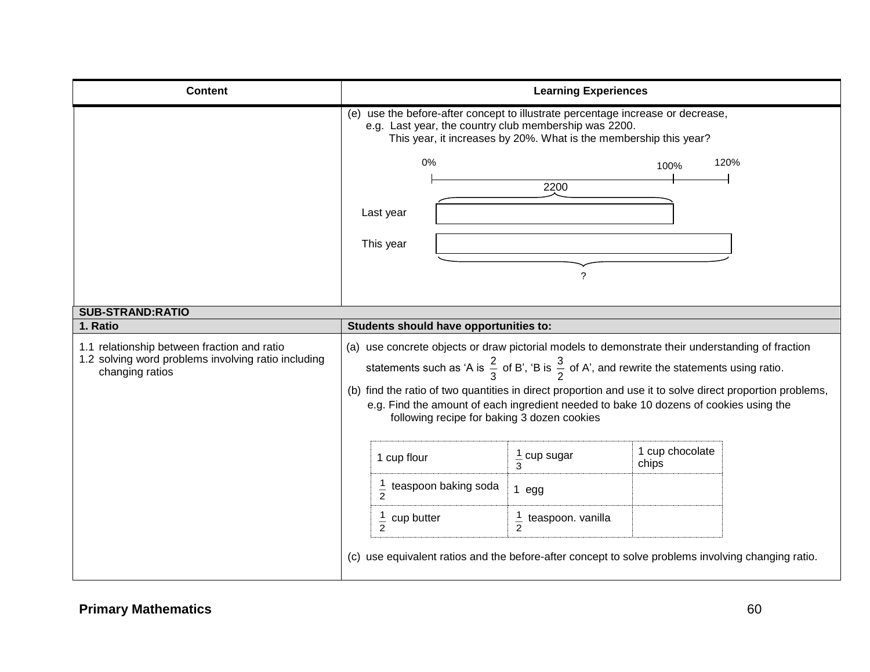| <b>Content</b>                                                                                                        | <b>Learning Experiences</b>                                                                                                                                                                                                                                                                                                                                                                                                                                               |
|-----------------------------------------------------------------------------------------------------------------------|---------------------------------------------------------------------------------------------------------------------------------------------------------------------------------------------------------------------------------------------------------------------------------------------------------------------------------------------------------------------------------------------------------------------------------------------------------------------------|
|                                                                                                                       | (e) use the before-after concept to illustrate percentage increase or decrease,<br>e.g. Last year, the country club membership was 2200.<br>This year, it increases by 20%. What is the membership this year?                                                                                                                                                                                                                                                             |
|                                                                                                                       | 0%<br>120%<br>100%<br>2200<br>Last year<br>This year<br>?                                                                                                                                                                                                                                                                                                                                                                                                                 |
| <b>SUB-STRAND:RATIO</b>                                                                                               |                                                                                                                                                                                                                                                                                                                                                                                                                                                                           |
| 1. Ratio                                                                                                              | Students should have opportunities to:                                                                                                                                                                                                                                                                                                                                                                                                                                    |
| 1.1 relationship between fraction and ratio<br>1.2 solving word problems involving ratio including<br>changing ratios | (a) use concrete objects or draw pictorial models to demonstrate their understanding of fraction<br>statements such as 'A is $\frac{2}{3}$ of B', 'B is $\frac{3}{2}$ of A', and rewrite the statements using ratio.<br>(b) find the ratio of two quantities in direct proportion and use it to solve direct proportion problems,<br>e.g. Find the amount of each ingredient needed to bake 10 dozens of cookies using the<br>following recipe for baking 3 dozen cookies |
|                                                                                                                       | 1 cup chocolate<br>$\frac{1}{3}$ cup sugar<br>1 cup flour<br>chips                                                                                                                                                                                                                                                                                                                                                                                                        |
|                                                                                                                       | teaspoon baking soda<br>$rac{1}{2}$<br>$1$ egg                                                                                                                                                                                                                                                                                                                                                                                                                            |
|                                                                                                                       | teaspoon. vanilla<br>cup butter<br>$\frac{1}{2}$                                                                                                                                                                                                                                                                                                                                                                                                                          |
|                                                                                                                       | (c) use equivalent ratios and the before-after concept to solve problems involving changing ratio.                                                                                                                                                                                                                                                                                                                                                                        |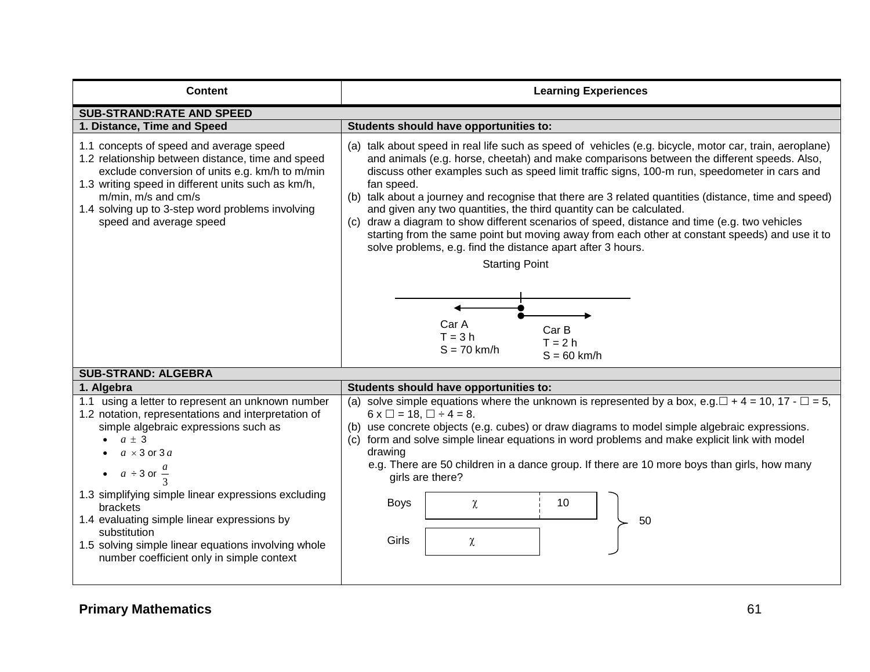| <b>Content</b>                                                                                                                                                                                                                                                                                                                                                                                                                                                                  | <b>Learning Experiences</b>                                                                                                                                                                                                                                                                                                                                                                                                                                                                                                                                                                                                                                                                                                                                                                                                                                                     |
|---------------------------------------------------------------------------------------------------------------------------------------------------------------------------------------------------------------------------------------------------------------------------------------------------------------------------------------------------------------------------------------------------------------------------------------------------------------------------------|---------------------------------------------------------------------------------------------------------------------------------------------------------------------------------------------------------------------------------------------------------------------------------------------------------------------------------------------------------------------------------------------------------------------------------------------------------------------------------------------------------------------------------------------------------------------------------------------------------------------------------------------------------------------------------------------------------------------------------------------------------------------------------------------------------------------------------------------------------------------------------|
| <b>SUB-STRAND:RATE AND SPEED</b>                                                                                                                                                                                                                                                                                                                                                                                                                                                |                                                                                                                                                                                                                                                                                                                                                                                                                                                                                                                                                                                                                                                                                                                                                                                                                                                                                 |
| 1. Distance, Time and Speed                                                                                                                                                                                                                                                                                                                                                                                                                                                     | Students should have opportunities to:                                                                                                                                                                                                                                                                                                                                                                                                                                                                                                                                                                                                                                                                                                                                                                                                                                          |
| 1.1 concepts of speed and average speed<br>1.2 relationship between distance, time and speed<br>exclude conversion of units e.g. km/h to m/min<br>1.3 writing speed in different units such as km/h,<br>m/min, m/s and cm/s<br>1.4 solving up to 3-step word problems involving<br>speed and average speed                                                                                                                                                                      | (a) talk about speed in real life such as speed of vehicles (e.g. bicycle, motor car, train, aeroplane)<br>and animals (e.g. horse, cheetah) and make comparisons between the different speeds. Also,<br>discuss other examples such as speed limit traffic signs, 100-m run, speedometer in cars and<br>fan speed.<br>(b) talk about a journey and recognise that there are 3 related quantities (distance, time and speed)<br>and given any two quantities, the third quantity can be calculated.<br>draw a diagram to show different scenarios of speed, distance and time (e.g. two vehicles<br>(C)<br>starting from the same point but moving away from each other at constant speeds) and use it to<br>solve problems, e.g. find the distance apart after 3 hours.<br><b>Starting Point</b><br>Car A<br>Car B<br>$T = 3 h$<br>$T = 2 h$<br>$S = 70$ km/h<br>$S = 60$ km/h |
| <b>SUB-STRAND: ALGEBRA</b>                                                                                                                                                                                                                                                                                                                                                                                                                                                      |                                                                                                                                                                                                                                                                                                                                                                                                                                                                                                                                                                                                                                                                                                                                                                                                                                                                                 |
| 1. Algebra                                                                                                                                                                                                                                                                                                                                                                                                                                                                      | Students should have opportunities to:                                                                                                                                                                                                                                                                                                                                                                                                                                                                                                                                                                                                                                                                                                                                                                                                                                          |
| 1.1 using a letter to represent an unknown number<br>1.2 notation, representations and interpretation of<br>simple algebraic expressions such as<br>$\bullet$ $a \pm 3$<br>$\bullet$ a $\times$ 3 or 3 a<br>• $a \div 3$ or $\frac{a}{3}$<br>1.3 simplifying simple linear expressions excluding<br>brackets<br>1.4 evaluating simple linear expressions by<br>substitution<br>1.5 solving simple linear equations involving whole<br>number coefficient only in simple context | (a) solve simple equations where the unknown is represented by a box, e.g. $\Box$ + 4 = 10, 17 - $\Box$ = 5,<br>$6 \times \Box = 18, \Box \div 4 = 8.$<br>(b) use concrete objects (e.g. cubes) or draw diagrams to model simple algebraic expressions.<br>(c) form and solve simple linear equations in word problems and make explicit link with model<br>drawing<br>e.g. There are 50 children in a dance group. If there are 10 more boys than girls, how many<br>girls are there?<br>10<br><b>Boys</b><br>χ<br>50<br>Girls<br>$\chi$                                                                                                                                                                                                                                                                                                                                       |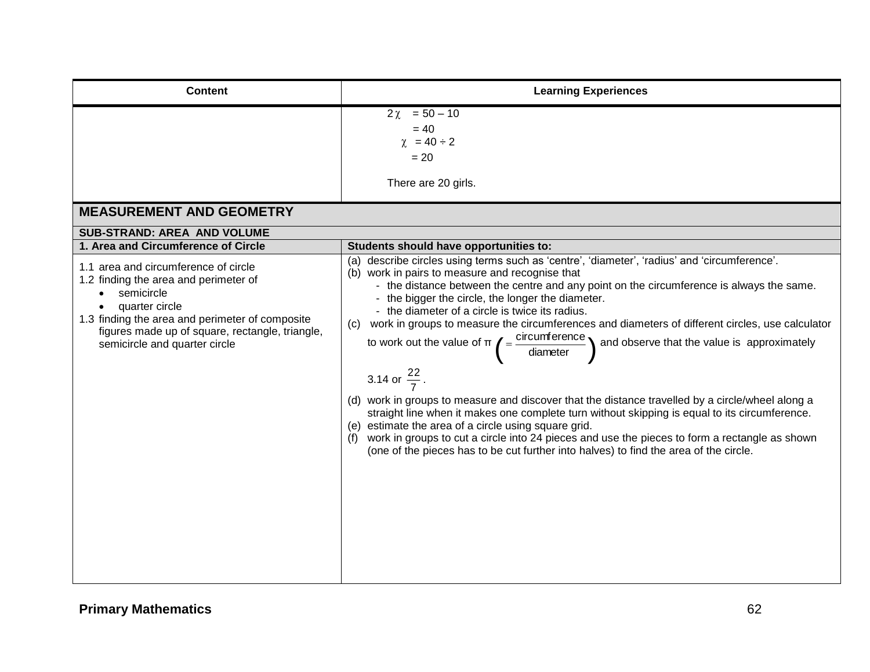| <b>Content</b>                                                                                                                                                                                                                                                    | <b>Learning Experiences</b>                                                                                                                                                                                                                                                                                                                                                                                                                                                                                                                                                                                                                                                                                                                                                                                                                                                                                                                                                                                                                                                                           |
|-------------------------------------------------------------------------------------------------------------------------------------------------------------------------------------------------------------------------------------------------------------------|-------------------------------------------------------------------------------------------------------------------------------------------------------------------------------------------------------------------------------------------------------------------------------------------------------------------------------------------------------------------------------------------------------------------------------------------------------------------------------------------------------------------------------------------------------------------------------------------------------------------------------------------------------------------------------------------------------------------------------------------------------------------------------------------------------------------------------------------------------------------------------------------------------------------------------------------------------------------------------------------------------------------------------------------------------------------------------------------------------|
|                                                                                                                                                                                                                                                                   | $2\chi = 50 - 10$<br>$= 40$<br>$\chi = 40 \div 2$<br>$= 20$<br>There are 20 girls.                                                                                                                                                                                                                                                                                                                                                                                                                                                                                                                                                                                                                                                                                                                                                                                                                                                                                                                                                                                                                    |
| <b>MEASUREMENT AND GEOMETRY</b>                                                                                                                                                                                                                                   |                                                                                                                                                                                                                                                                                                                                                                                                                                                                                                                                                                                                                                                                                                                                                                                                                                                                                                                                                                                                                                                                                                       |
| SUB-STRAND: AREA AND VOLUME                                                                                                                                                                                                                                       |                                                                                                                                                                                                                                                                                                                                                                                                                                                                                                                                                                                                                                                                                                                                                                                                                                                                                                                                                                                                                                                                                                       |
| 1. Area and Circumference of Circle                                                                                                                                                                                                                               | Students should have opportunities to:                                                                                                                                                                                                                                                                                                                                                                                                                                                                                                                                                                                                                                                                                                                                                                                                                                                                                                                                                                                                                                                                |
| 1.1 area and circumference of circle<br>1.2 finding the area and perimeter of<br>semicircle<br>$\bullet$<br>quarter circle<br>1.3 finding the area and perimeter of composite<br>figures made up of square, rectangle, triangle,<br>semicircle and quarter circle | (a) describe circles using terms such as 'centre', 'diameter', 'radius' and 'circumference'.<br>(b) work in pairs to measure and recognise that<br>- the distance between the centre and any point on the circumference is always the same.<br>- the bigger the circle, the longer the diameter.<br>- the diameter of a circle is twice its radius.<br>work in groups to measure the circumferences and diameters of different circles, use calculator<br>(c)<br>to work out the value of $\pi$ $\left( = \frac{\text{circumference}}{\text{diameter}} \right)$ and observe that the value is approximately<br>3.14 or $\frac{22}{7}$ .<br>(d) work in groups to measure and discover that the distance travelled by a circle/wheel along a<br>straight line when it makes one complete turn without skipping is equal to its circumference.<br>(e) estimate the area of a circle using square grid.<br>work in groups to cut a circle into 24 pieces and use the pieces to form a rectangle as shown<br>(f)<br>(one of the pieces has to be cut further into halves) to find the area of the circle. |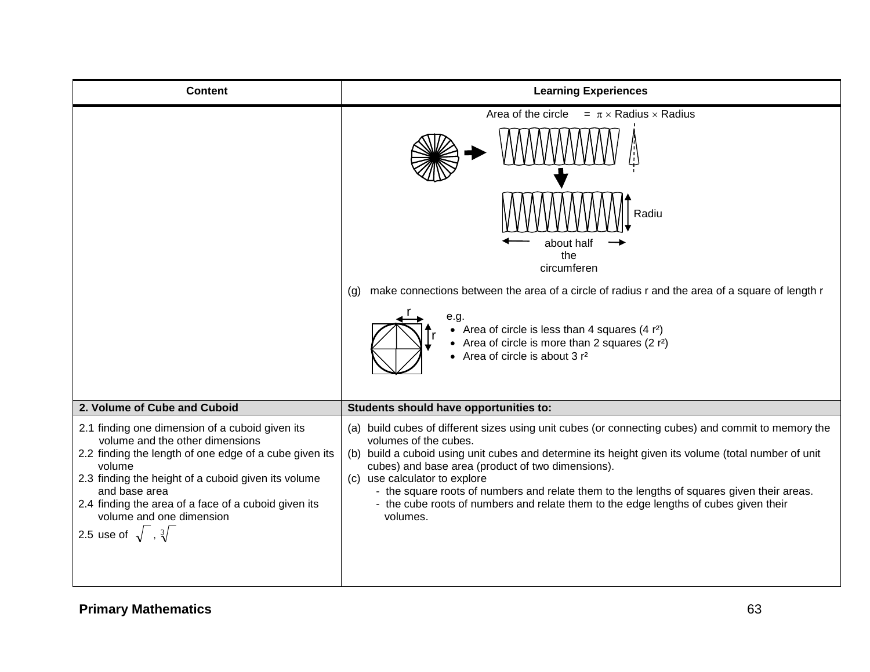| <b>Content</b>                                                                                                                                                                                                                                                                                                                                             | <b>Learning Experiences</b>                                                                                                                                                                                                                                                                                                                                                                                                                                                                                                |
|------------------------------------------------------------------------------------------------------------------------------------------------------------------------------------------------------------------------------------------------------------------------------------------------------------------------------------------------------------|----------------------------------------------------------------------------------------------------------------------------------------------------------------------------------------------------------------------------------------------------------------------------------------------------------------------------------------------------------------------------------------------------------------------------------------------------------------------------------------------------------------------------|
|                                                                                                                                                                                                                                                                                                                                                            | Area of the circle<br>$= \pi \times$ Radius $\times$ Radius<br>about half<br>the<br>circumferen<br>make connections between the area of a circle of radius r and the area of a square of length r<br>(q)<br>e.g.<br>• Area of circle is less than 4 squares $(4 r2)$<br>• Area of circle is more than 2 squares $(2 r2)$<br>• Area of circle is about $3r^2$                                                                                                                                                               |
| 2. Volume of Cube and Cuboid                                                                                                                                                                                                                                                                                                                               | Students should have opportunities to:                                                                                                                                                                                                                                                                                                                                                                                                                                                                                     |
| 2.1 finding one dimension of a cuboid given its<br>volume and the other dimensions<br>2.2 finding the length of one edge of a cube given its<br>volume<br>2.3 finding the height of a cuboid given its volume<br>and base area<br>2.4 finding the area of a face of a cuboid given its<br>volume and one dimension<br>2.5 use of $\sqrt{3}$ , $\sqrt[3]{}$ | (a) build cubes of different sizes using unit cubes (or connecting cubes) and commit to memory the<br>volumes of the cubes.<br>(b) build a cuboid using unit cubes and determine its height given its volume (total number of unit<br>cubes) and base area (product of two dimensions).<br>(c) use calculator to explore<br>- the square roots of numbers and relate them to the lengths of squares given their areas.<br>- the cube roots of numbers and relate them to the edge lengths of cubes given their<br>volumes. |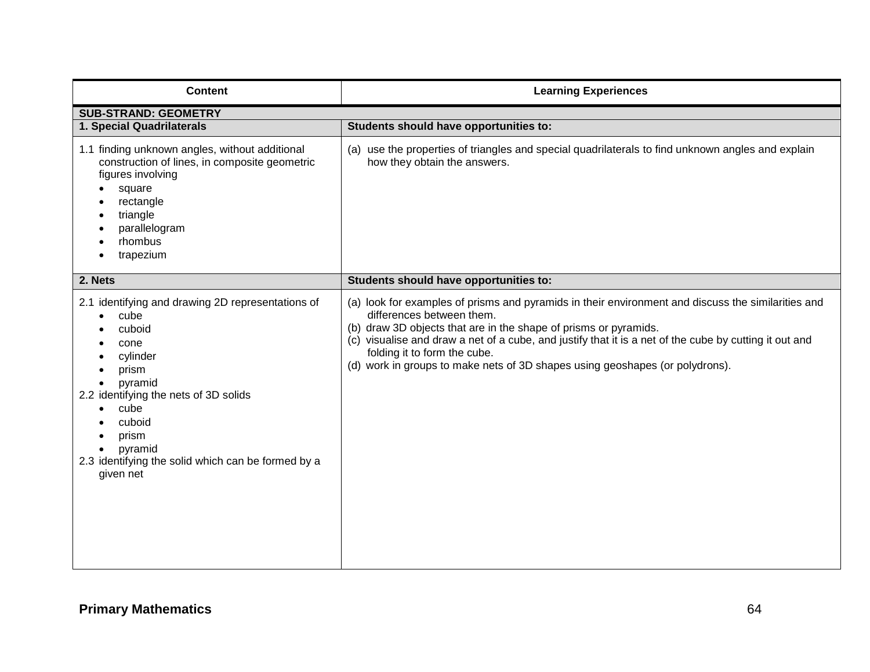| <b>Content</b>                                                                                                                                                                                                                                                | <b>Learning Experiences</b>                                                                                                                                                                                                                                                                                                                                                                                                   |
|---------------------------------------------------------------------------------------------------------------------------------------------------------------------------------------------------------------------------------------------------------------|-------------------------------------------------------------------------------------------------------------------------------------------------------------------------------------------------------------------------------------------------------------------------------------------------------------------------------------------------------------------------------------------------------------------------------|
| <b>SUB-STRAND: GEOMETRY</b><br>1. Special Quadrilaterals                                                                                                                                                                                                      | Students should have opportunities to:                                                                                                                                                                                                                                                                                                                                                                                        |
| 1.1 finding unknown angles, without additional<br>construction of lines, in composite geometric<br>figures involving<br>square<br>rectangle<br>triangle<br>parallelogram<br>rhombus<br>trapezium                                                              | (a) use the properties of triangles and special quadrilaterals to find unknown angles and explain<br>how they obtain the answers.                                                                                                                                                                                                                                                                                             |
| 2. Nets                                                                                                                                                                                                                                                       | Students should have opportunities to:                                                                                                                                                                                                                                                                                                                                                                                        |
| 2.1 identifying and drawing 2D representations of<br>cube<br>cuboid<br>cone<br>cylinder<br>prism<br>pyramid<br>2.2 identifying the nets of 3D solids<br>cube<br>cuboid<br>prism<br>pyramid<br>2.3 identifying the solid which can be formed by a<br>given net | (a) look for examples of prisms and pyramids in their environment and discuss the similarities and<br>differences between them.<br>(b) draw 3D objects that are in the shape of prisms or pyramids.<br>(c) visualise and draw a net of a cube, and justify that it is a net of the cube by cutting it out and<br>folding it to form the cube.<br>(d) work in groups to make nets of 3D shapes using geoshapes (or polydrons). |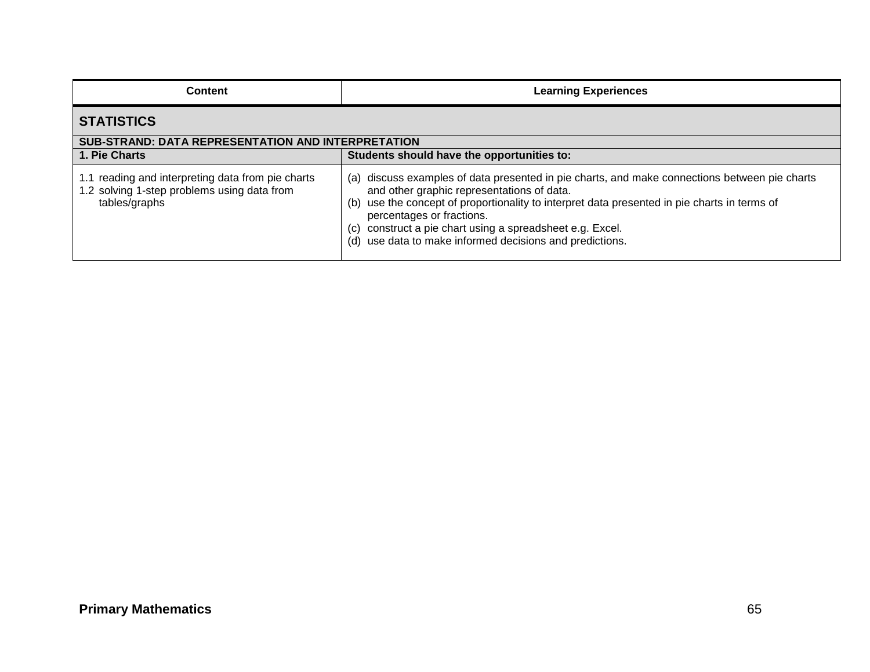| <b>Content</b>                                                                                                    | <b>Learning Experiences</b>                                                                                                                                                                                                                                                                                                                                                                                   |
|-------------------------------------------------------------------------------------------------------------------|---------------------------------------------------------------------------------------------------------------------------------------------------------------------------------------------------------------------------------------------------------------------------------------------------------------------------------------------------------------------------------------------------------------|
| <b>STATISTICS</b>                                                                                                 |                                                                                                                                                                                                                                                                                                                                                                                                               |
| SUB-STRAND: DATA REPRESENTATION AND INTERPRETATION                                                                |                                                                                                                                                                                                                                                                                                                                                                                                               |
| 1. Pie Charts                                                                                                     | Students should have the opportunities to:                                                                                                                                                                                                                                                                                                                                                                    |
| 1.1 reading and interpreting data from pie charts<br>1.2 solving 1-step problems using data from<br>tables/graphs | discuss examples of data presented in pie charts, and make connections between pie charts<br>(a)<br>and other graphic representations of data.<br>use the concept of proportionality to interpret data presented in pie charts in terms of<br>(b)<br>percentages or fractions.<br>construct a pie chart using a spreadsheet e.g. Excel.<br>(C)<br>use data to make informed decisions and predictions.<br>(d) |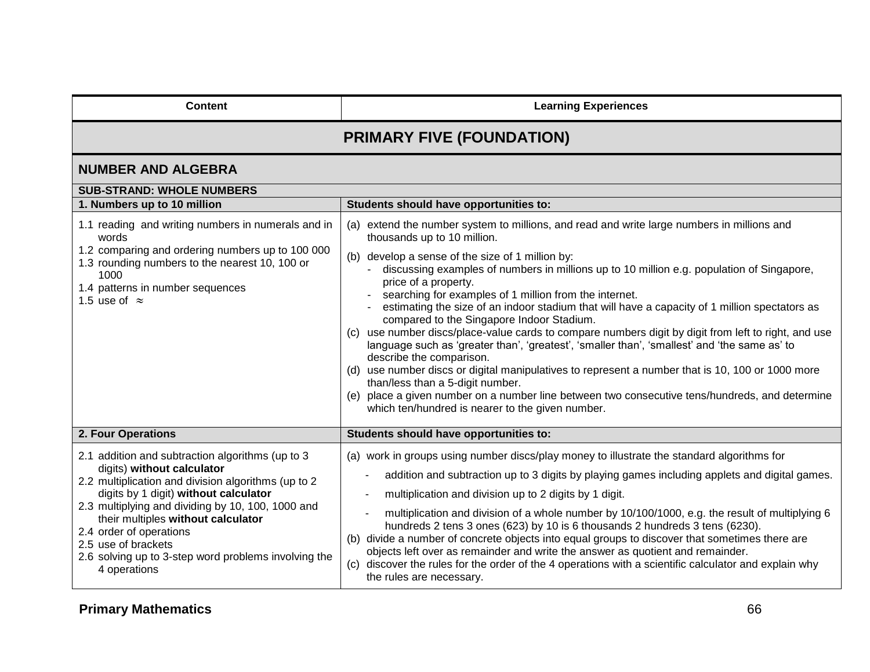| <b>Content</b>                                                                                                                                                                                                                                                                                                                                                                                      | <b>Learning Experiences</b>                                                                                                                                                                                                                                                                                                                                                                                                                                                                                                                                                                                                                                                                                                                                                                                                                                                                                                                                                                                                                     |
|-----------------------------------------------------------------------------------------------------------------------------------------------------------------------------------------------------------------------------------------------------------------------------------------------------------------------------------------------------------------------------------------------------|-------------------------------------------------------------------------------------------------------------------------------------------------------------------------------------------------------------------------------------------------------------------------------------------------------------------------------------------------------------------------------------------------------------------------------------------------------------------------------------------------------------------------------------------------------------------------------------------------------------------------------------------------------------------------------------------------------------------------------------------------------------------------------------------------------------------------------------------------------------------------------------------------------------------------------------------------------------------------------------------------------------------------------------------------|
| <b>PRIMARY FIVE (FOUNDATION)</b>                                                                                                                                                                                                                                                                                                                                                                    |                                                                                                                                                                                                                                                                                                                                                                                                                                                                                                                                                                                                                                                                                                                                                                                                                                                                                                                                                                                                                                                 |
| <b>NUMBER AND ALGEBRA</b>                                                                                                                                                                                                                                                                                                                                                                           |                                                                                                                                                                                                                                                                                                                                                                                                                                                                                                                                                                                                                                                                                                                                                                                                                                                                                                                                                                                                                                                 |
| <b>SUB-STRAND: WHOLE NUMBERS</b>                                                                                                                                                                                                                                                                                                                                                                    |                                                                                                                                                                                                                                                                                                                                                                                                                                                                                                                                                                                                                                                                                                                                                                                                                                                                                                                                                                                                                                                 |
| 1. Numbers up to 10 million                                                                                                                                                                                                                                                                                                                                                                         | Students should have opportunities to:                                                                                                                                                                                                                                                                                                                                                                                                                                                                                                                                                                                                                                                                                                                                                                                                                                                                                                                                                                                                          |
| 1.1 reading and writing numbers in numerals and in<br>words<br>1.2 comparing and ordering numbers up to 100 000<br>1.3 rounding numbers to the nearest 10, 100 or<br>1000<br>1.4 patterns in number sequences<br>1.5 use of $\approx$                                                                                                                                                               | extend the number system to millions, and read and write large numbers in millions and<br>(a)<br>thousands up to 10 million.<br>(b) develop a sense of the size of 1 million by:<br>discussing examples of numbers in millions up to 10 million e.g. population of Singapore,<br>price of a property.<br>searching for examples of 1 million from the internet.<br>estimating the size of an indoor stadium that will have a capacity of 1 million spectators as<br>compared to the Singapore Indoor Stadium.<br>(c) use number discs/place-value cards to compare numbers digit by digit from left to right, and use<br>language such as 'greater than', 'greatest', 'smaller than', 'smallest' and 'the same as' to<br>describe the comparison.<br>(d) use number discs or digital manipulatives to represent a number that is 10, 100 or 1000 more<br>than/less than a 5-digit number.<br>(e) place a given number on a number line between two consecutive tens/hundreds, and determine<br>which ten/hundred is nearer to the given number. |
| 2. Four Operations                                                                                                                                                                                                                                                                                                                                                                                  | Students should have opportunities to:                                                                                                                                                                                                                                                                                                                                                                                                                                                                                                                                                                                                                                                                                                                                                                                                                                                                                                                                                                                                          |
| 2.1 addition and subtraction algorithms (up to 3<br>digits) without calculator<br>2.2 multiplication and division algorithms (up to 2<br>digits by 1 digit) without calculator<br>2.3 multiplying and dividing by 10, 100, 1000 and<br>their multiples without calculator<br>2.4 order of operations<br>2.5 use of brackets<br>2.6 solving up to 3-step word problems involving the<br>4 operations | (a) work in groups using number discs/play money to illustrate the standard algorithms for<br>addition and subtraction up to 3 digits by playing games including applets and digital games.<br>$\blacksquare$<br>multiplication and division up to 2 digits by 1 digit.<br>$\overline{\phantom{a}}$<br>multiplication and division of a whole number by 10/100/1000, e.g. the result of multiplying 6<br>hundreds 2 tens 3 ones (623) by 10 is 6 thousands 2 hundreds 3 tens (6230).<br>(b) divide a number of concrete objects into equal groups to discover that sometimes there are<br>objects left over as remainder and write the answer as quotient and remainder.<br>(c) discover the rules for the order of the 4 operations with a scientific calculator and explain why<br>the rules are necessary.                                                                                                                                                                                                                                   |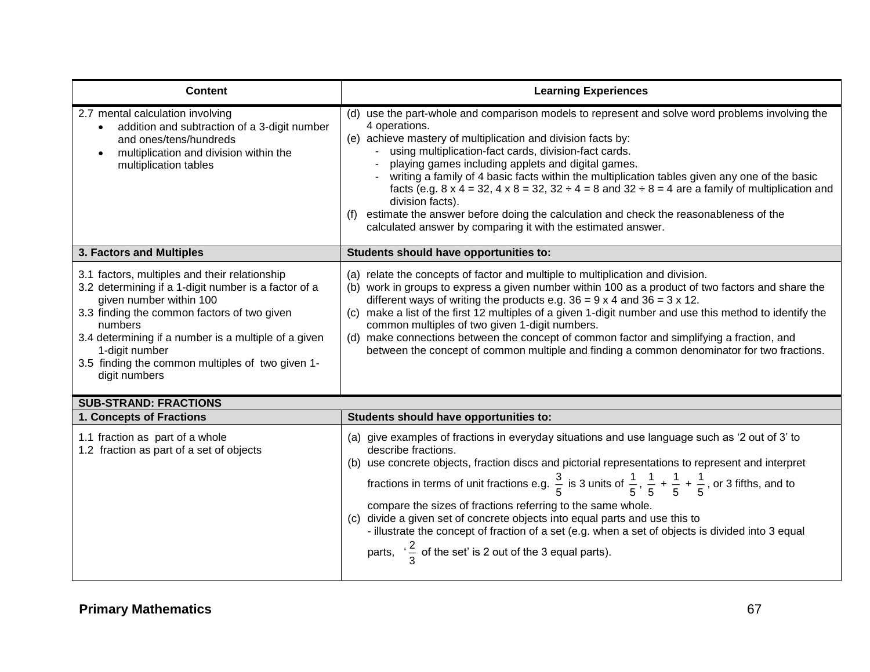| <b>Content</b>                                                                                                                                                                                                                                                                                                                            | <b>Learning Experiences</b>                                                                                                                                                                                                                                                                                                                                                                                                                                                                                                                                                                                                                                                                                       |
|-------------------------------------------------------------------------------------------------------------------------------------------------------------------------------------------------------------------------------------------------------------------------------------------------------------------------------------------|-------------------------------------------------------------------------------------------------------------------------------------------------------------------------------------------------------------------------------------------------------------------------------------------------------------------------------------------------------------------------------------------------------------------------------------------------------------------------------------------------------------------------------------------------------------------------------------------------------------------------------------------------------------------------------------------------------------------|
| 2.7 mental calculation involving<br>addition and subtraction of a 3-digit number<br>$\bullet$<br>and ones/tens/hundreds<br>multiplication and division within the<br>$\bullet$<br>multiplication tables                                                                                                                                   | (d) use the part-whole and comparison models to represent and solve word problems involving the<br>4 operations.<br>(e) achieve mastery of multiplication and division facts by:<br>using multiplication-fact cards, division-fact cards.<br>playing games including applets and digital games.<br>writing a family of 4 basic facts within the multiplication tables given any one of the basic<br>facts (e.g. $8 \times 4 = 32$ , $4 \times 8 = 32$ , $32 \div 4 = 8$ and $32 \div 8 = 4$ are a family of multiplication and<br>division facts).<br>estimate the answer before doing the calculation and check the reasonableness of the<br>(1)<br>calculated answer by comparing it with the estimated answer. |
| 3. Factors and Multiples                                                                                                                                                                                                                                                                                                                  | Students should have opportunities to:                                                                                                                                                                                                                                                                                                                                                                                                                                                                                                                                                                                                                                                                            |
| 3.1 factors, multiples and their relationship<br>3.2 determining if a 1-digit number is a factor of a<br>given number within 100<br>3.3 finding the common factors of two given<br>numbers<br>3.4 determining if a number is a multiple of a given<br>1-digit number<br>3.5 finding the common multiples of two given 1-<br>digit numbers | (a) relate the concepts of factor and multiple to multiplication and division.<br>(b) work in groups to express a given number within 100 as a product of two factors and share the<br>different ways of writing the products e.g. $36 = 9 \times 4$ and $36 = 3 \times 12$ .<br>make a list of the first 12 multiples of a given 1-digit number and use this method to identify the<br>(c)<br>common multiples of two given 1-digit numbers.<br>make connections between the concept of common factor and simplifying a fraction, and<br>(d)<br>between the concept of common multiple and finding a common denominator for two fractions.                                                                       |
| <b>SUB-STRAND: FRACTIONS</b>                                                                                                                                                                                                                                                                                                              |                                                                                                                                                                                                                                                                                                                                                                                                                                                                                                                                                                                                                                                                                                                   |
| 1. Concepts of Fractions                                                                                                                                                                                                                                                                                                                  | Students should have opportunities to:                                                                                                                                                                                                                                                                                                                                                                                                                                                                                                                                                                                                                                                                            |
| 1.1 fraction as part of a whole<br>1.2 fraction as part of a set of objects                                                                                                                                                                                                                                                               | (a) give examples of fractions in everyday situations and use language such as '2 out of 3' to<br>describe fractions.<br>(b) use concrete objects, fraction discs and pictorial representations to represent and interpret<br>fractions in terms of unit fractions e.g. $\frac{3}{5}$ is 3 units of $\frac{1}{5}$ , $\frac{1}{5}$ + $\frac{1}{5}$ + $\frac{1}{5}$ , or 3 fifths, and to<br>compare the sizes of fractions referring to the same whole.<br>(c) divide a given set of concrete objects into equal parts and use this to<br>- illustrate the concept of fraction of a set (e.g. when a set of objects is divided into 3 equal<br>parts, $\frac{2}{3}$ of the set' is 2 out of the 3 equal parts).    |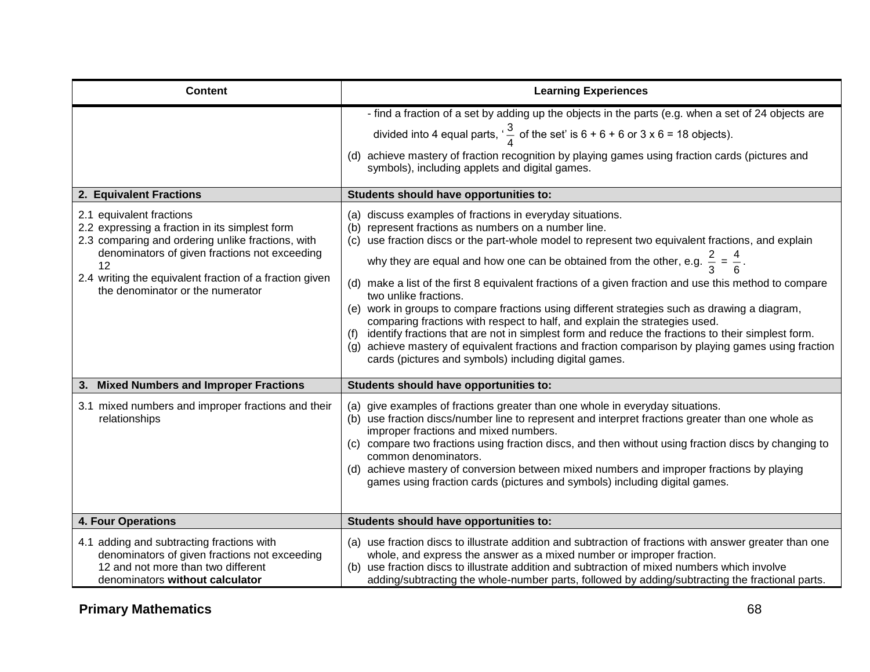| <b>Content</b>                                                                                                                                                                                                                                                                        | <b>Learning Experiences</b>                                                                                                                                                                                                                                                                                                                                                                                                                                                                                                                                                                                                                                                                                                                                                                                                                                                                                              |
|---------------------------------------------------------------------------------------------------------------------------------------------------------------------------------------------------------------------------------------------------------------------------------------|--------------------------------------------------------------------------------------------------------------------------------------------------------------------------------------------------------------------------------------------------------------------------------------------------------------------------------------------------------------------------------------------------------------------------------------------------------------------------------------------------------------------------------------------------------------------------------------------------------------------------------------------------------------------------------------------------------------------------------------------------------------------------------------------------------------------------------------------------------------------------------------------------------------------------|
|                                                                                                                                                                                                                                                                                       | - find a fraction of a set by adding up the objects in the parts (e.g. when a set of 24 objects are<br>divided into 4 equal parts, $\frac{3}{4}$ of the set' is 6 + 6 + 6 or 3 x 6 = 18 objects).<br>achieve mastery of fraction recognition by playing games using fraction cards (pictures and<br>(d)<br>symbols), including applets and digital games.                                                                                                                                                                                                                                                                                                                                                                                                                                                                                                                                                                |
| 2. Equivalent Fractions                                                                                                                                                                                                                                                               | Students should have opportunities to:                                                                                                                                                                                                                                                                                                                                                                                                                                                                                                                                                                                                                                                                                                                                                                                                                                                                                   |
| 2.1 equivalent fractions<br>2.2 expressing a fraction in its simplest form<br>2.3 comparing and ordering unlike fractions, with<br>denominators of given fractions not exceeding<br>12<br>2.4 writing the equivalent fraction of a fraction given<br>the denominator or the numerator | discuss examples of fractions in everyday situations.<br>(a)<br>(b) represent fractions as numbers on a number line.<br>(c) use fraction discs or the part-whole model to represent two equivalent fractions, and explain<br>why they are equal and how one can be obtained from the other, e.g. $\frac{2}{3} = \frac{4}{6}$ .<br>(d) make a list of the first 8 equivalent fractions of a given fraction and use this method to compare<br>two unlike fractions.<br>(e) work in groups to compare fractions using different strategies such as drawing a diagram,<br>comparing fractions with respect to half, and explain the strategies used.<br>identify fractions that are not in simplest form and reduce the fractions to their simplest form.<br>achieve mastery of equivalent fractions and fraction comparison by playing games using fraction<br>(q)<br>cards (pictures and symbols) including digital games. |
| 3. Mixed Numbers and Improper Fractions                                                                                                                                                                                                                                               | Students should have opportunities to:                                                                                                                                                                                                                                                                                                                                                                                                                                                                                                                                                                                                                                                                                                                                                                                                                                                                                   |
| 3.1 mixed numbers and improper fractions and their<br>relationships                                                                                                                                                                                                                   | give examples of fractions greater than one whole in everyday situations.<br>(a)<br>(b) use fraction discs/number line to represent and interpret fractions greater than one whole as<br>improper fractions and mixed numbers.<br>(c) compare two fractions using fraction discs, and then without using fraction discs by changing to<br>common denominators.<br>achieve mastery of conversion between mixed numbers and improper fractions by playing<br>(d)<br>games using fraction cards (pictures and symbols) including digital games.                                                                                                                                                                                                                                                                                                                                                                             |
| <b>4. Four Operations</b>                                                                                                                                                                                                                                                             | Students should have opportunities to:                                                                                                                                                                                                                                                                                                                                                                                                                                                                                                                                                                                                                                                                                                                                                                                                                                                                                   |
| 4.1 adding and subtracting fractions with<br>denominators of given fractions not exceeding<br>12 and not more than two different<br>denominators without calculator                                                                                                                   | (a) use fraction discs to illustrate addition and subtraction of fractions with answer greater than one<br>whole, and express the answer as a mixed number or improper fraction.<br>(b) use fraction discs to illustrate addition and subtraction of mixed numbers which involve<br>adding/subtracting the whole-number parts, followed by adding/subtracting the fractional parts.                                                                                                                                                                                                                                                                                                                                                                                                                                                                                                                                      |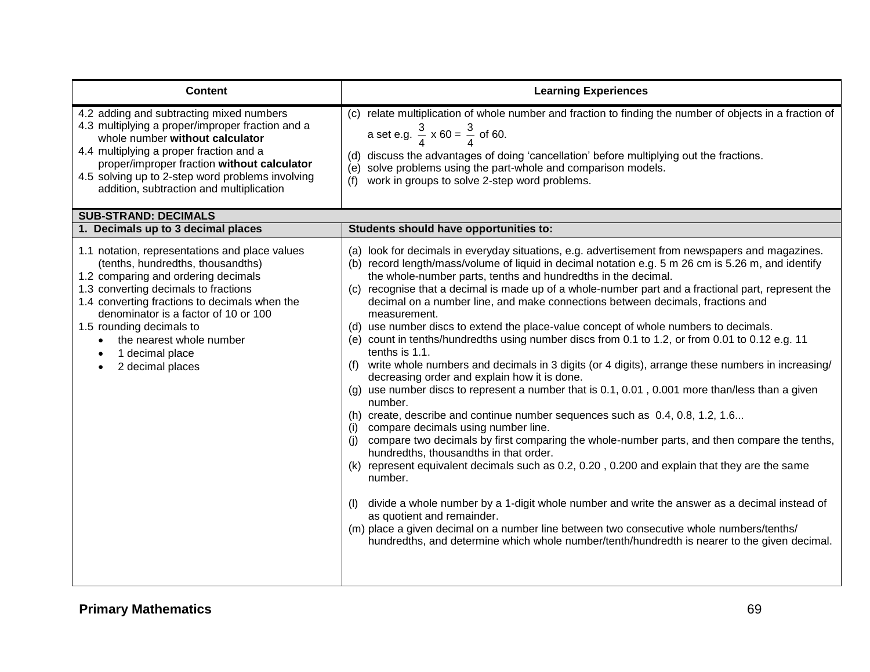| <b>Content</b>                                                                                                                                                                                                                                                                                                                                             | <b>Learning Experiences</b>                                                                                                                                                                                                                                                                                                                                                                                                                                                                                                                                                                                                                                                                                                                                                                                                                                                                                                                                                                                                                                                                                                                                                                                                                                                                                                                                                                                                                                                                                                                                                                                                                                                                   |
|------------------------------------------------------------------------------------------------------------------------------------------------------------------------------------------------------------------------------------------------------------------------------------------------------------------------------------------------------------|-----------------------------------------------------------------------------------------------------------------------------------------------------------------------------------------------------------------------------------------------------------------------------------------------------------------------------------------------------------------------------------------------------------------------------------------------------------------------------------------------------------------------------------------------------------------------------------------------------------------------------------------------------------------------------------------------------------------------------------------------------------------------------------------------------------------------------------------------------------------------------------------------------------------------------------------------------------------------------------------------------------------------------------------------------------------------------------------------------------------------------------------------------------------------------------------------------------------------------------------------------------------------------------------------------------------------------------------------------------------------------------------------------------------------------------------------------------------------------------------------------------------------------------------------------------------------------------------------------------------------------------------------------------------------------------------------|
| 4.2 adding and subtracting mixed numbers<br>4.3 multiplying a proper/improper fraction and a<br>whole number without calculator<br>4.4 multiplying a proper fraction and a<br>proper/improper fraction without calculator<br>4.5 solving up to 2-step word problems involving<br>addition, subtraction and multiplication                                  | (c) relate multiplication of whole number and fraction to finding the number of objects in a fraction of<br>a set e.g. $\frac{3}{4} \times 60 = \frac{3}{4}$ of 60.<br>(d) discuss the advantages of doing 'cancellation' before multiplying out the fractions.<br>(e) solve problems using the part-whole and comparison models.<br>work in groups to solve 2-step word problems.<br>(f)                                                                                                                                                                                                                                                                                                                                                                                                                                                                                                                                                                                                                                                                                                                                                                                                                                                                                                                                                                                                                                                                                                                                                                                                                                                                                                     |
| <b>SUB-STRAND: DECIMALS</b><br>1. Decimals up to 3 decimal places                                                                                                                                                                                                                                                                                          | Students should have opportunities to:                                                                                                                                                                                                                                                                                                                                                                                                                                                                                                                                                                                                                                                                                                                                                                                                                                                                                                                                                                                                                                                                                                                                                                                                                                                                                                                                                                                                                                                                                                                                                                                                                                                        |
| 1.1 notation, representations and place values<br>(tenths, hundredths, thousandths)<br>1.2 comparing and ordering decimals<br>1.3 converting decimals to fractions<br>1.4 converting fractions to decimals when the<br>denominator is a factor of 10 or 100<br>1.5 rounding decimals to<br>the nearest whole number<br>1 decimal place<br>2 decimal places | look for decimals in everyday situations, e.g. advertisement from newspapers and magazines.<br>(a)<br>record length/mass/volume of liquid in decimal notation e.g. 5 m 26 cm is 5.26 m, and identify<br>(b)<br>the whole-number parts, tenths and hundredths in the decimal.<br>(c) recognise that a decimal is made up of a whole-number part and a fractional part, represent the<br>decimal on a number line, and make connections between decimals, fractions and<br>measurement.<br>(d) use number discs to extend the place-value concept of whole numbers to decimals.<br>(e) count in tenths/hundredths using number discs from 0.1 to 1.2, or from 0.01 to 0.12 e.g. 11<br>tenths is 1.1.<br>write whole numbers and decimals in 3 digits (or 4 digits), arrange these numbers in increasing/<br>decreasing order and explain how it is done.<br>use number discs to represent a number that is 0.1, 0.01, 0.001 more than/less than a given<br>(g)<br>number.<br>(h) create, describe and continue number sequences such as 0.4, 0.8, 1.2, 1.6<br>compare decimals using number line.<br>(i)<br>compare two decimals by first comparing the whole-number parts, and then compare the tenths,<br>(i)<br>hundredths, thousandths in that order.<br>(k) represent equivalent decimals such as 0.2, 0.20, 0.200 and explain that they are the same<br>number.<br>divide a whole number by a 1-digit whole number and write the answer as a decimal instead of<br>as quotient and remainder.<br>(m) place a given decimal on a number line between two consecutive whole numbers/tenths/<br>hundredths, and determine which whole number/tenth/hundredth is nearer to the given decimal. |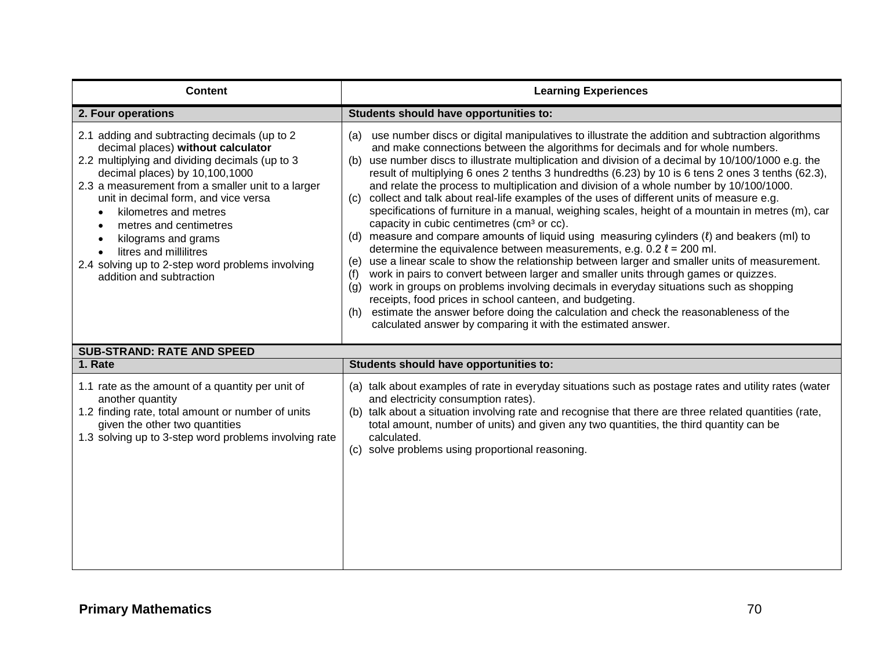| <b>Content</b>                                                                                                                                                                                                                                                                                                                                                                                                                                          | <b>Learning Experiences</b>                                                                                                                                                                                                                                                                                                                                                                                                                                                                                                                                                                                                                                                                                                                                                                                                                                                                                                                                                                                                                                                                                                                                                                                                                                                                                                                                                                                                                                                                |
|---------------------------------------------------------------------------------------------------------------------------------------------------------------------------------------------------------------------------------------------------------------------------------------------------------------------------------------------------------------------------------------------------------------------------------------------------------|--------------------------------------------------------------------------------------------------------------------------------------------------------------------------------------------------------------------------------------------------------------------------------------------------------------------------------------------------------------------------------------------------------------------------------------------------------------------------------------------------------------------------------------------------------------------------------------------------------------------------------------------------------------------------------------------------------------------------------------------------------------------------------------------------------------------------------------------------------------------------------------------------------------------------------------------------------------------------------------------------------------------------------------------------------------------------------------------------------------------------------------------------------------------------------------------------------------------------------------------------------------------------------------------------------------------------------------------------------------------------------------------------------------------------------------------------------------------------------------------|
| 2. Four operations                                                                                                                                                                                                                                                                                                                                                                                                                                      | Students should have opportunities to:                                                                                                                                                                                                                                                                                                                                                                                                                                                                                                                                                                                                                                                                                                                                                                                                                                                                                                                                                                                                                                                                                                                                                                                                                                                                                                                                                                                                                                                     |
| 2.1 adding and subtracting decimals (up to 2<br>decimal places) without calculator<br>2.2 multiplying and dividing decimals (up to 3<br>decimal places) by 10,100,1000<br>2.3 a measurement from a smaller unit to a larger<br>unit in decimal form, and vice versa<br>kilometres and metres<br>metres and centimetres<br>kilograms and grams<br>litres and millilitres<br>2.4 solving up to 2-step word problems involving<br>addition and subtraction | use number discs or digital manipulatives to illustrate the addition and subtraction algorithms<br>(a)<br>and make connections between the algorithms for decimals and for whole numbers.<br>use number discs to illustrate multiplication and division of a decimal by 10/100/1000 e.g. the<br>(b)<br>result of multiplying 6 ones 2 tenths 3 hundredths (6.23) by 10 is 6 tens 2 ones 3 tenths (62.3),<br>and relate the process to multiplication and division of a whole number by 10/100/1000.<br>collect and talk about real-life examples of the uses of different units of measure e.g.<br>(c)<br>specifications of furniture in a manual, weighing scales, height of a mountain in metres (m), car<br>capacity in cubic centimetres (cm <sup>3</sup> or cc).<br>measure and compare amounts of liquid using measuring cylinders ( $\ell$ ) and beakers (ml) to<br>(d)<br>determine the equivalence between measurements, e.g. $0.2 \ell = 200$ ml.<br>use a linear scale to show the relationship between larger and smaller units of measurement.<br>(e)<br>work in pairs to convert between larger and smaller units through games or quizzes.<br>(f)<br>work in groups on problems involving decimals in everyday situations such as shopping<br>(q)<br>receipts, food prices in school canteen, and budgeting.<br>estimate the answer before doing the calculation and check the reasonableness of the<br>(h)<br>calculated answer by comparing it with the estimated answer. |
| <b>SUB-STRAND: RATE AND SPEED</b>                                                                                                                                                                                                                                                                                                                                                                                                                       |                                                                                                                                                                                                                                                                                                                                                                                                                                                                                                                                                                                                                                                                                                                                                                                                                                                                                                                                                                                                                                                                                                                                                                                                                                                                                                                                                                                                                                                                                            |

| 1. Rate                                                                                                                                                                                                              | Students should have opportunities to:                                                                                                                                                                                                                                                                                                                                                                                       |
|----------------------------------------------------------------------------------------------------------------------------------------------------------------------------------------------------------------------|------------------------------------------------------------------------------------------------------------------------------------------------------------------------------------------------------------------------------------------------------------------------------------------------------------------------------------------------------------------------------------------------------------------------------|
| 1.1 rate as the amount of a quantity per unit of<br>another quantity<br>1.2 finding rate, total amount or number of units<br>given the other two quantities<br>1.3 solving up to 3-step word problems involving rate | talk about examples of rate in everyday situations such as postage rates and utility rates (water<br>(a)<br>and electricity consumption rates).<br>talk about a situation involving rate and recognise that there are three related quantities (rate,<br>(b)<br>total amount, number of units) and given any two quantities, the third quantity can be<br>calculated.<br>solve problems using proportional reasoning.<br>(C) |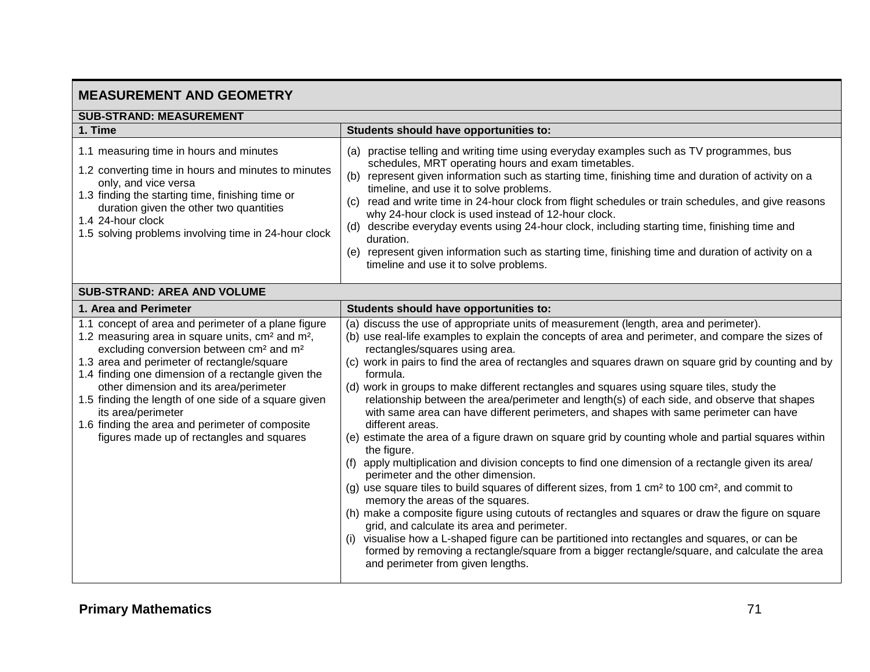#### **MEASUREMENT AND GEOMETRY**

#### **SUB-STRAND: MEASUREMENT**

| <u>UUD-UIIINIU. MEAUUIILMENI</u>                                                                                                                                                                                                                                                                   |                                                                                                                                                                                                                                                                                                                                                                                                                                                                                                                                                                                                                                                                                                                                               |
|----------------------------------------------------------------------------------------------------------------------------------------------------------------------------------------------------------------------------------------------------------------------------------------------------|-----------------------------------------------------------------------------------------------------------------------------------------------------------------------------------------------------------------------------------------------------------------------------------------------------------------------------------------------------------------------------------------------------------------------------------------------------------------------------------------------------------------------------------------------------------------------------------------------------------------------------------------------------------------------------------------------------------------------------------------------|
| 1. Time                                                                                                                                                                                                                                                                                            | Students should have opportunities to:                                                                                                                                                                                                                                                                                                                                                                                                                                                                                                                                                                                                                                                                                                        |
| 1.1 measuring time in hours and minutes<br>1.2 converting time in hours and minutes to minutes<br>only, and vice versa<br>1.3 finding the starting time, finishing time or<br>duration given the other two quantities<br>1.4 24-hour clock<br>1.5 solving problems involving time in 24-hour clock | practise telling and writing time using everyday examples such as TV programmes, bus<br>(a)<br>schedules, MRT operating hours and exam timetables.<br>represent given information such as starting time, finishing time and duration of activity on a<br>(b)<br>timeline, and use it to solve problems.<br>read and write time in 24-hour clock from flight schedules or train schedules, and give reasons<br>(C)<br>why 24-hour clock is used instead of 12-hour clock.<br>describe everyday events using 24-hour clock, including starting time, finishing time and<br>(d)<br>duration.<br>represent given information such as starting time, finishing time and duration of activity on a<br>(e)<br>timeline and use it to solve problems. |

#### **SUB-STRAND: AREA AND VOLUME**

| 1. Area and Perimeter                                                                                                                                                                                                                                                                                                                                                                                                                                                                                                          | Students should have opportunities to:                                                                                                                                                                                                                                                                                                                                                                                                                                                                                                                                                                                                                                                                                                                                                                                                                                                                                                                                                                                                                                                                                                                                                                                                                                                                                                                                                                                                                                                     |
|--------------------------------------------------------------------------------------------------------------------------------------------------------------------------------------------------------------------------------------------------------------------------------------------------------------------------------------------------------------------------------------------------------------------------------------------------------------------------------------------------------------------------------|--------------------------------------------------------------------------------------------------------------------------------------------------------------------------------------------------------------------------------------------------------------------------------------------------------------------------------------------------------------------------------------------------------------------------------------------------------------------------------------------------------------------------------------------------------------------------------------------------------------------------------------------------------------------------------------------------------------------------------------------------------------------------------------------------------------------------------------------------------------------------------------------------------------------------------------------------------------------------------------------------------------------------------------------------------------------------------------------------------------------------------------------------------------------------------------------------------------------------------------------------------------------------------------------------------------------------------------------------------------------------------------------------------------------------------------------------------------------------------------------|
| 1.1 concept of area and perimeter of a plane figure<br>1.2 measuring area in square units, cm <sup>2</sup> and m <sup>2</sup> ,<br>excluding conversion between cm <sup>2</sup> and m <sup>2</sup><br>1.3 area and perimeter of rectangle/square<br>1.4 finding one dimension of a rectangle given the<br>other dimension and its area/perimeter<br>1.5 finding the length of one side of a square given<br>its area/perimeter<br>1.6 finding the area and perimeter of composite<br>figures made up of rectangles and squares | discuss the use of appropriate units of measurement (length, area and perimeter).<br>(a)<br>use real-life examples to explain the concepts of area and perimeter, and compare the sizes of<br>(b)<br>rectangles/squares using area.<br>(c) work in pairs to find the area of rectangles and squares drawn on square grid by counting and by<br>formula.<br>(d) work in groups to make different rectangles and squares using square tiles, study the<br>relationship between the area/perimeter and length(s) of each side, and observe that shapes<br>with same area can have different perimeters, and shapes with same perimeter can have<br>different areas.<br>(e) estimate the area of a figure drawn on square grid by counting whole and partial squares within<br>the figure.<br>apply multiplication and division concepts to find one dimension of a rectangle given its area/<br>perimeter and the other dimension.<br>(g) use square tiles to build squares of different sizes, from 1 cm <sup>2</sup> to 100 cm <sup>2</sup> , and commit to<br>memory the areas of the squares.<br>(h) make a composite figure using cutouts of rectangles and squares or draw the figure on square<br>grid, and calculate its area and perimeter.<br>visualise how a L-shaped figure can be partitioned into rectangles and squares, or can be<br>(i)<br>formed by removing a rectangle/square from a bigger rectangle/square, and calculate the area<br>and perimeter from given lengths. |
|                                                                                                                                                                                                                                                                                                                                                                                                                                                                                                                                |                                                                                                                                                                                                                                                                                                                                                                                                                                                                                                                                                                                                                                                                                                                                                                                                                                                                                                                                                                                                                                                                                                                                                                                                                                                                                                                                                                                                                                                                                            |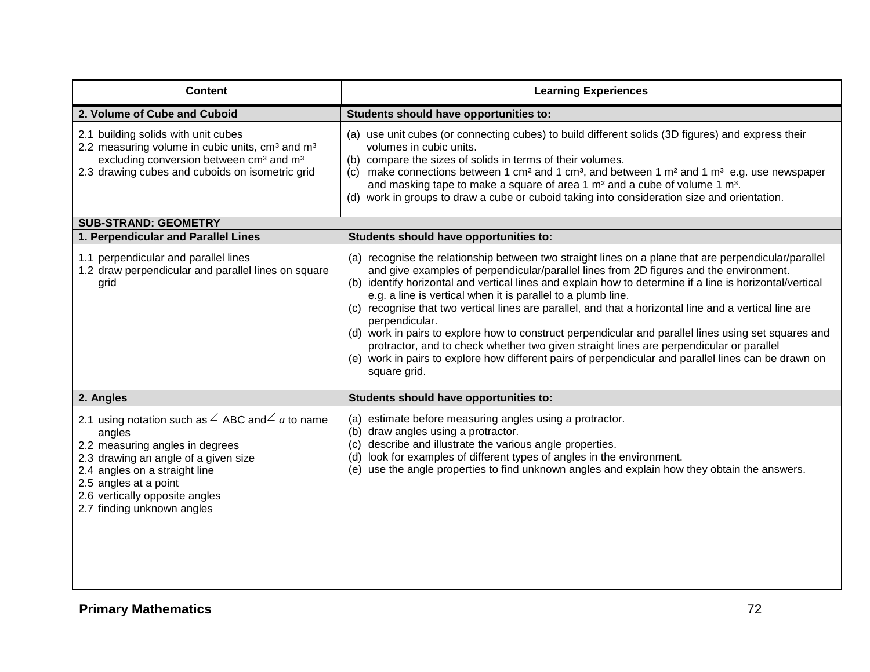| <b>Content</b>                                                                                                                                                                                                                                                                | <b>Learning Experiences</b>                                                                                                                                                                                                                                                                                                                                                                                                                                                                                                                                                                                                                                                                                                                                                                                                          |
|-------------------------------------------------------------------------------------------------------------------------------------------------------------------------------------------------------------------------------------------------------------------------------|--------------------------------------------------------------------------------------------------------------------------------------------------------------------------------------------------------------------------------------------------------------------------------------------------------------------------------------------------------------------------------------------------------------------------------------------------------------------------------------------------------------------------------------------------------------------------------------------------------------------------------------------------------------------------------------------------------------------------------------------------------------------------------------------------------------------------------------|
| 2. Volume of Cube and Cuboid                                                                                                                                                                                                                                                  | Students should have opportunities to:                                                                                                                                                                                                                                                                                                                                                                                                                                                                                                                                                                                                                                                                                                                                                                                               |
| 2.1 building solids with unit cubes<br>2.2 measuring volume in cubic units, cm <sup>3</sup> and m <sup>3</sup><br>excluding conversion between cm <sup>3</sup> and m <sup>3</sup><br>2.3 drawing cubes and cuboids on isometric grid                                          | (a) use unit cubes (or connecting cubes) to build different solids (3D figures) and express their<br>volumes in cubic units.<br>(b) compare the sizes of solids in terms of their volumes.<br>(c) make connections between 1 cm <sup>2</sup> and 1 cm <sup>3</sup> , and between 1 m <sup>2</sup> and 1 m <sup>3</sup> e.g. use newspaper<br>and masking tape to make a square of area 1 m <sup>2</sup> and a cube of volume 1 m <sup>3</sup> .<br>(d) work in groups to draw a cube or cuboid taking into consideration size and orientation.                                                                                                                                                                                                                                                                                       |
| <b>SUB-STRAND: GEOMETRY</b>                                                                                                                                                                                                                                                   |                                                                                                                                                                                                                                                                                                                                                                                                                                                                                                                                                                                                                                                                                                                                                                                                                                      |
| 1. Perpendicular and Parallel Lines                                                                                                                                                                                                                                           | Students should have opportunities to:                                                                                                                                                                                                                                                                                                                                                                                                                                                                                                                                                                                                                                                                                                                                                                                               |
| 1.1 perpendicular and parallel lines<br>1.2 draw perpendicular and parallel lines on square<br>grid                                                                                                                                                                           | (a) recognise the relationship between two straight lines on a plane that are perpendicular/parallel<br>and give examples of perpendicular/parallel lines from 2D figures and the environment.<br>(b) identify horizontal and vertical lines and explain how to determine if a line is horizontal/vertical<br>e.g. a line is vertical when it is parallel to a plumb line.<br>(c) recognise that two vertical lines are parallel, and that a horizontal line and a vertical line are<br>perpendicular.<br>(d) work in pairs to explore how to construct perpendicular and parallel lines using set squares and<br>protractor, and to check whether two given straight lines are perpendicular or parallel<br>work in pairs to explore how different pairs of perpendicular and parallel lines can be drawn on<br>(e)<br>square grid. |
| 2. Angles                                                                                                                                                                                                                                                                     | Students should have opportunities to:                                                                                                                                                                                                                                                                                                                                                                                                                                                                                                                                                                                                                                                                                                                                                                                               |
| 2.1 using notation such as $\angle$ ABC and $\angle a$ to name<br>angles<br>2.2 measuring angles in degrees<br>2.3 drawing an angle of a given size<br>2.4 angles on a straight line<br>2.5 angles at a point<br>2.6 vertically opposite angles<br>2.7 finding unknown angles | estimate before measuring angles using a protractor.<br>(a)<br>(b) draw angles using a protractor.<br>(c) describe and illustrate the various angle properties.<br>look for examples of different types of angles in the environment.<br>(d)<br>use the angle properties to find unknown angles and explain how they obtain the answers.<br>(e)                                                                                                                                                                                                                                                                                                                                                                                                                                                                                      |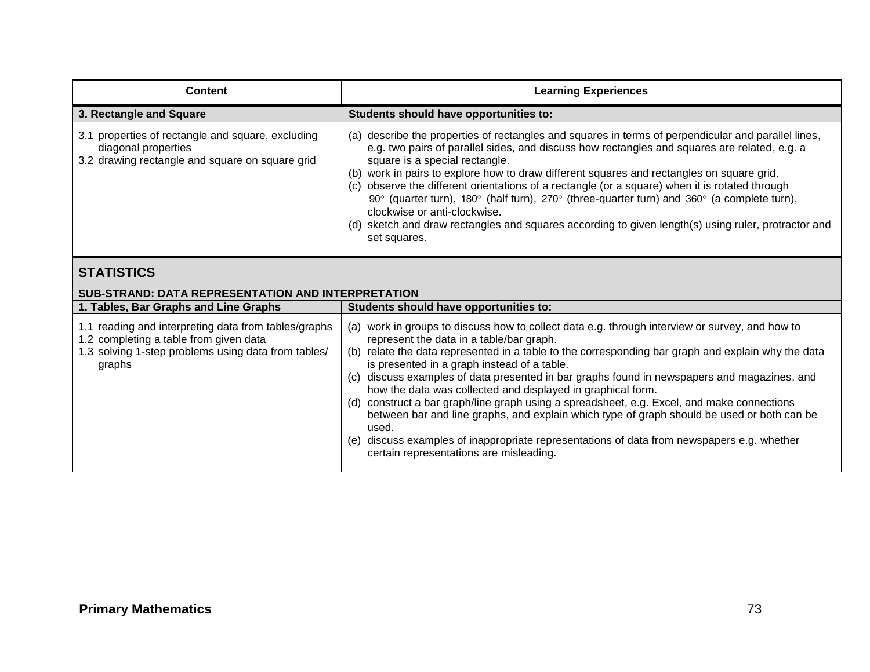| <b>Content</b>                                                                                                              | <b>Learning Experiences</b>                                                                                                                                                                                                                                                                                                                                                                                                                                                                                                                                                                                                                                                                      |
|-----------------------------------------------------------------------------------------------------------------------------|--------------------------------------------------------------------------------------------------------------------------------------------------------------------------------------------------------------------------------------------------------------------------------------------------------------------------------------------------------------------------------------------------------------------------------------------------------------------------------------------------------------------------------------------------------------------------------------------------------------------------------------------------------------------------------------------------|
| 3. Rectangle and Square                                                                                                     | Students should have opportunities to:                                                                                                                                                                                                                                                                                                                                                                                                                                                                                                                                                                                                                                                           |
| 3.1 properties of rectangle and square, excluding<br>diagonal properties<br>3.2 drawing rectangle and square on square grid | (a) describe the properties of rectangles and squares in terms of perpendicular and parallel lines,<br>e.g. two pairs of parallel sides, and discuss how rectangles and squares are related, e.g. a<br>square is a special rectangle.<br>work in pairs to explore how to draw different squares and rectangles on square grid.<br>(b)<br>observe the different orientations of a rectangle (or a square) when it is rotated through<br>(C)<br>90° (quarter turn), 180° (half turn), 270° (three-quarter turn) and 360° (a complete turn),<br>clockwise or anti-clockwise.<br>(d) sketch and draw rectangles and squares according to given length(s) using ruler, protractor and<br>set squares. |

## **STATISTICS**

| <b>SUB-STRAND: DATA REPRESENTATION AND INTERPRETATION</b>                                                                                                       |                                                                                                                                                                                                                                                                                                                                                                                                                                                                                                                                                                                                                                                                                                                                                                                                                         |
|-----------------------------------------------------------------------------------------------------------------------------------------------------------------|-------------------------------------------------------------------------------------------------------------------------------------------------------------------------------------------------------------------------------------------------------------------------------------------------------------------------------------------------------------------------------------------------------------------------------------------------------------------------------------------------------------------------------------------------------------------------------------------------------------------------------------------------------------------------------------------------------------------------------------------------------------------------------------------------------------------------|
| 1. Tables, Bar Graphs and Line Graphs                                                                                                                           | Students should have opportunities to:                                                                                                                                                                                                                                                                                                                                                                                                                                                                                                                                                                                                                                                                                                                                                                                  |
| 1.1 reading and interpreting data from tables/graphs<br>1.2 completing a table from given data<br>1.3 solving 1-step problems using data from tables/<br>graphs | (a) work in groups to discuss how to collect data e.g. through interview or survey, and how to<br>represent the data in a table/bar graph.<br>relate the data represented in a table to the corresponding bar graph and explain why the data<br>(b)<br>is presented in a graph instead of a table.<br>discuss examples of data presented in bar graphs found in newspapers and magazines, and<br>(C)<br>how the data was collected and displayed in graphical form.<br>construct a bar graph/line graph using a spreadsheet, e.g. Excel, and make connections<br>(d)<br>between bar and line graphs, and explain which type of graph should be used or both can be<br>used.<br>discuss examples of inappropriate representations of data from newspapers e.g. whether<br>(e)<br>certain representations are misleading. |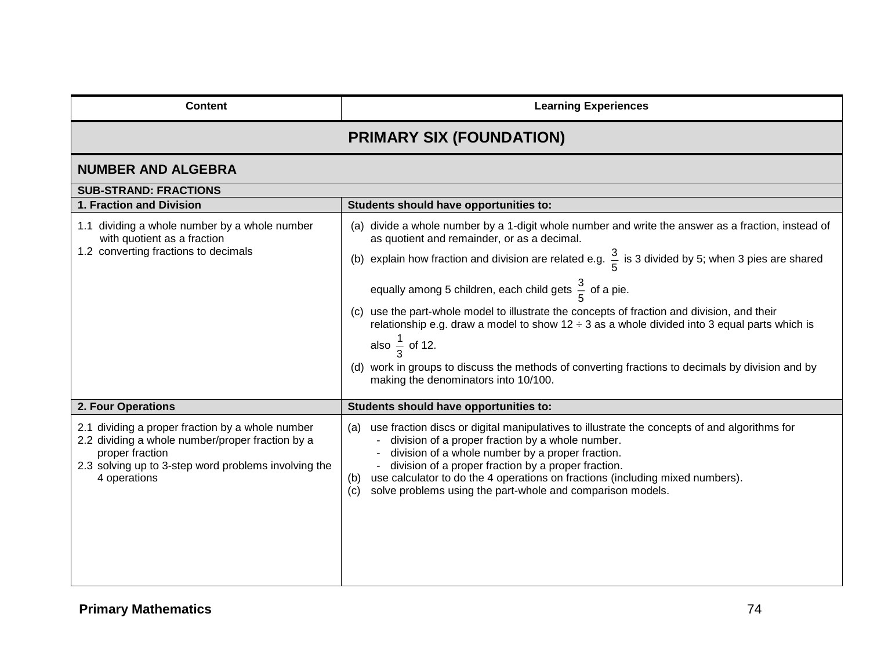| <b>Content</b>                                                                                                                                                                                  | <b>Learning Experiences</b>                                                                                                                                                                                                                                                                                                                                                                                                                                                                                                                                                                                                                                                                                           |
|-------------------------------------------------------------------------------------------------------------------------------------------------------------------------------------------------|-----------------------------------------------------------------------------------------------------------------------------------------------------------------------------------------------------------------------------------------------------------------------------------------------------------------------------------------------------------------------------------------------------------------------------------------------------------------------------------------------------------------------------------------------------------------------------------------------------------------------------------------------------------------------------------------------------------------------|
|                                                                                                                                                                                                 | <b>PRIMARY SIX (FOUNDATION)</b>                                                                                                                                                                                                                                                                                                                                                                                                                                                                                                                                                                                                                                                                                       |
| <b>NUMBER AND ALGEBRA</b>                                                                                                                                                                       |                                                                                                                                                                                                                                                                                                                                                                                                                                                                                                                                                                                                                                                                                                                       |
| <b>SUB-STRAND: FRACTIONS</b>                                                                                                                                                                    |                                                                                                                                                                                                                                                                                                                                                                                                                                                                                                                                                                                                                                                                                                                       |
| 1. Fraction and Division                                                                                                                                                                        | Students should have opportunities to:                                                                                                                                                                                                                                                                                                                                                                                                                                                                                                                                                                                                                                                                                |
| 1.1 dividing a whole number by a whole number<br>with quotient as a fraction<br>1.2 converting fractions to decimals                                                                            | (a) divide a whole number by a 1-digit whole number and write the answer as a fraction, instead of<br>as quotient and remainder, or as a decimal.<br>(b) explain how fraction and division are related e.g. $\frac{3}{5}$ is 3 divided by 5; when 3 pies are shared<br>equally among 5 children, each child gets $\frac{3}{5}$ of a pie.<br>(c) use the part-whole model to illustrate the concepts of fraction and division, and their<br>relationship e.g. draw a model to show $12 \div 3$ as a whole divided into 3 equal parts which is<br>also $\frac{1}{3}$ of 12.<br>(d) work in groups to discuss the methods of converting fractions to decimals by division and by<br>making the denominators into 10/100. |
| 2. Four Operations                                                                                                                                                                              | Students should have opportunities to:                                                                                                                                                                                                                                                                                                                                                                                                                                                                                                                                                                                                                                                                                |
| 2.1 dividing a proper fraction by a whole number<br>2.2 dividing a whole number/proper fraction by a<br>proper fraction<br>2.3 solving up to 3-step word problems involving the<br>4 operations | use fraction discs or digital manipulatives to illustrate the concepts of and algorithms for<br>(a)<br>division of a proper fraction by a whole number.<br>division of a whole number by a proper fraction.<br>division of a proper fraction by a proper fraction.<br>use calculator to do the 4 operations on fractions (including mixed numbers).<br>(b)<br>solve problems using the part-whole and comparison models.<br>(C)                                                                                                                                                                                                                                                                                       |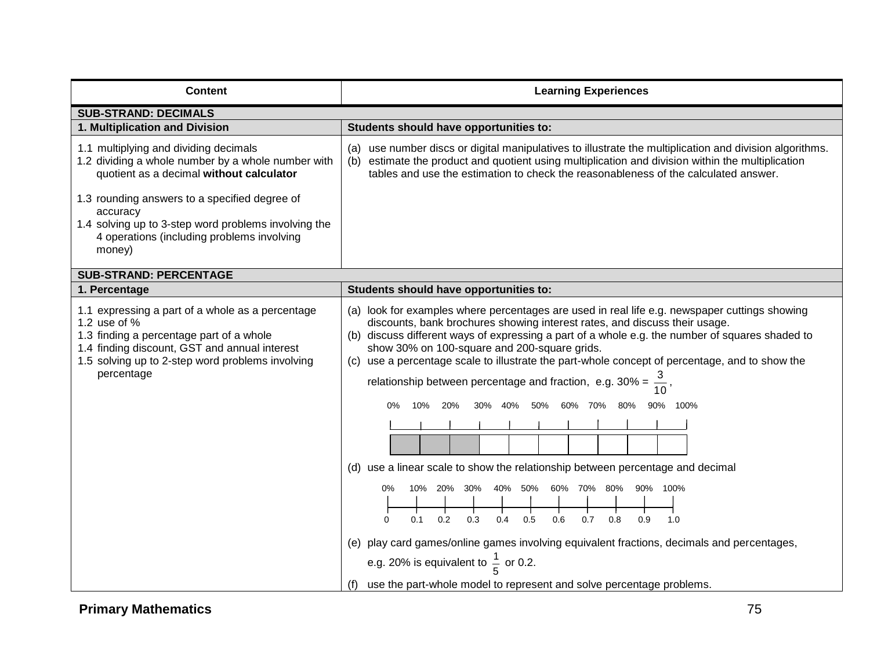| <b>Content</b>                                                                                                                                                                                                                                                                                                       | <b>Learning Experiences</b>                                                                                                                                                                                                                                                                                                                                                                                                                                                                                                                                                                                                                                                                                                                                                                                                                                                                                                                                                                                                                  |
|----------------------------------------------------------------------------------------------------------------------------------------------------------------------------------------------------------------------------------------------------------------------------------------------------------------------|----------------------------------------------------------------------------------------------------------------------------------------------------------------------------------------------------------------------------------------------------------------------------------------------------------------------------------------------------------------------------------------------------------------------------------------------------------------------------------------------------------------------------------------------------------------------------------------------------------------------------------------------------------------------------------------------------------------------------------------------------------------------------------------------------------------------------------------------------------------------------------------------------------------------------------------------------------------------------------------------------------------------------------------------|
| <b>SUB-STRAND: DECIMALS</b>                                                                                                                                                                                                                                                                                          |                                                                                                                                                                                                                                                                                                                                                                                                                                                                                                                                                                                                                                                                                                                                                                                                                                                                                                                                                                                                                                              |
| 1. Multiplication and Division                                                                                                                                                                                                                                                                                       | Students should have opportunities to:                                                                                                                                                                                                                                                                                                                                                                                                                                                                                                                                                                                                                                                                                                                                                                                                                                                                                                                                                                                                       |
| 1.1 multiplying and dividing decimals<br>1.2 dividing a whole number by a whole number with<br>quotient as a decimal without calculator<br>1.3 rounding answers to a specified degree of<br>accuracy<br>1.4 solving up to 3-step word problems involving the<br>4 operations (including problems involving<br>money) | use number discs or digital manipulatives to illustrate the multiplication and division algorithms.<br>(a)<br>estimate the product and quotient using multiplication and division within the multiplication<br>(b)<br>tables and use the estimation to check the reasonableness of the calculated answer.                                                                                                                                                                                                                                                                                                                                                                                                                                                                                                                                                                                                                                                                                                                                    |
| <b>SUB-STRAND: PERCENTAGE</b>                                                                                                                                                                                                                                                                                        |                                                                                                                                                                                                                                                                                                                                                                                                                                                                                                                                                                                                                                                                                                                                                                                                                                                                                                                                                                                                                                              |
| 1. Percentage                                                                                                                                                                                                                                                                                                        | Students should have opportunities to:                                                                                                                                                                                                                                                                                                                                                                                                                                                                                                                                                                                                                                                                                                                                                                                                                                                                                                                                                                                                       |
| 1.1 expressing a part of a whole as a percentage<br>1.2 use of $%$<br>1.3 finding a percentage part of a whole<br>1.4 finding discount, GST and annual interest<br>1.5 solving up to 2-step word problems involving<br>percentage                                                                                    | (a) look for examples where percentages are used in real life e.g. newspaper cuttings showing<br>discounts, bank brochures showing interest rates, and discuss their usage.<br>(b) discuss different ways of expressing a part of a whole e.g. the number of squares shaded to<br>show 30% on 100-square and 200-square grids.<br>(c) use a percentage scale to illustrate the part-whole concept of percentage, and to show the<br>relationship between percentage and fraction, e.g. 30% = $\frac{3}{10}$ ,<br>60% 70% 80%<br>90% 100%<br>$0\%$<br>10%<br>20%<br>30% 40%<br>50%<br>(d) use a linear scale to show the relationship between percentage and decimal<br>10% 20% 30%<br>40% 50%<br>60% 70% 80%<br>90% 100%<br>$0\%$<br>$\Omega$<br>0.3<br>0.5<br>0.7<br>0.8<br>0.9<br>1.0<br>0.1<br>0.2<br>0.4<br>0.6<br>(e) play card games/online games involving equivalent fractions, decimals and percentages,<br>e.g. 20% is equivalent to $\frac{1}{5}$ or 0.2.<br>use the part-whole model to represent and solve percentage problems. |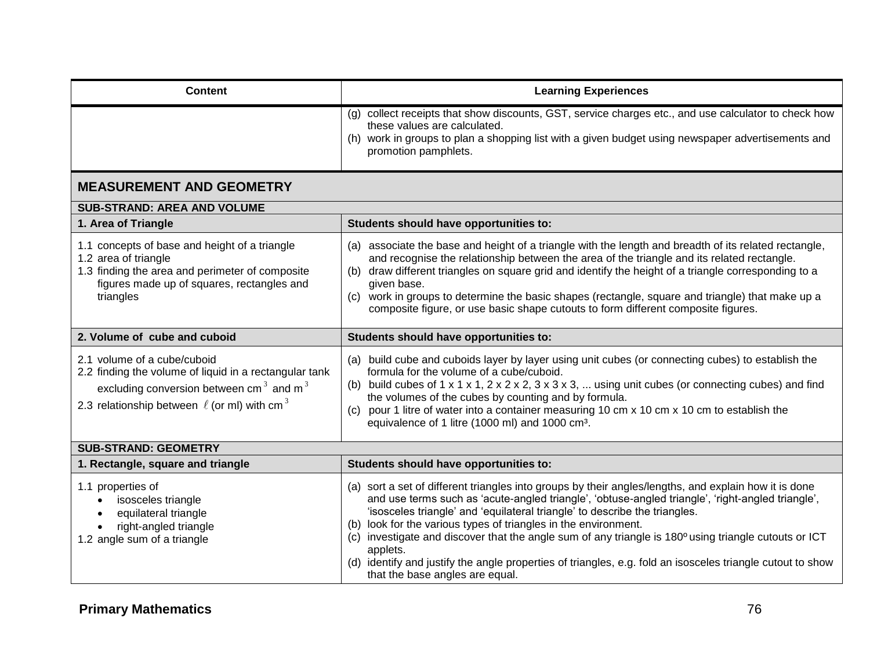| <b>Content</b>                                                                                                                                                                                       | <b>Learning Experiences</b>                                                                                                                                                                                                                                                                                                                                                                                                                                                                                                                                                                                                          |
|------------------------------------------------------------------------------------------------------------------------------------------------------------------------------------------------------|--------------------------------------------------------------------------------------------------------------------------------------------------------------------------------------------------------------------------------------------------------------------------------------------------------------------------------------------------------------------------------------------------------------------------------------------------------------------------------------------------------------------------------------------------------------------------------------------------------------------------------------|
|                                                                                                                                                                                                      | (g) collect receipts that show discounts, GST, service charges etc., and use calculator to check how<br>these values are calculated.<br>(h) work in groups to plan a shopping list with a given budget using newspaper advertisements and<br>promotion pamphlets.                                                                                                                                                                                                                                                                                                                                                                    |
| <b>MEASUREMENT AND GEOMETRY</b>                                                                                                                                                                      |                                                                                                                                                                                                                                                                                                                                                                                                                                                                                                                                                                                                                                      |
| <b>SUB-STRAND: AREA AND VOLUME</b>                                                                                                                                                                   |                                                                                                                                                                                                                                                                                                                                                                                                                                                                                                                                                                                                                                      |
| 1. Area of Triangle                                                                                                                                                                                  | Students should have opportunities to:                                                                                                                                                                                                                                                                                                                                                                                                                                                                                                                                                                                               |
| 1.1 concepts of base and height of a triangle<br>1.2 area of triangle<br>1.3 finding the area and perimeter of composite<br>figures made up of squares, rectangles and<br>triangles                  | associate the base and height of a triangle with the length and breadth of its related rectangle,<br>(a)<br>and recognise the relationship between the area of the triangle and its related rectangle.<br>draw different triangles on square grid and identify the height of a triangle corresponding to a<br>(b)<br>given base.<br>(c) work in groups to determine the basic shapes (rectangle, square and triangle) that make up a<br>composite figure, or use basic shape cutouts to form different composite figures.                                                                                                            |
| 2. Volume of cube and cuboid                                                                                                                                                                         | Students should have opportunities to:                                                                                                                                                                                                                                                                                                                                                                                                                                                                                                                                                                                               |
| 2.1 volume of a cube/cuboid<br>2.2 finding the volume of liquid in a rectangular tank<br>excluding conversion between $cm3$ and $m3$<br>2.3 relationship between $\ell$ (or ml) with cm <sup>3</sup> | (a) build cube and cuboids layer by layer using unit cubes (or connecting cubes) to establish the<br>formula for the volume of a cube/cuboid.<br>build cubes of $1 \times 1 \times 1$ , $2 \times 2 \times 2$ , $3 \times 3 \times 3$ ,  using unit cubes (or connecting cubes) and find<br>(b)<br>the volumes of the cubes by counting and by formula.<br>pour 1 litre of water into a container measuring 10 cm x 10 cm x 10 cm to establish the<br>(c)<br>equivalence of 1 litre (1000 ml) and 1000 cm <sup>3</sup> .                                                                                                             |
| <b>SUB-STRAND: GEOMETRY</b>                                                                                                                                                                          |                                                                                                                                                                                                                                                                                                                                                                                                                                                                                                                                                                                                                                      |
| 1. Rectangle, square and triangle                                                                                                                                                                    | Students should have opportunities to:                                                                                                                                                                                                                                                                                                                                                                                                                                                                                                                                                                                               |
| 1.1 properties of<br>isosceles triangle<br>equilateral triangle<br>right-angled triangle<br>1.2 angle sum of a triangle                                                                              | (a) sort a set of different triangles into groups by their angles/lengths, and explain how it is done<br>and use terms such as 'acute-angled triangle', 'obtuse-angled triangle', 'right-angled triangle',<br>'isosceles triangle' and 'equilateral triangle' to describe the triangles.<br>look for the various types of triangles in the environment.<br>(b)<br>(c) investigate and discover that the angle sum of any triangle is 180° using triangle cutouts or ICT<br>applets.<br>(d) identify and justify the angle properties of triangles, e.g. fold an isosceles triangle cutout to show<br>that the base angles are equal. |